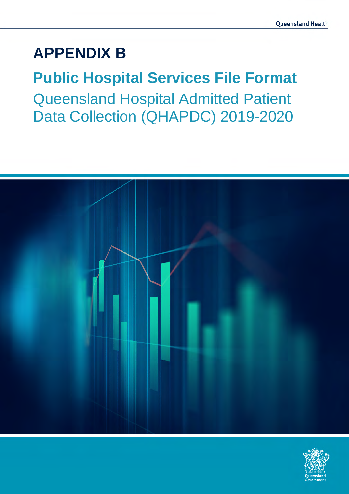# **APPENDIX B**

# **Public Hospital Services File Format**  Queensland Hospital Admitted Patient Data Collection (QHAPDC) 2019-2020



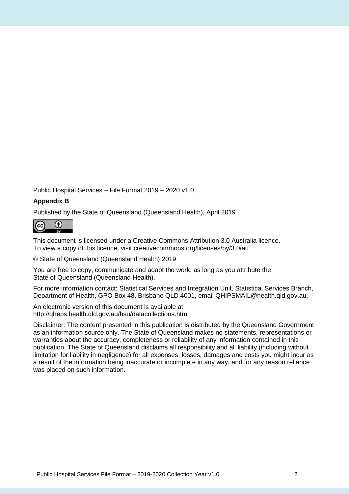Public Hospital Services – File Format 2019 – 2020 v1.0

#### **Appendix B**

Published by the State of Queensland (Queensland Health), April 2019



This document is licensed under a Creative Commons Attribution 3.0 Australia licence. To view a copy of this licence, visit creativecommons.org/licenses/by/3.0/au

© State of Queensland (Queensland Health) 2019

You are free to copy, communicate and adapt the work, as long as you attribute the State of Queensland (Queensland Health).

For more information contact: Statistical Services and Integration Unit, Statistical Services Branch, Department of Health, GPO Box 48, Brisbane QLD 4001, email QHIPSMAIL@health.qld.gov.au.

An electronic version of this document is available at http://qheps.health.qld.gov.au/hsu/datacollections.htm

Disclaimer: The content presented in this publication is distributed by the Queensland Government as an information source only. The State of Queensland makes no statements, representations or warranties about the accuracy, completeness or reliability of any information contained in this publication. The State of Queensland disclaims all responsibility and all liability (including without limitation for liability in negligence) for all expenses, losses, damages and costs you might incur as a result of the information being inaccurate or incomplete in any way, and for any reason reliance was placed on such information.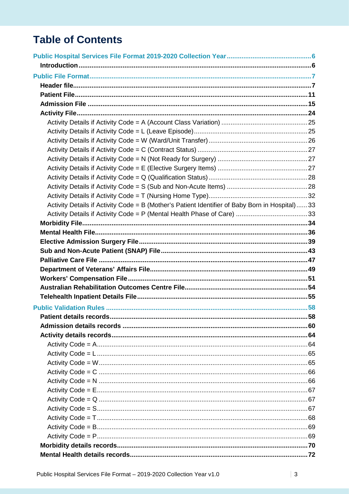# **Table of Contents**

| Activity Details if Activity Code = B (Mother's Patient Identifier of Baby Born in Hospital)33 |  |
|------------------------------------------------------------------------------------------------|--|
|                                                                                                |  |
|                                                                                                |  |
|                                                                                                |  |
|                                                                                                |  |
|                                                                                                |  |
|                                                                                                |  |
|                                                                                                |  |
|                                                                                                |  |
|                                                                                                |  |
|                                                                                                |  |
|                                                                                                |  |
|                                                                                                |  |
|                                                                                                |  |
|                                                                                                |  |
|                                                                                                |  |
|                                                                                                |  |
|                                                                                                |  |
|                                                                                                |  |
|                                                                                                |  |
|                                                                                                |  |
|                                                                                                |  |
|                                                                                                |  |
|                                                                                                |  |
|                                                                                                |  |
|                                                                                                |  |
|                                                                                                |  |
|                                                                                                |  |
|                                                                                                |  |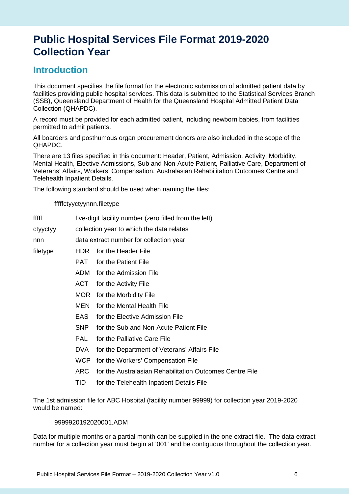# **Public Hospital Services File Format 2019-2020 Collection Year**

### **Introduction**

This document specifies the file format for the electronic submission of admitted patient data by facilities providing public hospital services. This data is submitted to the Statistical Services Branch (SSB), Queensland Department of Health for the Queensland Hospital Admitted Patient Data Collection (QHAPDC).

A record must be provided for each admitted patient, including newborn babies, from facilities permitted to admit patients.

All boarders and posthumous organ procurement donors are also included in the scope of the QHAPDC.

There are 13 files specified in this document: Header, Patient, Admission, Activity, Morbidity, Mental Health, Elective Admissions, Sub and Non-Acute Patient, Palliative Care, Department of Veterans' Affairs, Workers' Compensation, Australasian Rehabilitation Outcomes Centre and Telehealth Inpatient Details.

The following standard should be used when naming the files:

fffffctyyctyynnn.filetype

fffff five-digit facility number (zero filled from the left)

ctyyctyy collection year to which the data relates

nnn data extract number for collection year

filetype HDR for the Header File

- PAT for the Patient File
- ADM for the Admission File
- ACT for the Activity File
- MOR for the Morbidity File
- MEN for the Mental Health File
- EAS for the Elective Admission File
- SNP for the Sub and Non-Acute Patient File
- PAL for the Palliative Care File
- DVA for the Department of Veterans' Affairs File
- WCP for the Workers' Compensation File
- ARC for the Australasian Rehabilitation Outcomes Centre File
- TID for the Telehealth Inpatient Details File

The 1st admission file for ABC Hospital (facility number 99999) for collection year 2019-2020 would be named:

9999920192020001.ADM

Data for multiple months or a partial month can be supplied in the one extract file. The data extract number for a collection year must begin at '001' and be contiguous throughout the collection year.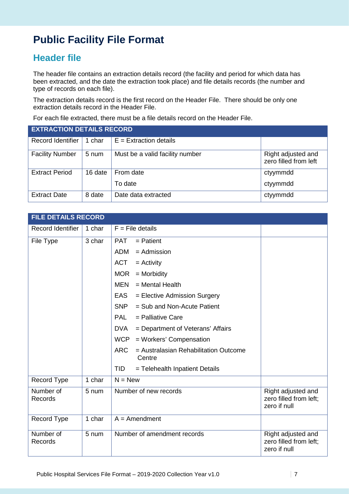# **Public Facility File Format**

## **Header file**

The header file contains an extraction details record (the facility and period for which data has been extracted, and the date the extraction took place) and file details records (the number and type of records on each file).

The extraction details record is the first record on the Header File. There should be only one extraction details record in the Header File.

For each file extracted, there must be a file details record on the Header File.

| <b>EXTRACTION DETAILS RECORD</b> |         |                                 |                                             |  |
|----------------------------------|---------|---------------------------------|---------------------------------------------|--|
| <b>Record Identifier</b>         | 1 char  | $E =$ Extraction details        |                                             |  |
| <b>Facility Number</b>           | 5 num   | Must be a valid facility number | Right adjusted and<br>zero filled from left |  |
| <b>Extract Period</b>            | 16 date | From date                       | ctyymmdd                                    |  |
|                                  |         | To date                         | ctyymmdd                                    |  |
| <b>Extract Date</b>              | 8 date  | Date data extracted             | ctyymmdd                                    |  |

| <b>FILE DETAILS RECORD</b> |        |                                                               |                                                              |
|----------------------------|--------|---------------------------------------------------------------|--------------------------------------------------------------|
| Record Identifier          | 1 char | $F =$ File details                                            |                                                              |
| File Type                  | 3 char | <b>PAT</b><br>$=$ Patient                                     |                                                              |
|                            |        | $=$ Admission<br>ADM                                          |                                                              |
|                            |        | <b>ACT</b><br>$=$ Activity                                    |                                                              |
|                            |        | <b>MOR</b><br>$=$ Morbidity                                   |                                                              |
|                            |        | $=$ Mental Health<br>MEN                                      |                                                              |
|                            |        | EAS<br>= Elective Admission Surgery                           |                                                              |
|                            |        | <b>SNP</b><br>= Sub and Non-Acute Patient                     |                                                              |
|                            |        | <b>PAL</b><br>$=$ Palliative Care                             |                                                              |
|                            |        | <b>DVA</b><br>= Department of Veterans' Affairs               |                                                              |
|                            |        | <b>WCP</b><br>= Workers' Compensation                         |                                                              |
|                            |        | <b>ARC</b><br>= Australasian Rehabilitation Outcome<br>Centre |                                                              |
|                            |        | <b>TID</b><br>= Telehealth Inpatient Details                  |                                                              |
| Record Type                | 1 char | $N = New$                                                     |                                                              |
| Number of<br>Records       | 5 num  | Number of new records                                         | Right adjusted and<br>zero filled from left;<br>zero if null |
| Record Type                | 1 char | $A =$ Amendment                                               |                                                              |
| Number of<br>Records       | 5 num  | Number of amendment records                                   | Right adjusted and<br>zero filled from left;<br>zero if null |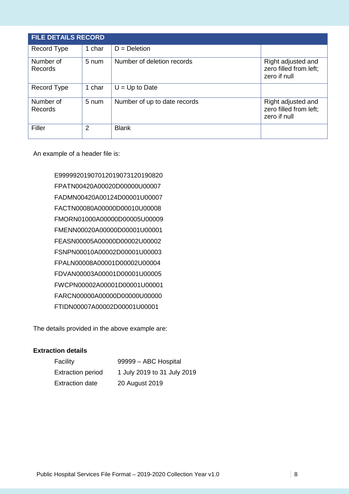| <b>FILE DETAILS RECORD</b> |        |                              |                                                              |  |
|----------------------------|--------|------------------------------|--------------------------------------------------------------|--|
| Record Type                | 1 char | $D = Deletion$               |                                                              |  |
| Number of<br>Records       | 5 num  | Number of deletion records   | Right adjusted and<br>zero filled from left;<br>zero if null |  |
| Record Type                | 1 char | $U = Up$ to Date             |                                                              |  |
| Number of<br>Records       | 5 num  | Number of up to date records | Right adjusted and<br>zero filled from left;<br>zero if null |  |
| Filler                     | 2      | <b>Blank</b>                 |                                                              |  |

An example of a header file is:

E99999201907012019073120190820 FPATN00420A00020D00000U00007 FADMN00420A00124D00001U00007 FACTN00080A00000D00010U00008 FMORN01000A00000D00005U00009 FMENN00020A00000D00001U00001 FEASN00005A00000D00002U00002 FSNPN00010A00002D00001U00003 FPALN00008A00001D00002U00004 FDVAN00003A00001D00001U00005 FWCPN00002A00001D00001U00001 FARCN00000A00000D00000U00000 FTIDN00007A00002D00001U00001

The details provided in the above example are:

#### **Extraction details**

| Facility                 | 99999 - ABC Hospital        |
|--------------------------|-----------------------------|
| <b>Extraction period</b> | 1 July 2019 to 31 July 2019 |
| <b>Extraction date</b>   | 20 August 2019              |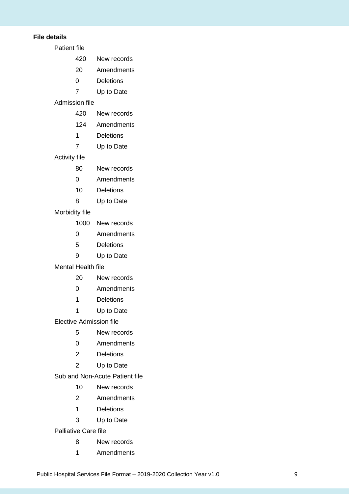#### **File details**

Patient file

- 420 New records
- 20 Amendments
- 0 Deletions
- 7 Up to Date

#### Admission file

- 420 New records
- 124 Amendments
- 1 Deletions
- 7 Up to Date

#### Activity file

- 80 New records
- 0 Amendments
- 10 Deletions
- 8 Up to Date

#### Morbidity file

- 1000 New records
- 0 Amendments
- 5 Deletions
- 9 Up to Date

#### Mental Health file

- 20 New records
- 0 Amendments
- 1 Deletions
- 1 Up to Date

Elective Admission file

- 5 New records
- 0 Amendments
- 2 Deletions
- 2 Up to Date

Sub and Non-Acute Patient file

- 10 New records
- 2 Amendments
- 1 Deletions
- 3 Up to Date

Palliative Care file

- 8 New records
- 1 Amendments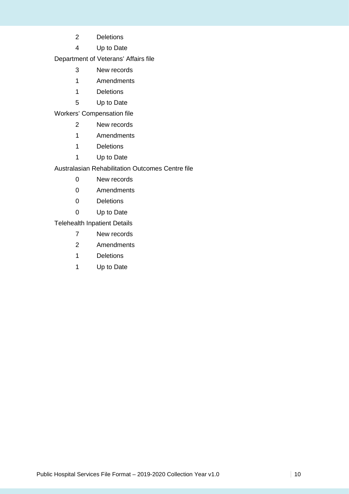- 2 Deletions
- 4 Up to Date

Department of Veterans' Affairs file

- 3 New records
- 1 Amendments
- 1 Deletions
- 5 Up to Date

Workers' Compensation file

- 2 New records
- 1 Amendments
- 1 Deletions
- 1 Up to Date

Australasian Rehabilitation Outcomes Centre file

- 0 New records
- 0 Amendments
- 0 Deletions
- 0 Up to Date

Telehealth Inpatient Details

- 7 New records
- 2 Amendments
- 1 Deletions
- 1 Up to Date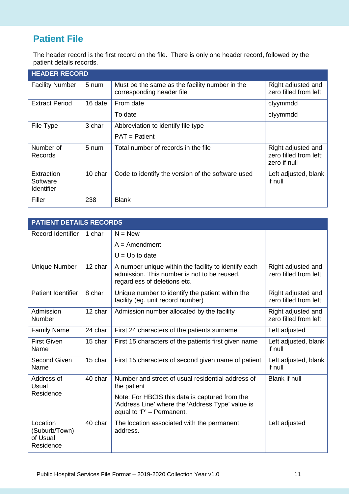# **Patient File**

The header record is the first record on the file. There is only one header record, followed by the patient details records.

| <b>HEADER RECORD</b>                 |         |                                                                             |                                                              |
|--------------------------------------|---------|-----------------------------------------------------------------------------|--------------------------------------------------------------|
| <b>Facility Number</b>               | 5 num   | Must be the same as the facility number in the<br>corresponding header file | Right adjusted and<br>zero filled from left                  |
| <b>Extract Period</b>                | 16 date | From date                                                                   | ctyymmdd                                                     |
|                                      |         | To date                                                                     | ctyymmdd                                                     |
| File Type                            | 3 char  | Abbreviation to identify file type                                          |                                                              |
|                                      |         | $PAT =$ Patient                                                             |                                                              |
| Number of<br>Records                 | $5$ num | Total number of records in the file                                         | Right adjusted and<br>zero filled from left;<br>zero if null |
| Extraction<br>Software<br>Identifier | 10 char | Code to identify the version of the software used                           | Left adjusted, blank<br>if null                              |
| Filler                               | 238     | <b>Blank</b>                                                                |                                                              |

| <b>PATIENT DETAILS RECORDS</b>                     |         |                                                                                                                                     |                                             |
|----------------------------------------------------|---------|-------------------------------------------------------------------------------------------------------------------------------------|---------------------------------------------|
| Record Identifier                                  | 1 char  | $N = New$                                                                                                                           |                                             |
|                                                    |         | $A =$ Amendment                                                                                                                     |                                             |
|                                                    |         | $U = Up$ to date                                                                                                                    |                                             |
| <b>Unique Number</b>                               | 12 char | A number unique within the facility to identify each<br>admission. This number is not to be reused.<br>regardless of deletions etc. | Right adjusted and<br>zero filled from left |
| Patient Identifier                                 | 8 char  | Unique number to identify the patient within the<br>facility (eg. unit record number)                                               | Right adjusted and<br>zero filled from left |
| Admission<br>Number                                | 12 char | Admission number allocated by the facility                                                                                          | Right adjusted and<br>zero filled from left |
| <b>Family Name</b>                                 | 24 char | First 24 characters of the patients surname                                                                                         | Left adjusted                               |
| <b>First Given</b><br>Name                         | 15 char | First 15 characters of the patients first given name                                                                                | Left adjusted, blank<br>if null             |
| <b>Second Given</b><br>Name                        | 15 char | First 15 characters of second given name of patient                                                                                 | Left adjusted, blank<br>if null             |
| Address of<br>Usual                                | 40 char | Number and street of usual residential address of<br>the patient                                                                    | <b>Blank if null</b>                        |
| Residence                                          |         | Note: For HBCIS this data is captured from the<br>'Address Line' where the 'Address Type' value is<br>equal to 'P' - Permanent.     |                                             |
| Location<br>(Suburb/Town)<br>of Usual<br>Residence | 40 char | The location associated with the permanent<br>address.                                                                              | Left adjusted                               |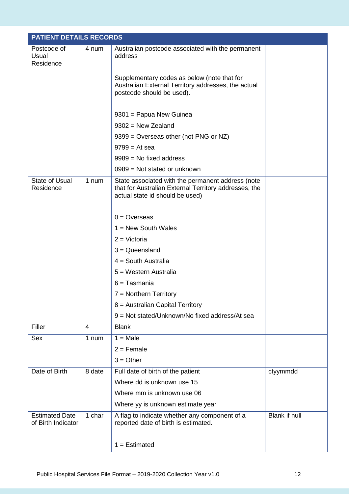|                                             | <b>PATIENT DETAILS RECORDS</b> |                                                                                                                                               |               |  |  |
|---------------------------------------------|--------------------------------|-----------------------------------------------------------------------------------------------------------------------------------------------|---------------|--|--|
| Postcode of<br>Usual<br>Residence           | 4 num                          | Australian postcode associated with the permanent<br>address                                                                                  |               |  |  |
|                                             |                                | Supplementary codes as below (note that for<br>Australian External Territory addresses, the actual<br>postcode should be used).               |               |  |  |
|                                             |                                | 9301 = Papua New Guinea                                                                                                                       |               |  |  |
|                                             |                                | $9302$ = New Zealand                                                                                                                          |               |  |  |
|                                             |                                | 9399 = Overseas other (not PNG or NZ)                                                                                                         |               |  |  |
|                                             |                                | $9799 = At sea$                                                                                                                               |               |  |  |
|                                             |                                | $9989$ = No fixed address                                                                                                                     |               |  |  |
|                                             |                                | $0989$ = Not stated or unknown                                                                                                                |               |  |  |
| <b>State of Usual</b><br>Residence          | 1 num                          | State associated with the permanent address (note<br>that for Australian External Territory addresses, the<br>actual state id should be used) |               |  |  |
|                                             |                                | $0 =$ Overseas                                                                                                                                |               |  |  |
|                                             |                                | $1 = New South Wales$                                                                                                                         |               |  |  |
|                                             |                                | $2 = Victoria$                                                                                                                                |               |  |  |
|                                             |                                | $3 =$ Queensland                                                                                                                              |               |  |  |
|                                             |                                | $4 =$ South Australia                                                                                                                         |               |  |  |
|                                             |                                | 5 = Western Australia                                                                                                                         |               |  |  |
|                                             |                                | $6 =$ Tasmania                                                                                                                                |               |  |  |
|                                             |                                | $7 =$ Northern Territory                                                                                                                      |               |  |  |
|                                             |                                | 8 = Australian Capital Territory                                                                                                              |               |  |  |
|                                             |                                | 9 = Not stated/Unknown/No fixed address/At sea                                                                                                |               |  |  |
| Filler                                      | $\overline{4}$                 | <b>Blank</b>                                                                                                                                  |               |  |  |
| Sex                                         | 1 num                          | $1 = Male$                                                                                                                                    |               |  |  |
|                                             |                                | $2 =$ Female                                                                                                                                  |               |  |  |
|                                             |                                | $3 = Other$                                                                                                                                   |               |  |  |
| Date of Birth                               | 8 date                         | Full date of birth of the patient                                                                                                             | ctyymmdd      |  |  |
|                                             |                                | Where dd is unknown use 15                                                                                                                    |               |  |  |
|                                             |                                | Where mm is unknown use 06                                                                                                                    |               |  |  |
|                                             |                                | Where yy is unknown estimate year                                                                                                             |               |  |  |
| <b>Estimated Date</b><br>of Birth Indicator | 1 char                         | A flag to indicate whether any component of a<br>reported date of birth is estimated.                                                         | Blank if null |  |  |
|                                             |                                | $1 =$ Estimated                                                                                                                               |               |  |  |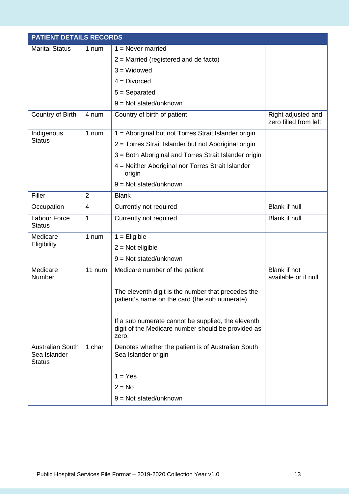|                                                          | <b>PATIENT DETAILS RECORDS</b> |                                                                                                                   |                                             |  |  |
|----------------------------------------------------------|--------------------------------|-------------------------------------------------------------------------------------------------------------------|---------------------------------------------|--|--|
| <b>Marital Status</b>                                    | 1 num                          | $1 =$ Never married                                                                                               |                                             |  |  |
|                                                          |                                | $2$ = Married (registered and de facto)                                                                           |                                             |  |  |
|                                                          |                                | $3 = Widowed$                                                                                                     |                                             |  |  |
|                                                          |                                | $4 = Divorced$                                                                                                    |                                             |  |  |
|                                                          |                                | $5 =$ Separated                                                                                                   |                                             |  |  |
|                                                          |                                | $9 = Not stated/unknown$                                                                                          |                                             |  |  |
| Country of Birth                                         | 4 num                          | Country of birth of patient                                                                                       | Right adjusted and<br>zero filled from left |  |  |
| Indigenous                                               | 1 num                          | 1 = Aboriginal but not Torres Strait Islander origin                                                              |                                             |  |  |
| <b>Status</b>                                            |                                | 2 = Torres Strait Islander but not Aboriginal origin                                                              |                                             |  |  |
|                                                          |                                | 3 = Both Aboriginal and Torres Strait Islander origin                                                             |                                             |  |  |
|                                                          |                                | 4 = Neither Aboriginal nor Torres Strait Islander<br>origin                                                       |                                             |  |  |
|                                                          |                                | $9 = Not stated/unknown$                                                                                          |                                             |  |  |
| Filler                                                   | $\overline{2}$                 | <b>Blank</b>                                                                                                      |                                             |  |  |
| Occupation                                               | $\overline{4}$                 | Currently not required                                                                                            | <b>Blank if null</b>                        |  |  |
| Labour Force<br><b>Status</b>                            | 1                              | Currently not required                                                                                            | Blank if null                               |  |  |
| Medicare                                                 | 1 num                          | $1 =$ Eligible                                                                                                    |                                             |  |  |
| Eligibility                                              |                                | $2 = Not$ eligible                                                                                                |                                             |  |  |
|                                                          |                                | $9 = Not stated/unknown$                                                                                          |                                             |  |  |
| Medicare<br>Number                                       | $11$ num                       | Medicare number of the patient                                                                                    | <b>Blank if not</b><br>available or if null |  |  |
|                                                          |                                | The eleventh digit is the number that precedes the<br>patient's name on the card (the sub numerate).              |                                             |  |  |
|                                                          |                                | If a sub numerate cannot be supplied, the eleventh<br>digit of the Medicare number should be provided as<br>zero. |                                             |  |  |
| <b>Australian South</b><br>Sea Islander<br><b>Status</b> | 1 char                         | Denotes whether the patient is of Australian South<br>Sea Islander origin                                         |                                             |  |  |
|                                                          |                                | $1 = Yes$                                                                                                         |                                             |  |  |
|                                                          |                                | $2 = No$                                                                                                          |                                             |  |  |
|                                                          |                                | $9 = Not stated/unknown$                                                                                          |                                             |  |  |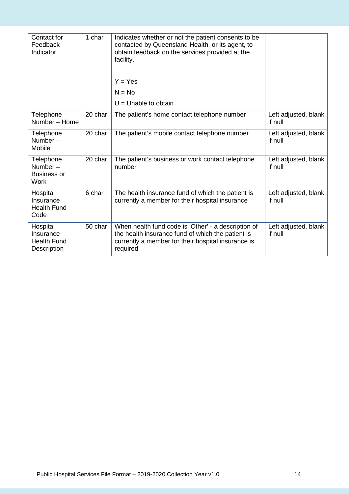| Contact for<br>Feedback<br>Indicator                              | 1 char  | Indicates whether or not the patient consents to be<br>contacted by Queensland Health, or its agent, to<br>obtain feedback on the services provided at the<br>facility.<br>$Y = Yes$<br>$N = No$<br>$U =$ Unable to obtain |                                 |
|-------------------------------------------------------------------|---------|----------------------------------------------------------------------------------------------------------------------------------------------------------------------------------------------------------------------------|---------------------------------|
| Telephone<br>Number - Home                                        | 20 char | The patient's home contact telephone number                                                                                                                                                                                | Left adjusted, blank<br>if null |
| Telephone<br>Number $-$<br>Mobile                                 | 20 char | The patient's mobile contact telephone number                                                                                                                                                                              | Left adjusted, blank<br>if null |
| Telephone<br>Number $-$<br><b>Business or</b><br><b>Work</b>      | 20 char | The patient's business or work contact telephone<br>number                                                                                                                                                                 | Left adjusted, blank<br>if null |
| Hospital<br>Insurance<br><b>Health Fund</b><br>Code               | 6 char  | The health insurance fund of which the patient is<br>currently a member for their hospital insurance                                                                                                                       | Left adjusted, blank<br>if null |
| Hospital<br>Insurance<br><b>Health Fund</b><br><b>Description</b> | 50 char | When health fund code is 'Other' - a description of<br>the health insurance fund of which the patient is<br>currently a member for their hospital insurance is<br>required                                                 | Left adjusted, blank<br>if null |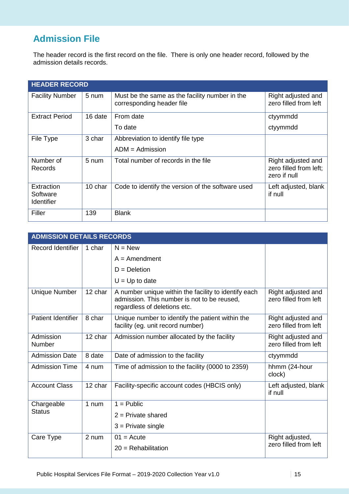# **Admission File**

The header record is the first record on the file. There is only one header record, followed by the admission details records.

| <b>HEADER RECORD</b>                        |         |                                                                             |                                                              |  |  |
|---------------------------------------------|---------|-----------------------------------------------------------------------------|--------------------------------------------------------------|--|--|
| <b>Facility Number</b>                      | 5 num   | Must be the same as the facility number in the<br>corresponding header file | Right adjusted and<br>zero filled from left                  |  |  |
| <b>Extract Period</b>                       | 16 date | From date                                                                   | ctyymmdd                                                     |  |  |
|                                             |         | To date                                                                     | ctyymmdd                                                     |  |  |
| File Type                                   | 3 char  | Abbreviation to identify file type                                          |                                                              |  |  |
|                                             |         | $ADM =$ Admission                                                           |                                                              |  |  |
| Number of<br>Records                        | 5 num   | Total number of records in the file                                         | Right adjusted and<br>zero filled from left;<br>zero if null |  |  |
| Extraction<br>Software<br><b>Identifier</b> | 10 char | Code to identify the version of the software used                           | Left adjusted, blank<br>if null                              |  |  |
| Filler                                      | 139     | <b>Blank</b>                                                                |                                                              |  |  |

| <b>ADMISSION DETAILS RECORDS</b> |         |                                                                                                                                     |                                             |
|----------------------------------|---------|-------------------------------------------------------------------------------------------------------------------------------------|---------------------------------------------|
| Record Identifier                | 1 char  | $N = New$                                                                                                                           |                                             |
|                                  |         | $A =$ Amendment                                                                                                                     |                                             |
|                                  |         | $D = Deletion$                                                                                                                      |                                             |
|                                  |         | $U = Up$ to date                                                                                                                    |                                             |
| Unique Number                    | 12 char | A number unique within the facility to identify each<br>admission. This number is not to be reused,<br>regardless of deletions etc. | Right adjusted and<br>zero filled from left |
| Patient Identifier               | 8 char  | Unique number to identify the patient within the<br>facility (eg. unit record number)                                               | Right adjusted and<br>zero filled from left |
| Admission<br>Number              | 12 char | Admission number allocated by the facility                                                                                          | Right adjusted and<br>zero filled from left |
| <b>Admission Date</b>            | 8 date  | Date of admission to the facility                                                                                                   | ctyymmdd                                    |
| <b>Admission Time</b>            | 4 num   | Time of admission to the facility (0000 to 2359)                                                                                    | hhmm (24-hour<br>clock)                     |
| <b>Account Class</b>             | 12 char | Facility-specific account codes (HBCIS only)                                                                                        | Left adjusted, blank<br>if null             |
| Chargeable                       | 1 num   | $1 =$ Public                                                                                                                        |                                             |
| Status                           |         | $2$ = Private shared                                                                                                                |                                             |
|                                  |         | $3$ = Private single                                                                                                                |                                             |
| Care Type                        | 2 num   | $01 = Acute$                                                                                                                        | Right adjusted,                             |
|                                  |         | $20 =$ Rehabilitation                                                                                                               | zero filled from left                       |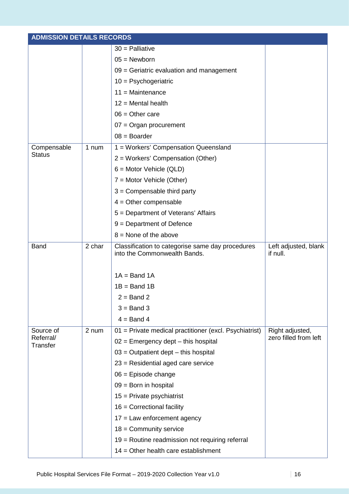| <b>ADMISSION DETAILS RECORDS</b> |        |                                                                                  |                                  |
|----------------------------------|--------|----------------------------------------------------------------------------------|----------------------------------|
|                                  |        | $30$ = Palliative                                                                |                                  |
|                                  |        | $05 =$ Newborn                                                                   |                                  |
|                                  |        | 09 = Geriatric evaluation and management                                         |                                  |
|                                  |        | $10 =$ Psychogeriatric                                                           |                                  |
|                                  |        | $11 =$ Maintenance                                                               |                                  |
|                                  |        | $12$ = Mental health                                                             |                                  |
|                                  |        | $06 =$ Other care                                                                |                                  |
|                                  |        | $07 =$ Organ procurement                                                         |                                  |
|                                  |        | $08 =$ Boarder                                                                   |                                  |
| Compensable                      | 1 num  | 1 = Workers' Compensation Queensland                                             |                                  |
| <b>Status</b>                    |        | 2 = Workers' Compensation (Other)                                                |                                  |
|                                  |        | $6 =$ Motor Vehicle (QLD)                                                        |                                  |
|                                  |        | $7 =$ Motor Vehicle (Other)                                                      |                                  |
|                                  |        | $3 =$ Compensable third party                                                    |                                  |
|                                  |        | $4 =$ Other compensable                                                          |                                  |
|                                  |        | 5 = Department of Veterans' Affairs                                              |                                  |
|                                  |        | $9 = Department of Defense$                                                      |                                  |
|                                  |        | $8 =$ None of the above                                                          |                                  |
| <b>Band</b>                      | 2 char | Classification to categorise same day procedures<br>into the Commonwealth Bands. | Left adjusted, blank<br>if null. |
|                                  |        | $1A = Band 1A$                                                                   |                                  |
|                                  |        | $1B = Band 1B$                                                                   |                                  |
|                                  |        | $2 =$ Band 2                                                                     |                                  |
|                                  |        | $3 =$ Band 3                                                                     |                                  |
|                                  |        | $4 =$ Band 4                                                                     |                                  |
| Source of                        | 2 num  | 01 = Private medical practitioner (excl. Psychiatrist)                           | Right adjusted,                  |
| Referral/                        |        | $02$ = Emergency dept – this hospital                                            | zero filled from left            |
| Transfer                         |        | $03$ = Outpatient dept – this hospital                                           |                                  |
|                                  |        | 23 = Residential aged care service                                               |                                  |
|                                  |        | $06$ = Episode change                                                            |                                  |
|                                  |        | $09 =$ Born in hospital                                                          |                                  |
|                                  |        | $15$ = Private psychiatrist                                                      |                                  |
|                                  |        | $16$ = Correctional facility                                                     |                                  |
|                                  |        | $17$ = Law enforcement agency                                                    |                                  |
|                                  |        | $18 =$ Community service                                                         |                                  |
|                                  |        | 19 = Routine readmission not requiring referral                                  |                                  |
|                                  |        | $14 =$ Other health care establishment                                           |                                  |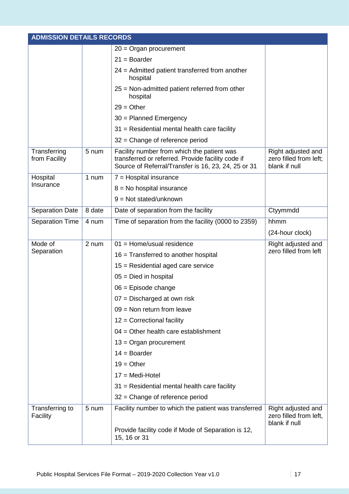| <b>ADMISSION DETAILS RECORDS</b> |        |                                                                                                                                                        |                                                               |  |
|----------------------------------|--------|--------------------------------------------------------------------------------------------------------------------------------------------------------|---------------------------------------------------------------|--|
|                                  |        | $20 =$ Organ procurement                                                                                                                               |                                                               |  |
|                                  |        | $21 =$ Boarder                                                                                                                                         |                                                               |  |
|                                  |        | 24 = Admitted patient transferred from another<br>hospital                                                                                             |                                                               |  |
|                                  |        | $25$ = Non-admitted patient referred from other<br>hospital                                                                                            |                                                               |  |
|                                  |        | $29 = Other$                                                                                                                                           |                                                               |  |
|                                  |        | 30 = Planned Emergency                                                                                                                                 |                                                               |  |
|                                  |        | $31$ = Residential mental health care facility                                                                                                         |                                                               |  |
|                                  |        | $32$ = Change of reference period                                                                                                                      |                                                               |  |
| Transferring<br>from Facility    | 5 num  | Facility number from which the patient was<br>transferred or referred. Provide facility code if<br>Source of Referral/Transfer is 16, 23, 24, 25 or 31 | Right adjusted and<br>zero filled from left;<br>blank if null |  |
| Hospital                         | 1 num  | $7 =$ Hospital insurance                                                                                                                               |                                                               |  |
| Insurance                        |        | $8 = No$ hospital insurance                                                                                                                            |                                                               |  |
|                                  |        | $9 = Not stated/unknown$                                                                                                                               |                                                               |  |
| <b>Separation Date</b>           | 8 date | Date of separation from the facility                                                                                                                   | Ctyymmdd                                                      |  |
| <b>Separation Time</b>           | 4 num  | Time of separation from the facility (0000 to 2359)                                                                                                    | hhmm                                                          |  |
|                                  |        |                                                                                                                                                        | (24-hour clock)                                               |  |
| Mode of                          | 2 num  | $01 =$ Home/usual residence                                                                                                                            | Right adjusted and                                            |  |
| Separation                       |        | $16$ = Transferred to another hospital                                                                                                                 | zero filled from left                                         |  |
|                                  |        | $15$ = Residential aged care service                                                                                                                   |                                                               |  |
|                                  |        | $05 =$ Died in hospital                                                                                                                                |                                                               |  |
|                                  |        | $06$ = Episode change                                                                                                                                  |                                                               |  |
|                                  |        | 07 = Discharged at own risk                                                                                                                            |                                                               |  |
|                                  |        | $09$ = Non return from leave                                                                                                                           |                                                               |  |
|                                  |        | $12$ = Correctional facility                                                                                                                           |                                                               |  |
|                                  |        | $04 =$ Other health care establishment                                                                                                                 |                                                               |  |
|                                  |        | $13 =$ Organ procurement                                                                                                                               |                                                               |  |
|                                  |        | $14 = Boarder$                                                                                                                                         |                                                               |  |
|                                  |        | $19 = Other$                                                                                                                                           |                                                               |  |
|                                  |        | $17 = Medi-Hotel$                                                                                                                                      |                                                               |  |
|                                  |        | $31$ = Residential mental health care facility                                                                                                         |                                                               |  |
|                                  |        | $32$ = Change of reference period                                                                                                                      |                                                               |  |
| Transferring to<br>Facility      | 5 num  | Facility number to which the patient was transferred                                                                                                   | Right adjusted and<br>zero filled from left,<br>blank if null |  |
|                                  |        | Provide facility code if Mode of Separation is 12,<br>15, 16 or 31                                                                                     |                                                               |  |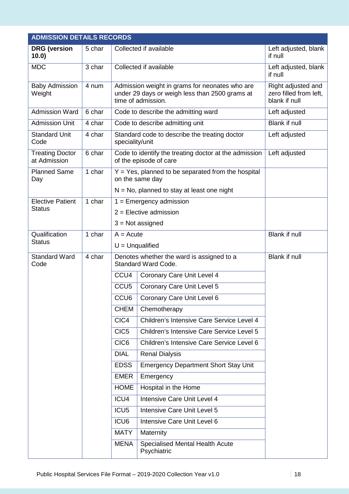| <b>ADMISSION DETAILS RECORDS</b>       |        |                   |                                                                                                                        |                                                               |
|----------------------------------------|--------|-------------------|------------------------------------------------------------------------------------------------------------------------|---------------------------------------------------------------|
| <b>DRG</b> (version<br>10.0)           | 5 char |                   | Collected if available                                                                                                 | Left adjusted, blank<br>if null                               |
| <b>MDC</b>                             | 3 char |                   | Collected if available                                                                                                 | Left adjusted, blank<br>if null                               |
| <b>Baby Admission</b><br>Weight        | 4 num  |                   | Admission weight in grams for neonates who are<br>under 29 days or weigh less than 2500 grams at<br>time of admission. | Right adjusted and<br>zero filled from left,<br>blank if null |
| <b>Admission Ward</b>                  | 6 char |                   | Code to describe the admitting ward                                                                                    | Left adjusted                                                 |
| <b>Admission Unit</b>                  | 4 char |                   | Code to describe admitting unit                                                                                        | <b>Blank if null</b>                                          |
| <b>Standard Unit</b><br>Code           | 4 char | speciality/unit   | Standard code to describe the treating doctor                                                                          | Left adjusted                                                 |
| <b>Treating Doctor</b><br>at Admission | 6 char |                   | Code to identify the treating doctor at the admission<br>of the episode of care                                        | Left adjusted                                                 |
| <b>Planned Same</b><br>Day             | 1 char |                   | $Y = Yes$ , planned to be separated from the hospital<br>on the same day                                               |                                                               |
|                                        |        |                   | $N = No$ , planned to stay at least one night                                                                          |                                                               |
| <b>Elective Patient</b>                | 1 char |                   | $1 =$ Emergency admission                                                                                              |                                                               |
| <b>Status</b>                          |        |                   | $2$ = Elective admission                                                                                               |                                                               |
|                                        |        |                   | $3 = Not assigned$                                                                                                     |                                                               |
| Qualification                          | 1 char | $A = Acute$       |                                                                                                                        | <b>Blank if null</b>                                          |
| <b>Status</b>                          |        | $U =$ Unqualified |                                                                                                                        |                                                               |
| <b>Standard Ward</b><br>Code           | 4 char |                   | Denotes whether the ward is assigned to a<br>Standard Ward Code.                                                       | <b>Blank if null</b>                                          |
|                                        |        | CCU <sub>4</sub>  | Coronary Care Unit Level 4                                                                                             |                                                               |
|                                        |        | CCU <sub>5</sub>  | Coronary Care Unit Level 5                                                                                             |                                                               |
|                                        |        | CCU6              | Coronary Care Unit Level 6                                                                                             |                                                               |
|                                        |        | <b>CHEM</b>       | Chemotherapy                                                                                                           |                                                               |
|                                        |        | CIC4              | Children's Intensive Care Service Level 4                                                                              |                                                               |
|                                        |        | CIC <sub>5</sub>  | Children's Intensive Care Service Level 5                                                                              |                                                               |
|                                        |        | CIC <sub>6</sub>  | Children's Intensive Care Service Level 6                                                                              |                                                               |
|                                        |        | <b>DIAL</b>       | <b>Renal Dialysis</b>                                                                                                  |                                                               |
|                                        |        | <b>EDSS</b>       | <b>Emergency Department Short Stay Unit</b>                                                                            |                                                               |
|                                        |        | <b>EMER</b>       | Emergency                                                                                                              |                                                               |
|                                        |        | <b>HOME</b>       | Hospital in the Home                                                                                                   |                                                               |
|                                        |        | ICU4              | Intensive Care Unit Level 4                                                                                            |                                                               |
|                                        |        | ICU <sub>5</sub>  | Intensive Care Unit Level 5                                                                                            |                                                               |
|                                        |        | ICU6              | Intensive Care Unit Level 6                                                                                            |                                                               |
|                                        |        | <b>MATY</b>       | Maternity                                                                                                              |                                                               |
|                                        |        | <b>MENA</b>       | <b>Specialised Mental Health Acute</b><br>Psychiatric                                                                  |                                                               |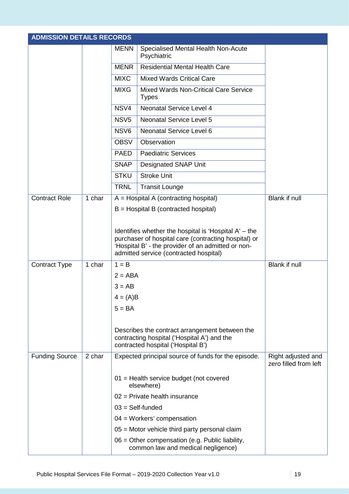|                       | <b>ADMISSION DETAILS RECORDS</b> |                  |                                                                                                                                                                                                                 |                                             |  |  |
|-----------------------|----------------------------------|------------------|-----------------------------------------------------------------------------------------------------------------------------------------------------------------------------------------------------------------|---------------------------------------------|--|--|
|                       |                                  | <b>MENN</b>      | Specialised Mental Health Non-Acute<br>Psychiatric                                                                                                                                                              |                                             |  |  |
|                       |                                  | <b>MENR</b>      | <b>Residential Mental Health Care</b>                                                                                                                                                                           |                                             |  |  |
|                       |                                  | <b>MIXC</b>      | <b>Mixed Wards Critical Care</b>                                                                                                                                                                                |                                             |  |  |
|                       |                                  | <b>MIXG</b>      | Mixed Wards Non-Critical Care Service<br><b>Types</b>                                                                                                                                                           |                                             |  |  |
|                       |                                  | NSV4             | Neonatal Service Level 4                                                                                                                                                                                        |                                             |  |  |
|                       |                                  | NSV <sub>5</sub> | <b>Neonatal Service Level 5</b>                                                                                                                                                                                 |                                             |  |  |
|                       |                                  | NSV <sub>6</sub> | Neonatal Service Level 6                                                                                                                                                                                        |                                             |  |  |
|                       |                                  | <b>OBSV</b>      | Observation                                                                                                                                                                                                     |                                             |  |  |
|                       |                                  | <b>PAED</b>      | <b>Paediatric Services</b>                                                                                                                                                                                      |                                             |  |  |
|                       |                                  | <b>SNAP</b>      | <b>Designated SNAP Unit</b>                                                                                                                                                                                     |                                             |  |  |
|                       |                                  | <b>STKU</b>      | <b>Stroke Unit</b>                                                                                                                                                                                              |                                             |  |  |
|                       |                                  | <b>TRNL</b>      | <b>Transit Lounge</b>                                                                                                                                                                                           |                                             |  |  |
| <b>Contract Role</b>  | 1 char                           |                  | $A = Hospital A (contracting hospital)$                                                                                                                                                                         | <b>Blank if null</b>                        |  |  |
|                       |                                  |                  | $B =$ Hospital B (contracted hospital)                                                                                                                                                                          |                                             |  |  |
|                       |                                  |                  | Identifies whether the hospital is 'Hospital $A'$ – the<br>purchaser of hospital care (contracting hospital) or<br>'Hospital B' - the provider of an admitted or non-<br>admitted service (contracted hospital) |                                             |  |  |
| <b>Contract Type</b>  | 1 char                           | $1 = B$          |                                                                                                                                                                                                                 | <b>Blank if null</b>                        |  |  |
|                       |                                  | $2 = ABA$        |                                                                                                                                                                                                                 |                                             |  |  |
|                       |                                  | $3 = AB$         |                                                                                                                                                                                                                 |                                             |  |  |
|                       |                                  | $4 = (A)B$       |                                                                                                                                                                                                                 |                                             |  |  |
|                       |                                  | $5 = BA$         |                                                                                                                                                                                                                 |                                             |  |  |
|                       |                                  |                  | Describes the contract arrangement between the<br>contracting hospital ('Hospital A') and the<br>contracted hospital ('Hospital B')                                                                             |                                             |  |  |
| <b>Funding Source</b> | 2 char                           |                  | Expected principal source of funds for the episode.                                                                                                                                                             | Right adjusted and<br>zero filled from left |  |  |
|                       |                                  |                  | 01 = Health service budget (not covered<br>elsewhere)                                                                                                                                                           |                                             |  |  |
|                       |                                  |                  | $02$ = Private health insurance                                                                                                                                                                                 |                                             |  |  |
|                       |                                  |                  | $03 = Self$ -funded                                                                                                                                                                                             |                                             |  |  |
|                       |                                  |                  | $04 = W$ orkers' compensation                                                                                                                                                                                   |                                             |  |  |
|                       |                                  |                  | 05 = Motor vehicle third party personal claim                                                                                                                                                                   |                                             |  |  |
|                       |                                  |                  | 06 = Other compensation (e.g. Public liability,<br>common law and medical negligence)                                                                                                                           |                                             |  |  |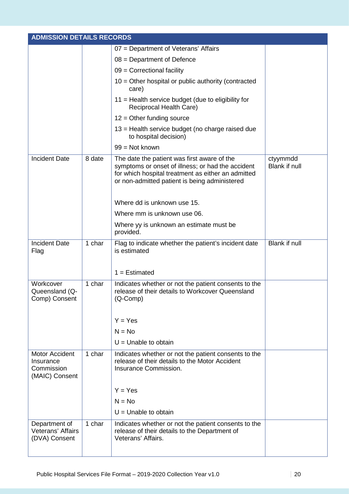| <b>ADMISSION DETAILS RECORDS</b>                                   |        |                                                                                                                                                                                                         |                                  |
|--------------------------------------------------------------------|--------|---------------------------------------------------------------------------------------------------------------------------------------------------------------------------------------------------------|----------------------------------|
|                                                                    |        | 07 = Department of Veterans' Affairs                                                                                                                                                                    |                                  |
|                                                                    |        | $08 = Department of Defense$                                                                                                                                                                            |                                  |
|                                                                    |        | $09$ = Correctional facility                                                                                                                                                                            |                                  |
|                                                                    |        | $10 =$ Other hospital or public authority (contracted<br>care)                                                                                                                                          |                                  |
|                                                                    |        | 11 = Health service budget (due to eligibility for<br>Reciprocal Health Care)                                                                                                                           |                                  |
|                                                                    |        | $12$ = Other funding source                                                                                                                                                                             |                                  |
|                                                                    |        | 13 = Health service budget (no charge raised due<br>to hospital decision)                                                                                                                               |                                  |
|                                                                    |        | 99 = Not known                                                                                                                                                                                          |                                  |
| <b>Incident Date</b>                                               | 8 date | The date the patient was first aware of the<br>symptoms or onset of illness; or had the accident<br>for which hospital treatment as either an admitted<br>or non-admitted patient is being administered | ctyymmdd<br><b>Blank if null</b> |
|                                                                    |        | Where dd is unknown use 15.                                                                                                                                                                             |                                  |
|                                                                    |        | Where mm is unknown use 06.                                                                                                                                                                             |                                  |
|                                                                    |        | Where yy is unknown an estimate must be<br>provided.                                                                                                                                                    |                                  |
| <b>Incident Date</b><br>Flag                                       | 1 char | Flag to indicate whether the patient's incident date<br>is estimated                                                                                                                                    | Blank if null                    |
|                                                                    |        | $1 =$ Estimated                                                                                                                                                                                         |                                  |
| Workcover<br>Queensland (Q-<br>Comp) Consent                       | 1 char | Indicates whether or not the patient consents to the<br>release of their details to Workcover Queensland<br>(Q-Comp)                                                                                    |                                  |
|                                                                    |        | $Y = Yes$                                                                                                                                                                                               |                                  |
|                                                                    |        | $N = No$                                                                                                                                                                                                |                                  |
|                                                                    |        | $U =$ Unable to obtain                                                                                                                                                                                  |                                  |
| <b>Motor Accident</b><br>Insurance<br>Commission<br>(MAIC) Consent | 1 char | Indicates whether or not the patient consents to the<br>release of their details to the Motor Accident<br>Insurance Commission.                                                                         |                                  |
|                                                                    |        | $Y = Yes$                                                                                                                                                                                               |                                  |
|                                                                    |        | $N = No$                                                                                                                                                                                                |                                  |
|                                                                    |        | $U =$ Unable to obtain                                                                                                                                                                                  |                                  |
| Department of<br>Veterans' Affairs<br>(DVA) Consent                | 1 char | Indicates whether or not the patient consents to the<br>release of their details to the Department of<br>Veterans' Affairs.                                                                             |                                  |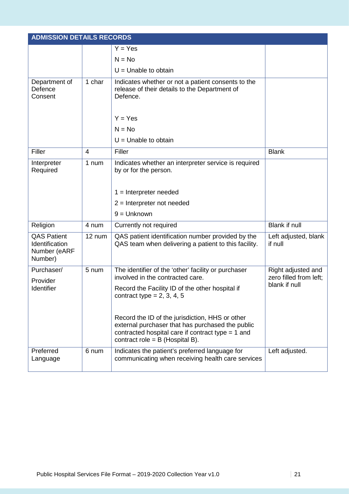|                                                                 | <b>ADMISSION DETAILS RECORDS</b> |                                                                                                                                                                                                 |                                              |  |  |
|-----------------------------------------------------------------|----------------------------------|-------------------------------------------------------------------------------------------------------------------------------------------------------------------------------------------------|----------------------------------------------|--|--|
|                                                                 |                                  | $Y = Yes$                                                                                                                                                                                       |                                              |  |  |
|                                                                 |                                  | $N = No$                                                                                                                                                                                        |                                              |  |  |
|                                                                 |                                  | $U =$ Unable to obtain                                                                                                                                                                          |                                              |  |  |
| Department of<br>Defence<br>Consent                             | 1 char                           | Indicates whether or not a patient consents to the<br>release of their details to the Department of<br>Defence.                                                                                 |                                              |  |  |
|                                                                 |                                  | $Y = Yes$                                                                                                                                                                                       |                                              |  |  |
|                                                                 |                                  | $N = No$                                                                                                                                                                                        |                                              |  |  |
|                                                                 |                                  | $U =$ Unable to obtain                                                                                                                                                                          |                                              |  |  |
| Filler                                                          | $\overline{4}$                   | Filler                                                                                                                                                                                          | <b>Blank</b>                                 |  |  |
| Interpreter<br>Required                                         | 1 num                            | Indicates whether an interpreter service is required<br>by or for the person.                                                                                                                   |                                              |  |  |
|                                                                 |                                  | $1 =$ Interpreter needed                                                                                                                                                                        |                                              |  |  |
|                                                                 |                                  | $2$ = Interpreter not needed                                                                                                                                                                    |                                              |  |  |
|                                                                 |                                  | $9 =$ Unknown                                                                                                                                                                                   |                                              |  |  |
| Religion                                                        | 4 num                            | Currently not required                                                                                                                                                                          | Blank if null                                |  |  |
| <b>QAS Patient</b><br>Identification<br>Number (eARF<br>Number) | 12 num                           | QAS patient identification number provided by the<br>QAS team when delivering a patient to this facility.                                                                                       | Left adjusted, blank<br>if null              |  |  |
| Purchaser/                                                      | 5 num                            | The identifier of the 'other' facility or purchaser<br>involved in the contracted care.                                                                                                         | Right adjusted and<br>zero filled from left; |  |  |
| Provider<br>Identifier                                          |                                  | Record the Facility ID of the other hospital if<br>contract type = $2, 3, 4, 5$                                                                                                                 | blank if null                                |  |  |
|                                                                 |                                  | Record the ID of the jurisdiction, HHS or other<br>external purchaser that has purchased the public<br>contracted hospital care if contract type $= 1$ and<br>contract role = $B$ (Hospital B). |                                              |  |  |
| Preferred<br>Language                                           | 6 num                            | Indicates the patient's preferred language for<br>communicating when receiving health care services                                                                                             | Left adjusted.                               |  |  |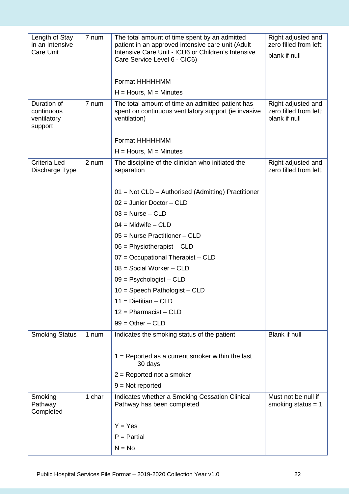| Length of Stay<br>in an Intensive                   | 7 num  | The total amount of time spent by an admitted<br>patient in an approved intensive care unit (Adult                       | Right adjusted and<br>zero filled from left;                  |
|-----------------------------------------------------|--------|--------------------------------------------------------------------------------------------------------------------------|---------------------------------------------------------------|
| <b>Care Unit</b>                                    |        | Intensive Care Unit - ICU6 or Children's Intensive<br>Care Service Level 6 - CIC6)                                       | blank if null                                                 |
|                                                     |        | Format HHHHHMM                                                                                                           |                                                               |
|                                                     |        | $H =$ Hours, M = Minutes                                                                                                 |                                                               |
| Duration of<br>continuous<br>ventilatory<br>support | 7 num  | The total amount of time an admitted patient has<br>spent on continuous ventilatory support (ie invasive<br>ventilation) | Right adjusted and<br>zero filled from left:<br>blank if null |
|                                                     |        | Format HHHHHMM                                                                                                           |                                                               |
|                                                     |        | $H =$ Hours, M = Minutes                                                                                                 |                                                               |
| Criteria Led<br>Discharge Type                      | 2 num  | The discipline of the clinician who initiated the<br>separation                                                          | Right adjusted and<br>zero filled from left.                  |
|                                                     |        | 01 = Not CLD - Authorised (Admitting) Practitioner                                                                       |                                                               |
|                                                     |        | $02 =$ Junior Doctor - CLD                                                                                               |                                                               |
|                                                     |        | $03$ = Nurse – CLD                                                                                                       |                                                               |
|                                                     |        | $04 =$ Midwife $-$ CLD                                                                                                   |                                                               |
|                                                     |        | 05 = Nurse Practitioner - CLD                                                                                            |                                                               |
|                                                     |        | $06$ = Physiotherapist – CLD                                                                                             |                                                               |
|                                                     |        | $07 = Occupational Therapist - CLD$                                                                                      |                                                               |
|                                                     |        | $08 =$ Social Worker - CLD                                                                                               |                                                               |
|                                                     |        | $09 =$ Psychologist – CLD                                                                                                |                                                               |
|                                                     |        | $10 =$ Speech Pathologist - CLD                                                                                          |                                                               |
|                                                     |        | $11 = Dietitian - CLD$                                                                                                   |                                                               |
|                                                     |        | $12 =$ Pharmacist - CLD                                                                                                  |                                                               |
|                                                     |        | $99 = Other - CLD$                                                                                                       |                                                               |
| <b>Smoking Status</b>                               | 1 num  | Indicates the smoking status of the patient                                                                              | Blank if null                                                 |
|                                                     |        | $1 =$ Reported as a current smoker within the last                                                                       |                                                               |
|                                                     |        | 30 days.                                                                                                                 |                                                               |
|                                                     |        | $2 =$ Reported not a smoker                                                                                              |                                                               |
|                                                     |        | $9 = Not$ reported                                                                                                       |                                                               |
| Smoking<br>Pathway<br>Completed                     | 1 char | Indicates whether a Smoking Cessation Clinical<br>Pathway has been completed                                             | Must not be null if<br>smoking status $= 1$                   |
|                                                     |        | $Y = Yes$                                                                                                                |                                                               |
|                                                     |        | $P =$ Partial                                                                                                            |                                                               |
|                                                     |        | $N = No$                                                                                                                 |                                                               |
|                                                     |        |                                                                                                                          |                                                               |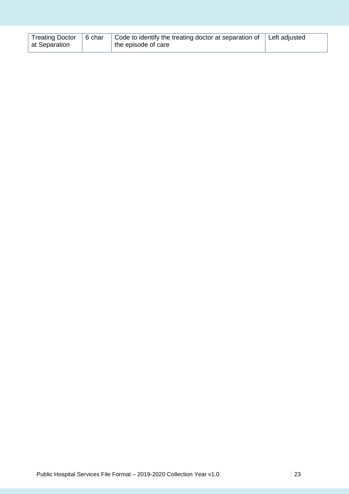| Treating Doctor   6 char | Code to identify the treating doctor at separation of   Left adjusted |  |
|--------------------------|-----------------------------------------------------------------------|--|
| at Separation            | the episode of care                                                   |  |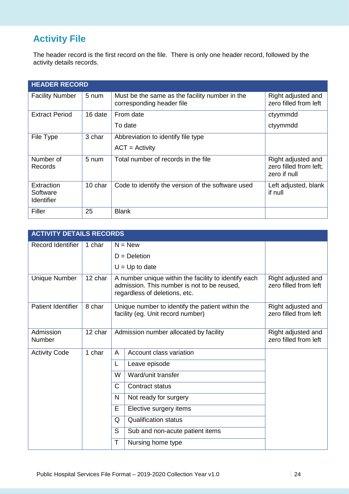# **Activity File**

The header record is the first record on the file. There is only one header record, followed by the activity details records.

|                                             | <b>HEADER RECORD</b> |                                                                             |                                                              |  |  |  |
|---------------------------------------------|----------------------|-----------------------------------------------------------------------------|--------------------------------------------------------------|--|--|--|
| <b>Facility Number</b>                      | 5 num                | Must be the same as the facility number in the<br>corresponding header file | Right adjusted and<br>zero filled from left                  |  |  |  |
| <b>Extract Period</b>                       | 16 date              | From date                                                                   | ctyymmdd                                                     |  |  |  |
|                                             |                      | To date                                                                     | ctyymmdd                                                     |  |  |  |
| File Type                                   | 3 char               | Abbreviation to identify file type                                          |                                                              |  |  |  |
|                                             |                      | $ACT = Activity$                                                            |                                                              |  |  |  |
| Number of<br>Records                        | 5 num                | Total number of records in the file                                         | Right adjusted and<br>zero filled from left;<br>zero if null |  |  |  |
| Extraction<br>Software<br><b>Identifier</b> | 10 char              | Code to identify the version of the software used                           | Left adjusted, blank<br>if null                              |  |  |  |
| Filler                                      | 25                   | <b>Blank</b>                                                                |                                                              |  |  |  |

|                           | <b>ACTIVITY DETAILS RECORDS</b> |   |                                                                                                                                      |                                             |  |  |
|---------------------------|---------------------------------|---|--------------------------------------------------------------------------------------------------------------------------------------|---------------------------------------------|--|--|
| Record Identifier         | 1 char                          |   | $N = New$                                                                                                                            |                                             |  |  |
|                           |                                 |   | $D = Deletion$                                                                                                                       |                                             |  |  |
|                           |                                 |   | $U = Up$ to date                                                                                                                     |                                             |  |  |
| Unique Number             | 12 char                         |   | A number unique within the facility to identify each<br>admission. This number is not to be reused,<br>regardless of deletions, etc. | Right adjusted and<br>zero filled from left |  |  |
| <b>Patient Identifier</b> | 8 char                          |   | Unique number to identify the patient within the<br>facility (eg. Unit record number)                                                | Right adjusted and<br>zero filled from left |  |  |
| Admission<br>Number       | 12 char                         |   | Admission number allocated by facility                                                                                               | Right adjusted and<br>zero filled from left |  |  |
| <b>Activity Code</b>      | 1 char                          | A | Account class variation                                                                                                              |                                             |  |  |
|                           |                                 | L | Leave episode                                                                                                                        |                                             |  |  |
|                           |                                 | W | Ward/unit transfer                                                                                                                   |                                             |  |  |
|                           |                                 | C | <b>Contract status</b>                                                                                                               |                                             |  |  |
|                           |                                 | N | Not ready for surgery                                                                                                                |                                             |  |  |
|                           |                                 | E | Elective surgery items                                                                                                               |                                             |  |  |
|                           |                                 | Q | <b>Qualification status</b>                                                                                                          |                                             |  |  |
|                           |                                 | S | Sub and non-acute patient items                                                                                                      |                                             |  |  |
|                           |                                 | T | Nursing home type                                                                                                                    |                                             |  |  |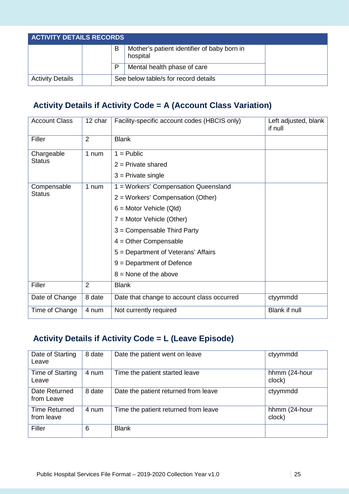| <b>ACTIVITY DETAILS RECORDS</b> |  |   |                                                         |  |  |
|---------------------------------|--|---|---------------------------------------------------------|--|--|
|                                 |  | в | Mother's patient identifier of baby born in<br>hospital |  |  |
|                                 |  | D | Mental health phase of care                             |  |  |
| <b>Activity Details</b>         |  |   | See below table/s for record details                    |  |  |

## **Activity Details if Activity Code = A (Account Class Variation)**

| <b>Account Class</b> | 12 char        | Facility-specific account codes (HBCIS only)<br>Left adjusted, blank<br>if null |                      |  |  |  |  |
|----------------------|----------------|---------------------------------------------------------------------------------|----------------------|--|--|--|--|
| Filler               | $\overline{2}$ | <b>Blank</b>                                                                    |                      |  |  |  |  |
| Chargeable           | 1 num          | $1 =$ Public                                                                    |                      |  |  |  |  |
| Status               |                | $2$ = Private shared                                                            |                      |  |  |  |  |
|                      |                | $3$ = Private single                                                            |                      |  |  |  |  |
| Compensable          | 1 num          | 1 = Workers' Compensation Queensland                                            |                      |  |  |  |  |
| <b>Status</b>        |                | 2 = Workers' Compensation (Other)                                               |                      |  |  |  |  |
|                      |                | $6 =$ Motor Vehicle (Qld)                                                       |                      |  |  |  |  |
|                      |                | $7 =$ Motor Vehicle (Other)                                                     |                      |  |  |  |  |
|                      |                | $3 =$ Compensable Third Party                                                   |                      |  |  |  |  |
|                      |                | $4 =$ Other Compensable                                                         |                      |  |  |  |  |
|                      |                | 5 = Department of Veterans' Affairs                                             |                      |  |  |  |  |
|                      |                | $9 = Department of Defense$                                                     |                      |  |  |  |  |
|                      |                | $8 =$ None of the above                                                         |                      |  |  |  |  |
| Filler               | 2              | <b>Blank</b>                                                                    |                      |  |  |  |  |
| Date of Change       | 8 date         | Date that change to account class occurred                                      | ctyymmdd             |  |  |  |  |
| Time of Change       | 4 num          | Not currently required                                                          | <b>Blank if null</b> |  |  |  |  |

# **Activity Details if Activity Code = L (Leave Episode)**

| Date of Starting<br>Leave          | 8 date | Date the patient went on leave       | ctyymmdd                |
|------------------------------------|--------|--------------------------------------|-------------------------|
| Time of Starting<br>Leave          | 4 num  | Time the patient started leave       | hhmm (24-hour<br>clock) |
| Date Returned<br>from Leave        | 8 date | Date the patient returned from leave | ctyymmdd                |
| <b>Time Returned</b><br>from leave | 4 num  | Time the patient returned from leave | hhmm (24-hour<br>clock) |
| Filler                             | 6      | <b>Blank</b>                         |                         |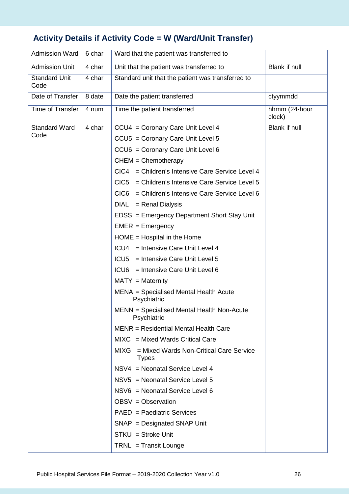# **Activity Details if Activity Code = W (Ward/Unit Transfer)**

| <b>Admission Ward</b>        | 6 char | Ward that the patient was transferred to                        |                         |  |  |  |
|------------------------------|--------|-----------------------------------------------------------------|-------------------------|--|--|--|
| <b>Admission Unit</b>        | 4 char | Unit that the patient was transferred to                        | Blank if null           |  |  |  |
| <b>Standard Unit</b><br>Code | 4 char | Standard unit that the patient was transferred to               |                         |  |  |  |
| Date of Transfer             | 8 date | Date the patient transferred                                    | ctyymmdd                |  |  |  |
| Time of Transfer             | 4 num  | Time the patient transferred                                    | hhmm (24-hour<br>clock) |  |  |  |
| <b>Standard Ward</b>         | 4 char | CCU4 = Coronary Care Unit Level 4                               | Blank if null           |  |  |  |
| Code                         |        | CCU5 = Coronary Care Unit Level 5                               |                         |  |  |  |
|                              |        | CCU6 = Coronary Care Unit Level 6                               |                         |  |  |  |
|                              |        | $CHEM = Chemotherapy$                                           |                         |  |  |  |
|                              |        | CIC4 = Children's Intensive Care Service Level 4                |                         |  |  |  |
|                              |        | CIC <sub>5</sub><br>= Children's Intensive Care Service Level 5 |                         |  |  |  |
|                              |        | CIC6<br>= Children's Intensive Care Service Level 6             |                         |  |  |  |
|                              |        | DIAL<br>= Renal Dialysis                                        |                         |  |  |  |
|                              |        | EDSS = Emergency Department Short Stay Unit                     |                         |  |  |  |
|                              |        | $EMER = Emergency$                                              |                         |  |  |  |
|                              |        | $HOME = Hospital in the Home$                                   |                         |  |  |  |
|                              |        | ICU4 = Intensive Care Unit Level 4                              |                         |  |  |  |
|                              |        | ICU5 = Intensive Care Unit Level 5                              |                         |  |  |  |
|                              |        | ICU6 = Intensive Care Unit Level 6                              |                         |  |  |  |
|                              |        | $MATY = Maternity$                                              |                         |  |  |  |
|                              |        | MENA = Specialised Mental Health Acute<br>Psychiatric           |                         |  |  |  |
|                              |        | MENN = Specialised Mental Health Non-Acute<br>Psychiatric       |                         |  |  |  |
|                              |        | MENR = Residential Mental Health Care                           |                         |  |  |  |
|                              |        | $MIXC = Mixed WardS Critical Care$                              |                         |  |  |  |
|                              |        | MIXG = Mixed Wards Non-Critical Care Service<br><b>Types</b>    |                         |  |  |  |
|                              |        | NSV4 = Neonatal Service Level 4                                 |                         |  |  |  |
|                              |        | $NSV5$ = Neonatal Service Level 5                               |                         |  |  |  |
|                              |        | NSV6 = Neonatal Service Level 6                                 |                         |  |  |  |
|                              |        | OBSV = Observation                                              |                         |  |  |  |
|                              |        | PAED = Paediatric Services                                      |                         |  |  |  |
|                              |        | $SNAP = Designated SNAP$ Unit                                   |                         |  |  |  |
|                              |        | $STKU = Stroke Unit$                                            |                         |  |  |  |
|                              |        | TRNL = Transit Lounge                                           |                         |  |  |  |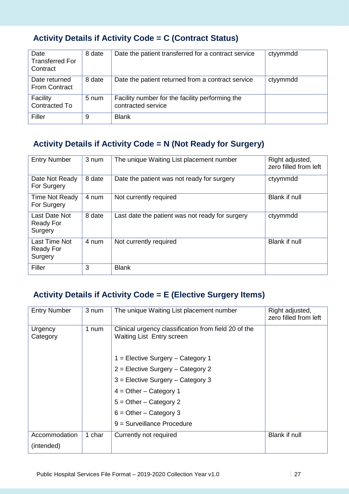# **Activity Details if Activity Code = C (Contract Status)**

| Date<br><b>Transferred For</b><br>Contract | 8 date | Date the patient transferred for a contract service                   | ctyymmdd |
|--------------------------------------------|--------|-----------------------------------------------------------------------|----------|
| Date returned<br><b>From Contract</b>      | 8 date | Date the patient returned from a contract service                     | ctyymmdd |
| Facility<br>Contracted To                  | 5 num  | Facility number for the facility performing the<br>contracted service |          |
| Filler                                     | 9      | <b>Blank</b>                                                          |          |

### **Activity Details if Activity Code = N (Not Ready for Surgery)**

| <b>Entry Number</b>                          | 3 num  | The unique Waiting List placement number        | Right adjusted,<br>zero filled from left |
|----------------------------------------------|--------|-------------------------------------------------|------------------------------------------|
| Date Not Ready<br>For Surgery                | 8 date | Date the patient was not ready for surgery      | ctyymmdd                                 |
| Time Not Ready<br>For Surgery                | 4 num  | Not currently required                          | <b>Blank if null</b>                     |
| Last Date Not<br><b>Ready For</b><br>Surgery | 8 date | Last date the patient was not ready for surgery | ctyymmdd                                 |
| Last Time Not<br><b>Ready For</b><br>Surgery | 4 num  | Not currently required                          | <b>Blank if null</b>                     |
| Filler                                       | 3      | <b>Blank</b>                                    |                                          |

### **Activity Details if Activity Code = E (Elective Surgery Items)**

| <b>Entry Number</b>         | 3 num  | The unique Waiting List placement number                                                 | Right adjusted,<br>zero filled from left |
|-----------------------------|--------|------------------------------------------------------------------------------------------|------------------------------------------|
| Urgency<br>Category         | 1 num  | Clinical urgency classification from field 20 of the<br><b>Waiting List Entry screen</b> |                                          |
|                             |        | 1 = Elective Surgery - Category 1                                                        |                                          |
|                             |        | 2 = Elective Surgery - Category 2                                                        |                                          |
|                             |        | $3$ = Elective Surgery – Category 3                                                      |                                          |
|                             |        | $4 = Other - Category 1$                                                                 |                                          |
|                             |        | $5 =$ Other – Category 2                                                                 |                                          |
|                             |        | $6 =$ Other – Category 3                                                                 |                                          |
|                             |        | 9 = Surveillance Procedure                                                               |                                          |
| Accommodation<br>(intended) | 1 char | Currently not required                                                                   | <b>Blank if null</b>                     |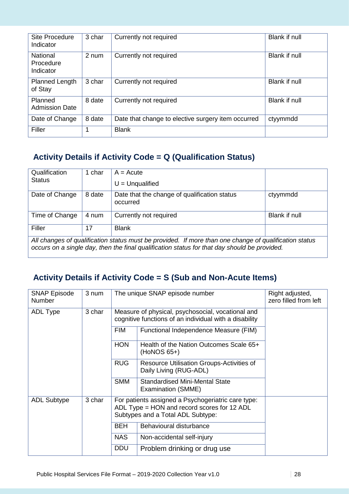| Site Procedure<br>Indicator               | 3 char | Currently not required                             | <b>Blank if null</b> |
|-------------------------------------------|--------|----------------------------------------------------|----------------------|
| <b>National</b><br>Procedure<br>Indicator | 2 num  | Currently not required                             | Blank if null        |
| <b>Planned Length</b><br>of Stay          | 3 char | Currently not required                             | Blank if null        |
| Planned<br><b>Admission Date</b>          | 8 date | Currently not required                             | Blank if null        |
| Date of Change                            | 8 date | Date that change to elective surgery item occurred | ctyymmdd             |
| Filler                                    | 1      | <b>Blank</b>                                       |                      |

## **Activity Details if Activity Code = Q (Qualification Status)**

| Qualification<br><b>Status</b>                                                                                                                                                                        | 1 char             | $A = Acute$<br>$U =$ Unqualified                         |               |  |  |
|-------------------------------------------------------------------------------------------------------------------------------------------------------------------------------------------------------|--------------------|----------------------------------------------------------|---------------|--|--|
| Date of Change                                                                                                                                                                                        | 8 date             | Date that the change of qualification status<br>occurred | ctyymmdd      |  |  |
| Time of Change                                                                                                                                                                                        | 4 num              | Currently not required                                   | Blank if null |  |  |
| Filler                                                                                                                                                                                                | 17<br><b>Blank</b> |                                                          |               |  |  |
| All changes of qualification status must be provided. If more than one change of qualification status<br>occurs on a single day, then the final qualification status for that day should be provided. |                    |                                                          |               |  |  |

### **Activity Details if Activity Code = S (Sub and Non-Acute Items)**

| <b>SNAP Episode</b><br><b>Number</b> | 3 num  |                                                                                                             | The unique SNAP episode number                                                                                                         | Right adjusted,<br>zero filled from left |  |  |  |  |  |  |  |  |  |  |  |  |            |
|--------------------------------------|--------|-------------------------------------------------------------------------------------------------------------|----------------------------------------------------------------------------------------------------------------------------------------|------------------------------------------|--|--|--|--|--|--|--|--|--|--|--|--|------------|
| ADL Type                             | 3 char | Measure of physical, psychosocial, vocational and<br>cognitive functions of an individual with a disability |                                                                                                                                        |                                          |  |  |  |  |  |  |  |  |  |  |  |  |            |
|                                      |        | <b>FIM</b>                                                                                                  | Functional Independence Measure (FIM)                                                                                                  |                                          |  |  |  |  |  |  |  |  |  |  |  |  |            |
|                                      |        | <b>HON</b>                                                                                                  | Health of the Nation Outcomes Scale 65+<br>$(HoNOS 65+)$                                                                               |                                          |  |  |  |  |  |  |  |  |  |  |  |  |            |
|                                      |        | <b>RUG</b>                                                                                                  | Resource Utilisation Groups-Activities of<br>Daily Living (RUG-ADL)                                                                    |                                          |  |  |  |  |  |  |  |  |  |  |  |  |            |
|                                      |        | <b>SMM</b>                                                                                                  | <b>Standardised Mini-Mental State</b><br>Examination (SMME)                                                                            |                                          |  |  |  |  |  |  |  |  |  |  |  |  |            |
| <b>ADL Subtype</b>                   | 3 char |                                                                                                             | For patients assigned a Psychogeriatric care type:<br>ADL Type = HON and record scores for 12 ADL<br>Subtypes and a Total ADL Subtype: |                                          |  |  |  |  |  |  |  |  |  |  |  |  |            |
|                                      |        | <b>BEH</b>                                                                                                  | Behavioural disturbance                                                                                                                |                                          |  |  |  |  |  |  |  |  |  |  |  |  |            |
|                                      |        | <b>NAS</b>                                                                                                  | Non-accidental self-injury                                                                                                             |                                          |  |  |  |  |  |  |  |  |  |  |  |  |            |
|                                      |        |                                                                                                             |                                                                                                                                        |                                          |  |  |  |  |  |  |  |  |  |  |  |  | <b>DDU</b> |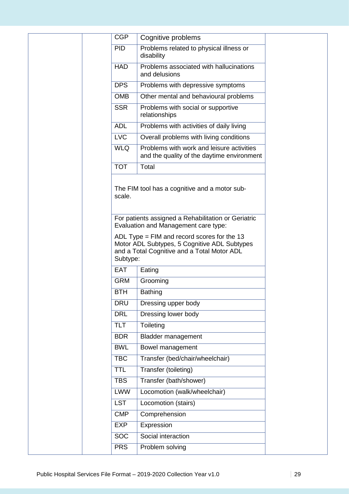| <b>CGP</b>               | Cognitive problems                                                                                                                                                                   |
|--------------------------|--------------------------------------------------------------------------------------------------------------------------------------------------------------------------------------|
| <b>PID</b>               | Problems related to physical illness or<br>disability                                                                                                                                |
| <b>HAD</b>               | Problems associated with hallucinations<br>and delusions                                                                                                                             |
| <b>DPS</b>               | Problems with depressive symptoms                                                                                                                                                    |
| <b>OMB</b>               | Other mental and behavioural problems                                                                                                                                                |
| <b>SSR</b>               | Problems with social or supportive<br>relationships                                                                                                                                  |
| <b>ADL</b>               | Problems with activities of daily living                                                                                                                                             |
| <b>LVC</b>               | Overall problems with living conditions                                                                                                                                              |
| <b>WLQ</b>               | Problems with work and leisure activities<br>and the quality of the daytime environment                                                                                              |
| <b>TOT</b>               | Total                                                                                                                                                                                |
|                          | Evaluation and Management care type:<br>ADL Type $=$ FIM and record scores for the 13<br>Motor ADL Subtypes, 5 Cognitive ADL Subtypes<br>and a Total Cognitive and a Total Motor ADL |
| Subtype:<br><b>EAT</b>   |                                                                                                                                                                                      |
|                          | Eating                                                                                                                                                                               |
| <b>GRM</b>               | Grooming                                                                                                                                                                             |
| <b>BTH</b>               | <b>Bathing</b>                                                                                                                                                                       |
| <b>DRU</b><br><b>DRL</b> | Dressing upper body<br>Dressing lower body                                                                                                                                           |
| <b>TLT</b>               | Toileting                                                                                                                                                                            |
| <b>BDR</b>               |                                                                                                                                                                                      |
|                          |                                                                                                                                                                                      |
|                          | <b>Bladder management</b>                                                                                                                                                            |
| <b>BWL</b>               | Bowel management                                                                                                                                                                     |
| <b>TBC</b><br><b>TTL</b> | Transfer (bed/chair/wheelchair)<br>Transfer (toileting)                                                                                                                              |
| <b>TBS</b>               | Transfer (bath/shower)                                                                                                                                                               |
| <b>LWW</b>               | Locomotion (walk/wheelchair)                                                                                                                                                         |
| <b>LST</b>               | Locomotion (stairs)                                                                                                                                                                  |
| <b>CMP</b>               | Comprehension                                                                                                                                                                        |
| <b>EXP</b>               | Expression                                                                                                                                                                           |
| <b>SOC</b>               | Social interaction                                                                                                                                                                   |
| <b>PRS</b>               | Problem solving                                                                                                                                                                      |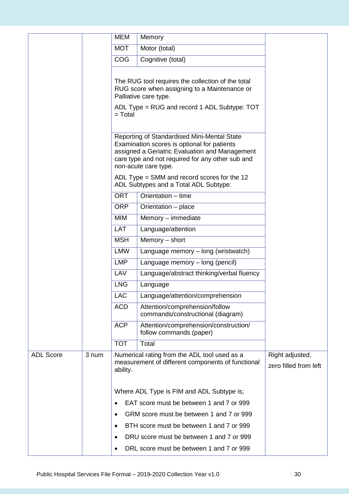|                  |       | <b>MEM</b> | Memory                                                                                                                                                                                                                   |                                          |
|------------------|-------|------------|--------------------------------------------------------------------------------------------------------------------------------------------------------------------------------------------------------------------------|------------------------------------------|
|                  |       | <b>MOT</b> | Motor (total)                                                                                                                                                                                                            |                                          |
|                  |       | <b>COG</b> | Cognitive (total)                                                                                                                                                                                                        |                                          |
|                  |       |            | The RUG tool requires the collection of the total                                                                                                                                                                        |                                          |
|                  |       |            | RUG score when assigning to a Maintenance or<br>Palliative care type.                                                                                                                                                    |                                          |
|                  |       | $=$ Total  | ADL Type = RUG and record 1 ADL Subtype: TOT                                                                                                                                                                             |                                          |
|                  |       |            | Reporting of Standardised Mini-Mental State<br>Examination scores is optional for patients<br>assigned a Geriatric Evaluation and Management<br>care type and not required for any other sub and<br>non-acute care type. |                                          |
|                  |       |            | ADL Type $=$ SMM and record scores for the 12<br>ADL Subtypes and a Total ADL Subtype:                                                                                                                                   |                                          |
|                  |       | <b>ORT</b> | Orientation - time                                                                                                                                                                                                       |                                          |
|                  |       | <b>ORP</b> | Orientation - place                                                                                                                                                                                                      |                                          |
|                  |       | <b>MIM</b> | Memory - immediate                                                                                                                                                                                                       |                                          |
|                  |       | <b>LAT</b> | Language/attention                                                                                                                                                                                                       |                                          |
|                  |       | <b>MSH</b> | Memory - short                                                                                                                                                                                                           |                                          |
|                  |       | <b>LMW</b> | Language memory - long (wristwatch)                                                                                                                                                                                      |                                          |
|                  |       | <b>LMP</b> | Language memory – long (pencil)                                                                                                                                                                                          |                                          |
|                  |       | LAV        | Language/abstract thinking/verbal fluency                                                                                                                                                                                |                                          |
|                  |       | <b>LNG</b> | Language                                                                                                                                                                                                                 |                                          |
|                  |       | LAC        | Language/attention/comprehension                                                                                                                                                                                         |                                          |
|                  |       | <b>ACD</b> | Attention/comprehension/follow<br>commands/constructional (diagram)                                                                                                                                                      |                                          |
|                  |       | <b>ACP</b> | Attention/comprehension/construction/<br>follow commands (paper)                                                                                                                                                         |                                          |
|                  |       | <b>TOT</b> | Total                                                                                                                                                                                                                    |                                          |
| <b>ADL Score</b> | 3 num | ability.   | Numerical rating from the ADL tool used as a<br>measurement of different components of functional                                                                                                                        | Right adjusted,<br>zero filled from left |
|                  |       |            | Where ADL Type is FIM and ADL Subtype is;                                                                                                                                                                                |                                          |
|                  |       |            | EAT score must be between 1 and 7 or 999                                                                                                                                                                                 |                                          |
|                  |       | $\bullet$  | GRM score must be between 1 and 7 or 999                                                                                                                                                                                 |                                          |
|                  |       | $\bullet$  | BTH score must be between 1 and 7 or 999                                                                                                                                                                                 |                                          |
|                  |       | $\bullet$  | DRU score must be between 1 and 7 or 999                                                                                                                                                                                 |                                          |
|                  |       | $\bullet$  | DRL score must be between 1 and 7 or 999                                                                                                                                                                                 |                                          |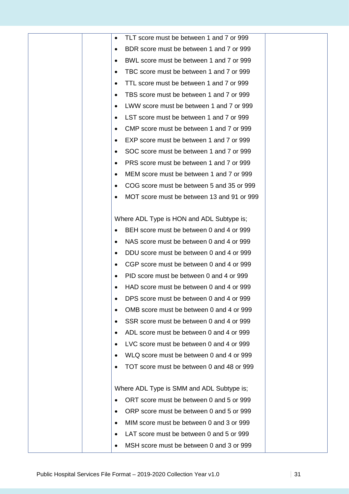| TLT score must be between 1 and 7 or 999<br>٠         |
|-------------------------------------------------------|
| BDR score must be between 1 and 7 or 999<br>$\bullet$ |
| BWL score must be between 1 and 7 or 999<br>٠         |
| TBC score must be between 1 and 7 or 999<br>٠         |
| TTL score must be between 1 and 7 or 999<br>$\bullet$ |
| TBS score must be between 1 and 7 or 999<br>$\bullet$ |
| LWW score must be between 1 and 7 or 999              |
| LST score must be between 1 and 7 or 999<br>٠         |
| CMP score must be between 1 and 7 or 999              |
| EXP score must be between 1 and 7 or 999<br>$\bullet$ |
| SOC score must be between 1 and 7 or 999              |
| PRS score must be between 1 and 7 or 999              |
| MEM score must be between 1 and 7 or 999<br>٠         |
| COG score must be between 5 and 35 or 999<br>٠        |
| MOT score must be between 13 and 91 or 999            |
|                                                       |
| Where ADL Type is HON and ADL Subtype is;             |
| BEH score must be between 0 and 4 or 999              |
| NAS score must be between 0 and 4 or 999<br>$\bullet$ |
| DDU score must be between 0 and 4 or 999<br>$\bullet$ |
| CGP score must be between 0 and 4 or 999<br>٠         |
| PID score must be between 0 and 4 or 999              |
| HAD score must be between 0 and 4 or 999              |
| DPS score must be between 0 and 4 or 999              |
| OMB score must be between 0 and 4 or 999              |
| SSR score must be between 0 and 4 or 999              |
| ADL score must be between 0 and 4 or 999              |
| LVC score must be between 0 and 4 or 999<br>$\bullet$ |
| WLQ score must be between 0 and 4 or 999              |
| TOT score must be between 0 and 48 or 999             |
|                                                       |
| Where ADL Type is SMM and ADL Subtype is;             |
| ORT score must be between 0 and 5 or 999              |
| ORP score must be between 0 and 5 or 999<br>$\bullet$ |
| MIM score must be between 0 and 3 or 999              |
| LAT score must be between 0 and 5 or 999              |
| MSH score must be between 0 and 3 or 999              |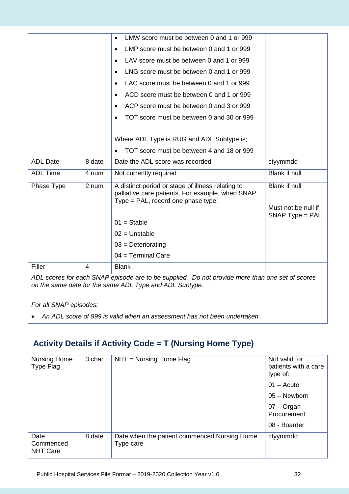|                 |        | LMW score must be between 0 and 1 or 999                                                                                                    |                      |
|-----------------|--------|---------------------------------------------------------------------------------------------------------------------------------------------|----------------------|
|                 |        | LMP score must be between 0 and 1 or 999<br>$\bullet$                                                                                       |                      |
|                 |        | LAV score must be between 0 and 1 or 999                                                                                                    |                      |
|                 |        | LNG score must be between 0 and 1 or 999                                                                                                    |                      |
|                 |        | LAC score must be between 0 and 1 or 999                                                                                                    |                      |
|                 |        | ACD score must be between 0 and 1 or 999<br>$\bullet$                                                                                       |                      |
|                 |        | ACP score must be between 0 and 3 or 999                                                                                                    |                      |
|                 |        | TOT score must be between 0 and 30 or 999                                                                                                   |                      |
|                 |        |                                                                                                                                             |                      |
|                 |        | Where ADL Type is RUG and ADL Subtype is;                                                                                                   |                      |
|                 |        | TOT score must be between 4 and 18 or 999                                                                                                   |                      |
| <b>ADL Date</b> | 8 date | Date the ADL score was recorded                                                                                                             | ctyymmdd             |
| <b>ADL Time</b> | 4 num  | Not currently required                                                                                                                      | Blank if null        |
| Phase Type      | 2 num  | A distinct period or stage of illness relating to<br>palliative care patients. For example, when SNAP<br>Type = PAL, record one phase type: | <b>Blank if null</b> |
|                 |        |                                                                                                                                             | Must not be null if  |
|                 |        | $01 =$ Stable                                                                                                                               | $SNAP$ Type = PAL    |
|                 |        | $02 = Unstable$                                                                                                                             |                      |
|                 |        | $03$ = Deteriorating                                                                                                                        |                      |
|                 |        | $04 = Terminal Care$                                                                                                                        |                      |
| Filler          | 4      | <b>Blank</b>                                                                                                                                |                      |
|                 |        |                                                                                                                                             |                      |

*ADL scores for each SNAP episode are to be supplied. Do not provide more than one set of scores on the same date for the same ADL Type and ADL Subtype.* 

*For all SNAP episodes:* 

• *An ADL score of 999 is valid when an assessment has not been undertaken.*

### **Activity Details if Activity Code = T (Nursing Home Type)**

| <b>Nursing Home</b><br>Type Flag     | 3 char | $NHT = Nursing Home Flag$                                 | Not valid for<br>patients with a care<br>type of: |
|--------------------------------------|--------|-----------------------------------------------------------|---------------------------------------------------|
|                                      |        |                                                           | $01 -$ Acute                                      |
|                                      |        |                                                           | $05 -$ Newborn                                    |
|                                      |        |                                                           | $07 -$ Organ<br>Procurement                       |
|                                      |        |                                                           | 08 - Boarder                                      |
| Date<br>Commenced<br><b>NHT Care</b> | 8 date | Date when the patient commenced Nursing Home<br>Type care | ctyymmdd                                          |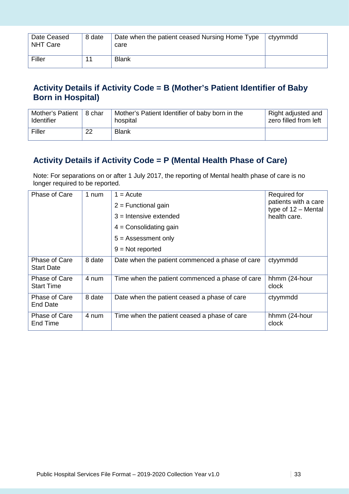| Date Ceased<br><b>NHT Care</b> | 8 date | Date when the patient ceased Nursing Home Type<br>care | ctyymmdd |
|--------------------------------|--------|--------------------------------------------------------|----------|
| Filler                         |        | <b>Blank</b>                                           |          |

### **Activity Details if Activity Code = B (Mother's Patient Identifier of Baby Born in Hospital)**

| Mother's Patient   8 char |    | Mother's Patient Identifier of baby born in the | Right adjusted and    |
|---------------------------|----|-------------------------------------------------|-----------------------|
| <b>Identifier</b>         |    | hospital                                        | zero filled from left |
| Filler                    | 22 | <b>Blank</b>                                    |                       |

### **Activity Details if Activity Code = P (Mental Health Phase of Care)**

Note: For separations on or after 1 July 2017, the reporting of Mental health phase of care is no longer required to be reported.

| Phase of Care                      | 1 num  | $1 = Accute$<br>$2$ = Functional gain<br>$3$ = Intensive extended<br>$4 =$ Consolidating gain<br>$5 =$ Assessment only<br>$9 = Not$ reported | Required for<br>patients with a care<br>type of $12 -$ Mental<br>health care. |
|------------------------------------|--------|----------------------------------------------------------------------------------------------------------------------------------------------|-------------------------------------------------------------------------------|
| Phase of Care<br><b>Start Date</b> | 8 date | Date when the patient commenced a phase of care                                                                                              | ctyymmdd                                                                      |
| Phase of Care<br><b>Start Time</b> | 4 num  | Time when the patient commenced a phase of care                                                                                              | hhmm (24-hour<br>clock                                                        |
| Phase of Care<br>End Date          | 8 date | Date when the patient ceased a phase of care                                                                                                 | ctyymmdd                                                                      |
| Phase of Care<br>End Time          | 4 num  | Time when the patient ceased a phase of care                                                                                                 | hhmm (24-hour<br>clock                                                        |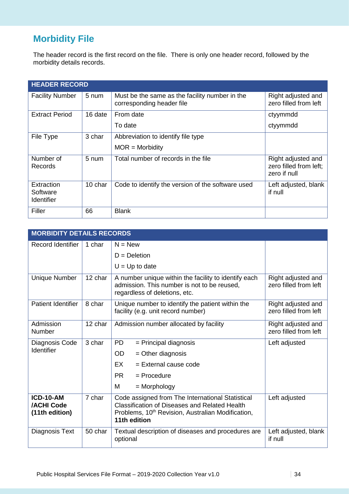# **Morbidity File**

The header record is the first record on the file. There is only one header record, followed by the morbidity details records.

| <b>HEADER RECORD</b>                        |         |                                                                             |                                                              |  |
|---------------------------------------------|---------|-----------------------------------------------------------------------------|--------------------------------------------------------------|--|
| <b>Facility Number</b>                      | 5 num   | Must be the same as the facility number in the<br>corresponding header file | Right adjusted and<br>zero filled from left                  |  |
| <b>Extract Period</b>                       | 16 date | From date                                                                   | ctyymmdd                                                     |  |
|                                             |         | To date                                                                     | ctyymmdd                                                     |  |
| File Type                                   | 3 char  | Abbreviation to identify file type                                          |                                                              |  |
|                                             |         | $MOR = Morbidity$                                                           |                                                              |  |
| Number of<br>Records                        | 5 num   | Total number of records in the file                                         | Right adjusted and<br>zero filled from left;<br>zero if null |  |
| Extraction<br>Software<br><b>Identifier</b> | 10 char | Code to identify the version of the software used                           | Left adjusted, blank<br>if null                              |  |
| Filler                                      | 66      | <b>Blank</b>                                                                |                                                              |  |

| <b>MORBIDITY DETAILS RECORDS</b>                        |         |                                                                                                                                                                                           |                                             |
|---------------------------------------------------------|---------|-------------------------------------------------------------------------------------------------------------------------------------------------------------------------------------------|---------------------------------------------|
| Record Identifier                                       | 1 char  | $N = New$                                                                                                                                                                                 |                                             |
|                                                         |         | $D = Deletion$                                                                                                                                                                            |                                             |
|                                                         |         | $U = Up$ to date                                                                                                                                                                          |                                             |
| Unique Number                                           | 12 char | A number unique within the facility to identify each<br>admission. This number is not to be reused,<br>regardless of deletions, etc.                                                      | Right adjusted and<br>zero filled from left |
| <b>Patient Identifier</b>                               | 8 char  | Unique number to identify the patient within the<br>facility (e.g. unit record number)                                                                                                    | Right adjusted and<br>zero filled from left |
| Admission<br><b>Number</b>                              | 12 char | Admission number allocated by facility                                                                                                                                                    | Right adjusted and<br>zero filled from left |
| Diagnosis Code                                          | 3 char  | <b>PD</b><br>= Principal diagnosis                                                                                                                                                        | Left adjusted                               |
| Identifier                                              |         | <b>OD</b><br>$=$ Other diagnosis                                                                                                                                                          |                                             |
|                                                         |         | <b>EX</b><br>$=$ External cause code                                                                                                                                                      |                                             |
|                                                         |         | PR.<br>$=$ Procedure                                                                                                                                                                      |                                             |
|                                                         |         | м<br>$=$ Morphology                                                                                                                                                                       |                                             |
| <b>ICD-10-AM</b><br><b>/ACHI Code</b><br>(11th edition) | 7 char  | Code assigned from The International Statistical<br><b>Classification of Diseases and Related Health</b><br>Problems, 10 <sup>th</sup> Revision, Australian Modification,<br>11th edition | Left adjusted                               |
| Diagnosis Text                                          | 50 char | Textual description of diseases and procedures are<br>optional                                                                                                                            | Left adjusted, blank<br>if null             |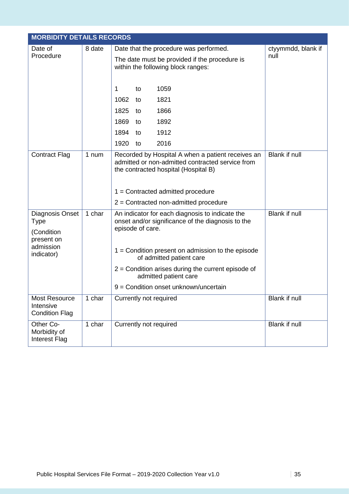|                                                     | <b>MORBIDITY DETAILS RECORDS</b> |                                                                                                                                                                                                                               |                      |  |  |
|-----------------------------------------------------|----------------------------------|-------------------------------------------------------------------------------------------------------------------------------------------------------------------------------------------------------------------------------|----------------------|--|--|
| Date of                                             | 8 date                           | Date that the procedure was performed.                                                                                                                                                                                        | ctyymmdd, blank if   |  |  |
| Procedure                                           |                                  | The date must be provided if the procedure is<br>within the following block ranges:                                                                                                                                           | null                 |  |  |
|                                                     |                                  | 1059<br>1<br>to                                                                                                                                                                                                               |                      |  |  |
|                                                     |                                  | 1821<br>1062<br>to                                                                                                                                                                                                            |                      |  |  |
|                                                     |                                  | 1825<br>1866<br>to                                                                                                                                                                                                            |                      |  |  |
|                                                     |                                  | 1869<br>1892<br>to                                                                                                                                                                                                            |                      |  |  |
|                                                     |                                  | 1894<br>1912<br>to                                                                                                                                                                                                            |                      |  |  |
|                                                     |                                  | 1920<br>2016<br>to                                                                                                                                                                                                            |                      |  |  |
| <b>Contract Flag</b>                                | 1 num                            | Recorded by Hospital A when a patient receives an<br>admitted or non-admitted contracted service from<br>the contracted hospital (Hospital B)<br>$1 =$ Contracted admitted procedure<br>2 = Contracted non-admitted procedure | <b>Blank if null</b> |  |  |
| Diagnosis Onset<br><b>Type</b><br>(Condition        | 1 char                           | An indicator for each diagnosis to indicate the<br>onset and/or significance of the diagnosis to the<br>episode of care.                                                                                                      | Blank if null        |  |  |
| present on<br>admission<br>indicator)               |                                  | $1 =$ Condition present on admission to the episode<br>of admitted patient care<br>$2$ = Condition arises during the current episode of                                                                                       |                      |  |  |
|                                                     |                                  | admitted patient care                                                                                                                                                                                                         |                      |  |  |
|                                                     |                                  | 9 = Condition onset unknown/uncertain                                                                                                                                                                                         |                      |  |  |
| Most Resource<br>Intensive<br><b>Condition Flag</b> | 1 char                           | Currently not required                                                                                                                                                                                                        | Blank if null        |  |  |
| Other Co-<br>Morbidity of<br><b>Interest Flag</b>   | 1 char                           | Currently not required                                                                                                                                                                                                        | Blank if null        |  |  |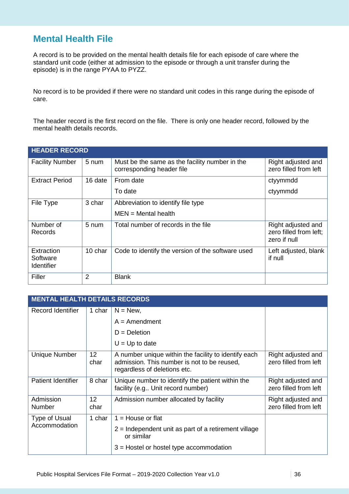# **Mental Health File**

A record is to be provided on the mental health details file for each episode of care where the standard unit code (either at admission to the episode or through a unit transfer during the episode) is in the range PYAA to PYZZ.

No record is to be provided if there were no standard unit codes in this range during the episode of care.

The header record is the first record on the file. There is only one header record, followed by the mental health details records.

| <b>HEADER RECORD</b>                        |         |                                                                             |                                                              |  |
|---------------------------------------------|---------|-----------------------------------------------------------------------------|--------------------------------------------------------------|--|
| <b>Facility Number</b>                      | 5 num   | Must be the same as the facility number in the<br>corresponding header file | Right adjusted and<br>zero filled from left                  |  |
| <b>Extract Period</b>                       | 16 date | From date                                                                   | ctyymmdd                                                     |  |
|                                             |         | To date                                                                     | ctyymmdd                                                     |  |
| File Type                                   | 3 char  | Abbreviation to identify file type<br>$MEN = Mental$ health                 |                                                              |  |
| Number of<br>Records                        | 5 num   | Total number of records in the file                                         | Right adjusted and<br>zero filled from left;<br>zero if null |  |
| Extraction<br>Software<br><b>Identifier</b> | 10 char | Code to identify the version of the software used                           | Left adjusted, blank<br>if null                              |  |
| Filler                                      | 2       | <b>Blank</b>                                                                |                                                              |  |

| <b>MENTAL HEALTH DETAILS RECORDS</b> |                         |                                                                                                                                          |                                             |  |
|--------------------------------------|-------------------------|------------------------------------------------------------------------------------------------------------------------------------------|---------------------------------------------|--|
| Record Identifier                    | 1 char                  | $N = New$ ,                                                                                                                              |                                             |  |
|                                      |                         | $A =$ Amendment                                                                                                                          |                                             |  |
|                                      |                         | $D = Deletion$                                                                                                                           |                                             |  |
|                                      |                         | $U = Up$ to date                                                                                                                         |                                             |  |
| <b>Unique Number</b>                 | 12 <sup>°</sup><br>char | A number unique within the facility to identify each<br>admission. This number is not to be reused.<br>regardless of deletions etc.      | Right adjusted and<br>zero filled from left |  |
| <b>Patient Identifier</b>            | 8 char                  | Unique number to identify the patient within the<br>facility (e.g Unit record number)                                                    | Right adjusted and<br>zero filled from left |  |
| Admission<br><b>Number</b>           | $12 \,$<br>char         | Admission number allocated by facility                                                                                                   | Right adjusted and<br>zero filled from left |  |
| Type of Usual<br>Accommodation       | 1 char                  | $1 =$ House or flat<br>$2$ = Independent unit as part of a retirement village<br>or similar<br>$3$ = Hostel or hostel type accommodation |                                             |  |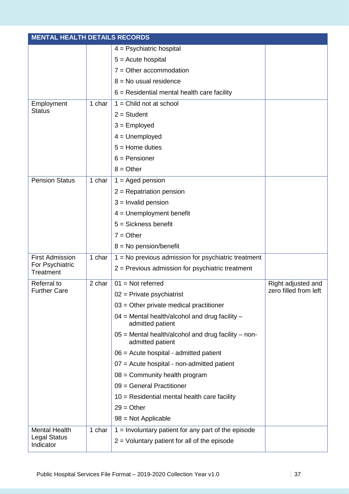| <b>MENTAL HEALTH DETAILS RECORDS</b> |        |                                                                         |                       |
|--------------------------------------|--------|-------------------------------------------------------------------------|-----------------------|
|                                      |        | $4 =$ Psychiatric hospital                                              |                       |
|                                      |        | $5 =$ Acute hospital                                                    |                       |
|                                      |        | $7 =$ Other accommodation                                               |                       |
|                                      |        | $8 = No$ usual residence                                                |                       |
|                                      |        | $6$ = Residential mental health care facility                           |                       |
| Employment                           | 1 char | $1 =$ Child not at school                                               |                       |
| <b>Status</b>                        |        | $2 = Student$                                                           |                       |
|                                      |        | $3 =$ Employed                                                          |                       |
|                                      |        | $4 =$ Unemployed                                                        |                       |
|                                      |        | $5 =$ Home duties                                                       |                       |
|                                      |        | $6$ = Pensioner                                                         |                       |
|                                      |        | $8 = Other$                                                             |                       |
| <b>Pension Status</b>                | 1 char | $1 =$ Aged pension                                                      |                       |
|                                      |        | $2$ = Repatriation pension                                              |                       |
|                                      |        | $3 =$ Invalid pension                                                   |                       |
|                                      |        | $4 =$ Unemployment benefit                                              |                       |
|                                      |        | $5 = Sickness benefit$                                                  |                       |
|                                      |        | $7 = Other$                                                             |                       |
|                                      |        | $8 = No$ pension/benefit                                                |                       |
| <b>First Admission</b>               | 1 char | $1 = No$ previous admission for psychiatric treatment                   |                       |
| For Psychiatric<br>Treatment         |        | $2$ = Previous admission for psychiatric treatment                      |                       |
| Referral to                          | 2 char | $01 = Not referred$                                                     | Right adjusted and    |
| <b>Further Care</b>                  |        | $02$ = Private psychiatrist                                             | zero filled from left |
|                                      |        | $03$ = Other private medical practitioner                               |                       |
|                                      |        | $04$ = Mental health/alcohol and drug facility $-$<br>admitted patient  |                       |
|                                      |        | 05 = Mental health/alcohol and drug facility - non-<br>admitted patient |                       |
|                                      |        | 06 = Acute hospital - admitted patient                                  |                       |
|                                      |        | 07 = Acute hospital - non-admitted patient                              |                       |
|                                      |        | $08 =$ Community health program                                         |                       |
|                                      |        | 09 = General Practitioner                                               |                       |
|                                      |        | $10 =$ Residential mental health care facility                          |                       |
|                                      |        | $29 = Other$                                                            |                       |
|                                      |        | 98 = Not Applicable                                                     |                       |
| <b>Mental Health</b>                 | 1 char | $1 =$ Involuntary patient for any part of the episode                   |                       |
| <b>Legal Status</b><br>Indicator     |        | $2$ = Voluntary patient for all of the episode                          |                       |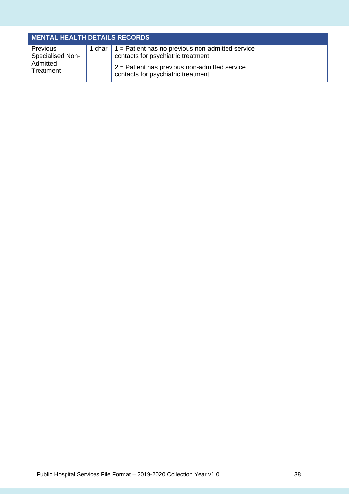| <b>MENTAL HEALTH DETAILS RECORDS</b>                         |        |                                                                                                                                                                                         |  |
|--------------------------------------------------------------|--------|-----------------------------------------------------------------------------------------------------------------------------------------------------------------------------------------|--|
| Previous<br><b>Specialised Non-</b><br>Admitted<br>Treatment | 1 char | $\vert$ 1 = Patient has no previous non-admitted service<br>contacts for psychiatric treatment<br>$2$ = Patient has previous non-admitted service<br>contacts for psychiatric treatment |  |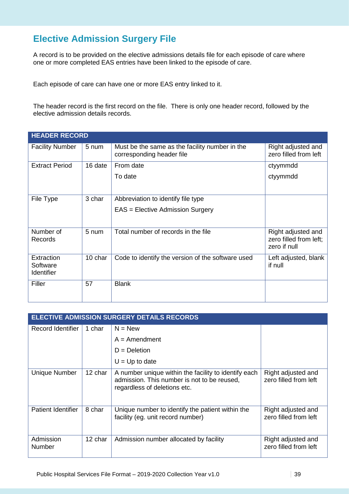### **Elective Admission Surgery File**

A record is to be provided on the elective admissions details file for each episode of care where one or more completed EAS entries have been linked to the episode of care.

Each episode of care can have one or more EAS entry linked to it.

The header record is the first record on the file. There is only one header record, followed by the elective admission details records.

| <b>HEADER RECORD</b>                        |         |                                                                             |                                                              |
|---------------------------------------------|---------|-----------------------------------------------------------------------------|--------------------------------------------------------------|
| <b>Facility Number</b>                      | 5 num   | Must be the same as the facility number in the<br>corresponding header file | Right adjusted and<br>zero filled from left                  |
| <b>Extract Period</b>                       | 16 date | From date                                                                   | ctyymmdd                                                     |
|                                             |         | To date                                                                     | ctyymmdd                                                     |
| File Type                                   | 3 char  | Abbreviation to identify file type                                          |                                                              |
|                                             |         | EAS = Elective Admission Surgery                                            |                                                              |
| Number of<br>Records                        | 5 num   | Total number of records in the file                                         | Right adjusted and<br>zero filled from left;<br>zero if null |
| Extraction<br>Software<br><b>Identifier</b> | 10 char | Code to identify the version of the software used                           | Left adjusted, blank<br>if null                              |
| Filler                                      | 57      | <b>Blank</b>                                                                |                                                              |

| <b>ELECTIVE ADMISSION SURGERY DETAILS RECORDS</b> |         |                                                                                                                                     |                                             |  |
|---------------------------------------------------|---------|-------------------------------------------------------------------------------------------------------------------------------------|---------------------------------------------|--|
| <b>Record Identifier</b>                          | 1 char  | $N = New$                                                                                                                           |                                             |  |
|                                                   |         | $A =$ Amendment                                                                                                                     |                                             |  |
|                                                   |         | $D = Deletion$                                                                                                                      |                                             |  |
|                                                   |         | $U = Up$ to date                                                                                                                    |                                             |  |
| Unique Number                                     | 12 char | A number unique within the facility to identify each<br>admission. This number is not to be reused,<br>regardless of deletions etc. | Right adjusted and<br>zero filled from left |  |
| <b>Patient Identifier</b>                         | 8 char  | Unique number to identify the patient within the<br>facility (eg. unit record number)                                               | Right adjusted and<br>zero filled from left |  |
| Admission<br><b>Number</b>                        | 12 char | Admission number allocated by facility                                                                                              | Right adjusted and<br>zero filled from left |  |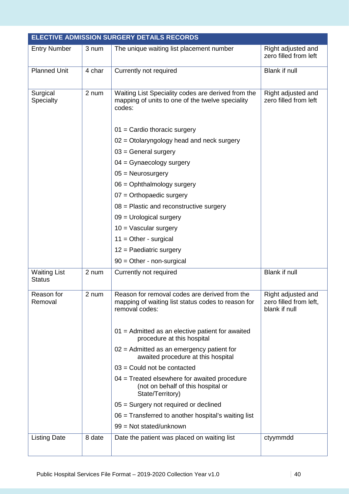|                                      |        | <b>ELECTIVE ADMISSION SURGERY DETAILS RECORDS</b>                                                                     |                                                               |
|--------------------------------------|--------|-----------------------------------------------------------------------------------------------------------------------|---------------------------------------------------------------|
| <b>Entry Number</b>                  | 3 num  | The unique waiting list placement number                                                                              | Right adjusted and<br>zero filled from left                   |
| Planned Unit                         | 4 char | Currently not required                                                                                                | Blank if null                                                 |
| Surgical<br>Specialty                | 2 num  | Waiting List Speciality codes are derived from the<br>mapping of units to one of the twelve speciality<br>codes:      | Right adjusted and<br>zero filled from left                   |
|                                      |        | $01$ = Cardio thoracic surgery                                                                                        |                                                               |
|                                      |        | $02$ = Otolaryngology head and neck surgery                                                                           |                                                               |
|                                      |        | $03$ = General surgery                                                                                                |                                                               |
|                                      |        | $04 =$ Gynaecology surgery                                                                                            |                                                               |
|                                      |        | $05 =$ Neurosurgery                                                                                                   |                                                               |
|                                      |        | 06 = Ophthalmology surgery                                                                                            |                                                               |
|                                      |        | $07$ = Orthopaedic surgery                                                                                            |                                                               |
|                                      |        | $08$ = Plastic and reconstructive surgery                                                                             |                                                               |
|                                      |        | $09$ = Urological surgery                                                                                             |                                                               |
|                                      |        | $10 = V$ ascular surgery                                                                                              |                                                               |
|                                      |        | $11 =$ Other - surgical                                                                                               |                                                               |
|                                      |        | $12$ = Paediatric surgery                                                                                             |                                                               |
|                                      |        | $90 =$ Other - non-surgical                                                                                           |                                                               |
| <b>Waiting List</b><br><b>Status</b> | 2 num  | Currently not required                                                                                                | <b>Blank if null</b>                                          |
| Reason for<br>Removal                | 2 num  | Reason for removal codes are derived from the<br>mapping of waiting list status codes to reason for<br>removal codes: | Right adjusted and<br>zero filled from left,<br>blank if null |
|                                      |        | 01 = Admitted as an elective patient for awaited<br>procedure at this hospital                                        |                                                               |
|                                      |        | $02$ = Admitted as an emergency patient for<br>awaited procedure at this hospital                                     |                                                               |
|                                      |        | $03$ = Could not be contacted                                                                                         |                                                               |
|                                      |        | $04$ = Treated elsewhere for awaited procedure<br>(not on behalf of this hospital or<br>State/Territory)              |                                                               |
|                                      |        | 05 = Surgery not required or declined                                                                                 |                                                               |
|                                      |        | 06 = Transferred to another hospital's waiting list                                                                   |                                                               |
|                                      |        | 99 = Not stated/unknown                                                                                               |                                                               |
| <b>Listing Date</b>                  | 8 date | Date the patient was placed on waiting list                                                                           | ctyymmdd                                                      |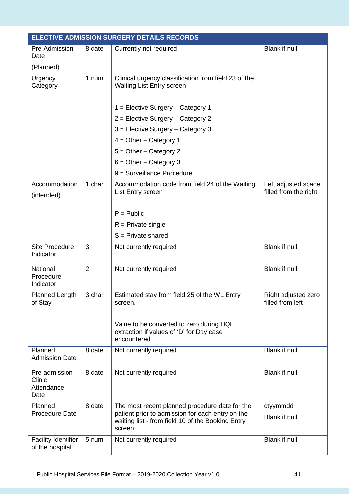|                                               |                | <b>ELECTIVE ADMISSION SURGERY DETAILS RECORDS</b>                                                                                                                 |                                              |
|-----------------------------------------------|----------------|-------------------------------------------------------------------------------------------------------------------------------------------------------------------|----------------------------------------------|
| Pre-Admission<br>Date                         | 8 date         | Currently not required                                                                                                                                            | <b>Blank if null</b>                         |
| (Planned)                                     |                |                                                                                                                                                                   |                                              |
| Urgency<br>Category                           | 1 num          | Clinical urgency classification from field 23 of the<br><b>Waiting List Entry screen</b>                                                                          |                                              |
|                                               |                | 1 = Elective Surgery - Category 1                                                                                                                                 |                                              |
|                                               |                | 2 = Elective Surgery - Category 2                                                                                                                                 |                                              |
|                                               |                | 3 = Elective Surgery - Category 3                                                                                                                                 |                                              |
|                                               |                | $4 = Other - Category 1$                                                                                                                                          |                                              |
|                                               |                | $5 =$ Other - Category 2                                                                                                                                          |                                              |
|                                               |                | $6 = Other - Category$ 3                                                                                                                                          |                                              |
|                                               |                | $9$ = Surveillance Procedure                                                                                                                                      |                                              |
| Accommodation<br>(intended)                   | 1 char         | Accommodation code from field 24 of the Waiting<br>List Entry screen                                                                                              | Left adjusted space<br>filled from the right |
|                                               |                | $P =$ Public                                                                                                                                                      |                                              |
|                                               |                | $R =$ Private single                                                                                                                                              |                                              |
|                                               |                | $S =$ Private shared                                                                                                                                              |                                              |
| <b>Site Procedure</b><br>Indicator            | 3              | Not currently required                                                                                                                                            | <b>Blank if null</b>                         |
| National<br>Procedure<br>Indicator            | $\overline{2}$ | Not currently required                                                                                                                                            | Blank if null                                |
| Planned Length<br>of Stay                     | 3 char         | Estimated stay from field 25 of the WL Entry<br>screen.                                                                                                           | Right adjusted zero<br>filled from left      |
|                                               |                | Value to be converted to zero during HQI<br>extraction if values of 'D' for Day case<br>encountered                                                               |                                              |
| Planned<br><b>Admission Date</b>              | 8 date         | Not currently required                                                                                                                                            | Blank if null                                |
| Pre-admission<br>Clinic<br>Attendance<br>Date | 8 date         | Not currently required                                                                                                                                            | <b>Blank if null</b>                         |
| Planned<br><b>Procedure Date</b>              | 8 date         | The most recent planned procedure date for the<br>patient prior to admission for each entry on the<br>waiting list - from field 10 of the Booking Entry<br>screen | ctyymmdd<br>Blank if null                    |
| <b>Facility Identifier</b><br>of the hospital | 5 num          | Not currently required                                                                                                                                            | <b>Blank if null</b>                         |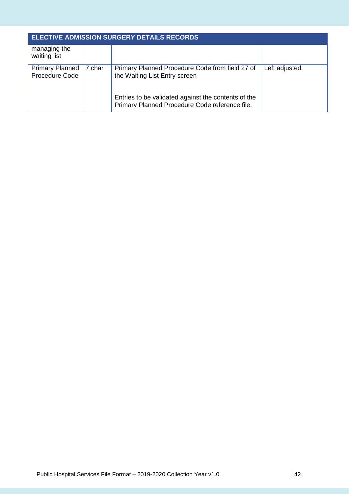| <b>ELECTIVE ADMISSION SURGERY DETAILS RECORDS</b> |        |                                                                                                       |                |  |
|---------------------------------------------------|--------|-------------------------------------------------------------------------------------------------------|----------------|--|
| managing the<br>waiting list                      |        |                                                                                                       |                |  |
| <b>Primary Planned</b><br>Procedure Code          | 7 char | Primary Planned Procedure Code from field 27 of<br>the Waiting List Entry screen                      | Left adjusted. |  |
|                                                   |        | Entries to be validated against the contents of the<br>Primary Planned Procedure Code reference file. |                |  |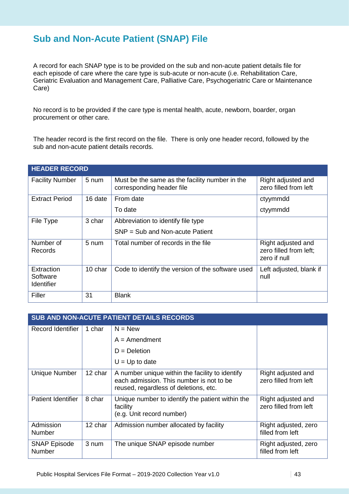#### **Sub and Non-Acute Patient (SNAP) File**

A record for each SNAP type is to be provided on the sub and non-acute patient details file for each episode of care where the care type is sub-acute or non-acute (i.e. Rehabilitation Care, Geriatric Evaluation and Management Care, Palliative Care, Psychogeriatric Care or Maintenance Care)

No record is to be provided if the care type is mental health, acute, newborn, boarder, organ procurement or other care.

The header record is the first record on the file. There is only one header record, followed by the sub and non-acute patient details records.

| <b>HEADER RECORD</b>                 |         |                                                                             |                                                              |  |
|--------------------------------------|---------|-----------------------------------------------------------------------------|--------------------------------------------------------------|--|
| <b>Facility Number</b>               | 5 num   | Must be the same as the facility number in the<br>corresponding header file | Right adjusted and<br>zero filled from left                  |  |
| <b>Extract Period</b>                | 16 date | From date                                                                   | ctyymmdd                                                     |  |
|                                      |         | To date                                                                     | ctyymmdd                                                     |  |
| File Type                            | 3 char  | Abbreviation to identify file type                                          |                                                              |  |
|                                      |         | $SNP = Sub$ and Non-acute Patient                                           |                                                              |  |
| Number of<br><b>Records</b>          | 5 num   | Total number of records in the file                                         | Right adjusted and<br>zero filled from left;<br>zero if null |  |
| Extraction<br>Software<br>Identifier | 10 char | Code to identify the version of the software used                           | Left adjusted, blank if<br>null                              |  |
| Filler                               | 31      | <b>Blank</b>                                                                |                                                              |  |

| <b>SUB AND NON-ACUTE PATIENT DETAILS RECORDS</b> |         |                                                                                                                                      |                                             |  |
|--------------------------------------------------|---------|--------------------------------------------------------------------------------------------------------------------------------------|---------------------------------------------|--|
| Record Identifier                                | 1 char  | $N = New$                                                                                                                            |                                             |  |
|                                                  |         | $A =$ Amendment                                                                                                                      |                                             |  |
|                                                  |         | $D = Deletion$                                                                                                                       |                                             |  |
|                                                  |         | $U = Up$ to date                                                                                                                     |                                             |  |
| Unique Number                                    | 12 char | A number unique within the facility to identify<br>each admission. This number is not to be<br>reused, regardless of deletions, etc. | Right adjusted and<br>zero filled from left |  |
| <b>Patient Identifier</b>                        | 8 char  | Unique number to identify the patient within the<br>facility<br>(e.g. Unit record number)                                            | Right adjusted and<br>zero filled from left |  |
| Admission<br><b>Number</b>                       | 12 char | Admission number allocated by facility                                                                                               | Right adjusted, zero<br>filled from left    |  |
| <b>SNAP Episode</b><br>Number                    | 3 num   | The unique SNAP episode number                                                                                                       | Right adjusted, zero<br>filled from left    |  |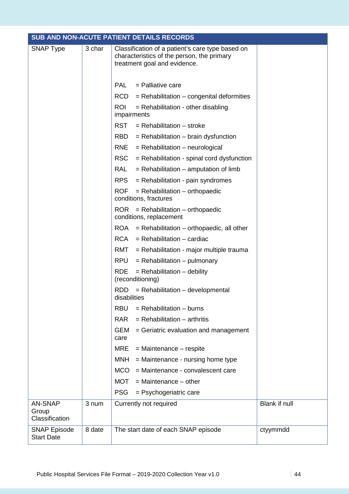|                                           |        | SUB AND NON-ACUTE PATIENT DETAILS RECORDS                                                                                      |               |
|-------------------------------------------|--------|--------------------------------------------------------------------------------------------------------------------------------|---------------|
| <b>SNAP Type</b>                          | 3 char | Classification of a patient's care type based on<br>characteristics of the person, the primary<br>treatment goal and evidence. |               |
|                                           |        | <b>PAL</b><br>$=$ Palliative care                                                                                              |               |
|                                           |        | <b>RCD</b><br>$=$ Rehabilitation $-$ congenital deformities                                                                    |               |
|                                           |        | <b>ROI</b><br>$=$ Rehabilitation - other disabling<br>impairments                                                              |               |
|                                           |        | <b>RST</b><br>$=$ Rehabilitation $-$ stroke                                                                                    |               |
|                                           |        | <b>RBD</b><br>$=$ Rehabilitation $-$ brain dysfunction                                                                         |               |
|                                           |        | <b>RNE</b><br>$=$ Rehabilitation – neurological                                                                                |               |
|                                           |        | <b>RSC</b><br>$=$ Rehabilitation - spinal cord dysfunction                                                                     |               |
|                                           |        | <b>RAL</b><br>$=$ Rehabilitation – amputation of limb                                                                          |               |
|                                           |        | <b>RPS</b><br>$=$ Rehabilitation - pain syndromes                                                                              |               |
|                                           |        | <b>ROF</b><br>$=$ Rehabilitation $-$ orthopaedic<br>conditions, fractures                                                      |               |
|                                           |        | ROR.<br>$=$ Rehabilitation – orthopaedic<br>conditions, replacement                                                            |               |
|                                           |        | $=$ Rehabilitation – orthopaedic, all other<br>ROA                                                                             |               |
|                                           |        | $=$ Rehabilitation $-$ cardiac<br><b>RCA</b>                                                                                   |               |
|                                           |        | RMT<br>= Rehabilitation - major multiple trauma                                                                                |               |
|                                           |        | <b>RPU</b><br>$=$ Rehabilitation – pulmonary                                                                                   |               |
|                                           |        | <b>RDE</b><br>$=$ Rehabilitation $-$ debility<br>(reconditioning)                                                              |               |
|                                           |        | $=$ Rehabilitation – developmental<br>RDD -<br>disabilities                                                                    |               |
|                                           |        | <b>RBU</b><br>$=$ Rehabilitation $-$ burns                                                                                     |               |
|                                           |        | $=$ Rehabilitation $-$ arthritis<br><b>RAR</b>                                                                                 |               |
|                                           |        | <b>GEM</b><br>= Geriatric evaluation and management<br>care                                                                    |               |
|                                           |        | <b>MRE</b><br>$=$ Maintenance $-$ respite                                                                                      |               |
|                                           |        | <b>MNH</b><br>= Maintenance - nursing home type                                                                                |               |
|                                           |        | <b>MCO</b><br>= Maintenance - convalescent care                                                                                |               |
|                                           |        | <b>MOT</b><br>$=$ Maintenance $-$ other                                                                                        |               |
|                                           |        | <b>PSG</b><br>$=$ Psychogeriatric care                                                                                         |               |
| <b>AN-SNAP</b><br>Group<br>Classification | 3 num  | Currently not required                                                                                                         | Blank if null |
| <b>SNAP Episode</b><br><b>Start Date</b>  | 8 date | The start date of each SNAP episode                                                                                            | ctyymmdd      |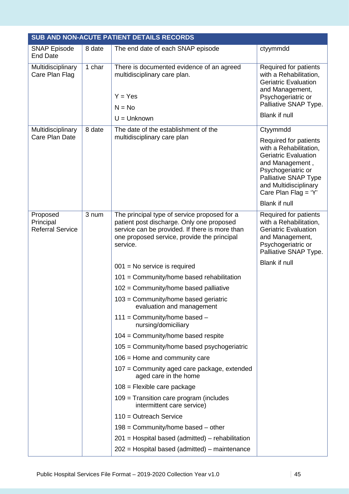|                                                  |        | SUB AND NON-ACUTE PATIENT DETAILS RECORDS                                                                                                                                                              |                                                                                                                                                                                                                                             |
|--------------------------------------------------|--------|--------------------------------------------------------------------------------------------------------------------------------------------------------------------------------------------------------|---------------------------------------------------------------------------------------------------------------------------------------------------------------------------------------------------------------------------------------------|
| <b>SNAP Episode</b><br><b>End Date</b>           | 8 date | The end date of each SNAP episode                                                                                                                                                                      | ctyymmdd                                                                                                                                                                                                                                    |
| Multidisciplinary<br>Care Plan Flag              | 1 char | There is documented evidence of an agreed<br>multidisciplinary care plan.                                                                                                                              | Required for patients<br>with a Rehabilitation,<br><b>Geriatric Evaluation</b><br>and Management,                                                                                                                                           |
|                                                  |        | $Y = Yes$                                                                                                                                                                                              | Psychogeriatric or                                                                                                                                                                                                                          |
|                                                  |        | $N = No$                                                                                                                                                                                               | Palliative SNAP Type.                                                                                                                                                                                                                       |
|                                                  |        | $U =$ Unknown                                                                                                                                                                                          | Blank if null                                                                                                                                                                                                                               |
| Multidisciplinary<br>Care Plan Date              | 8 date | The date of the establishment of the<br>multidisciplinary care plan                                                                                                                                    | Ctyymmdd<br>Required for patients<br>with a Rehabilitation,<br><b>Geriatric Evaluation</b><br>and Management,<br>Psychogeriatric or<br><b>Palliative SNAP Type</b><br>and Multidisciplinary<br>Care Plan Flag = 'Y'<br><b>Blank if null</b> |
| Proposed<br>Principal<br><b>Referral Service</b> | 3 num  | The principal type of service proposed for a<br>patient post discharge. Only one proposed<br>service can be provided. If there is more than<br>one proposed service, provide the principal<br>service. | Required for patients<br>with a Rehabilitation,<br><b>Geriatric Evaluation</b><br>and Management,<br>Psychogeriatric or<br>Palliative SNAP Type.                                                                                            |
|                                                  |        | $001$ = No service is required                                                                                                                                                                         | <b>Blank if null</b>                                                                                                                                                                                                                        |
|                                                  |        | 101 = Community/home based rehabilitation                                                                                                                                                              |                                                                                                                                                                                                                                             |
|                                                  |        | 102 = Community/home based palliative                                                                                                                                                                  |                                                                                                                                                                                                                                             |
|                                                  |        | $103$ = Community/home based geriatric<br>evaluation and management                                                                                                                                    |                                                                                                                                                                                                                                             |
|                                                  |        | $111 =$ Community/home based -<br>nursing/domiciliary                                                                                                                                                  |                                                                                                                                                                                                                                             |
|                                                  |        | $104$ = Community/home based respite                                                                                                                                                                   |                                                                                                                                                                                                                                             |
|                                                  |        | $105$ = Community/home based psychogeriatric                                                                                                                                                           |                                                                                                                                                                                                                                             |
|                                                  |        | $106$ = Home and community care                                                                                                                                                                        |                                                                                                                                                                                                                                             |
|                                                  |        | 107 = Community aged care package, extended<br>aged care in the home                                                                                                                                   |                                                                                                                                                                                                                                             |
|                                                  |        | $108$ = Flexible care package                                                                                                                                                                          |                                                                                                                                                                                                                                             |
|                                                  |        | $109$ = Transition care program (includes<br>intermittent care service)                                                                                                                                |                                                                                                                                                                                                                                             |
|                                                  |        | $110 =$ Outreach Service                                                                                                                                                                               |                                                                                                                                                                                                                                             |
|                                                  |        | $198$ = Community/home based – other                                                                                                                                                                   |                                                                                                                                                                                                                                             |
|                                                  |        | 201 = Hospital based (admitted) – rehabilitation                                                                                                                                                       |                                                                                                                                                                                                                                             |
|                                                  |        | 202 = Hospital based (admitted) – maintenance                                                                                                                                                          |                                                                                                                                                                                                                                             |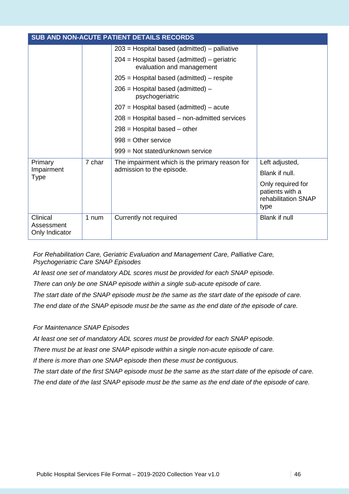| <b>SUB AND NON-ACUTE PATIENT DETAILS RECORDS</b> |        |                                                                            |                                                                     |
|--------------------------------------------------|--------|----------------------------------------------------------------------------|---------------------------------------------------------------------|
|                                                  |        | $203$ = Hospital based (admitted) – palliative                             |                                                                     |
|                                                  |        | $204$ = Hospital based (admitted) – geriatric<br>evaluation and management |                                                                     |
|                                                  |        | $205$ = Hospital based (admitted) – respite                                |                                                                     |
|                                                  |        | $206$ = Hospital based (admitted) –<br>psychogeriatric                     |                                                                     |
|                                                  |        | $207$ = Hospital based (admitted) – acute                                  |                                                                     |
|                                                  |        | $208$ = Hospital based – non-admitted services                             |                                                                     |
|                                                  |        | $298$ = Hospital based – other                                             |                                                                     |
|                                                  |        | $998 =$ Other service                                                      |                                                                     |
|                                                  |        | 999 = Not stated/unknown service                                           |                                                                     |
| Primary                                          | 7 char | The impairment which is the primary reason for                             | Left adjusted,                                                      |
| Impairment<br><b>Type</b>                        |        | admission to the episode.                                                  | Blank if null.                                                      |
|                                                  |        |                                                                            | Only required for<br>patients with a<br>rehabilitation SNAP<br>type |
| Clinical<br>Assessment<br>Only Indicator         | 1 num  | Currently not required                                                     | Blank if null                                                       |

*For Rehabilitation Care, Geriatric Evaluation and Management Care, Palliative Care, Psychogeriatric Care SNAP Episodes*

*At least one set of mandatory ADL scores must be provided for each SNAP episode.*

*There can only be one SNAP episode within a single sub-acute episode of care.* 

*The start date of the SNAP episode must be the same as the start date of the episode of care.*

*The end date of the SNAP episode must be the same as the end date of the episode of care.* 

#### *For Maintenance SNAP Episodes*

*At least one set of mandatory ADL scores must be provided for each SNAP episode.*

*There must be at least one SNAP episode within a single non-acute episode of care.* 

*If there is more than one SNAP episode then these must be contiguous.*

*The start date of the first SNAP episode must be the same as the start date of the episode of care. The end date of the last SNAP episode must be the same as the end date of the episode of care.*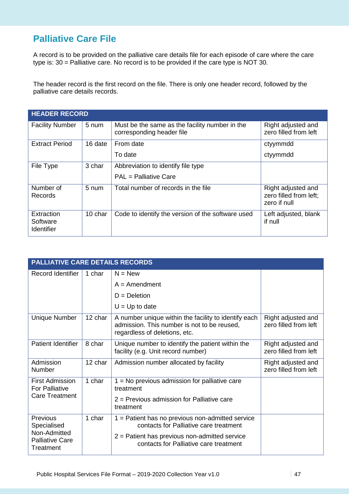### **Palliative Care File**

A record is to be provided on the palliative care details file for each episode of care where the care type is: 30 = Palliative care. No record is to be provided if the care type is NOT 30.

The header record is the first record on the file. There is only one header record, followed by the palliative care details records.

| <b>HEADER RECORD</b>                        |         |                                                                             |                                                              |  |  |
|---------------------------------------------|---------|-----------------------------------------------------------------------------|--------------------------------------------------------------|--|--|
| <b>Facility Number</b>                      | 5 num   | Must be the same as the facility number in the<br>corresponding header file | Right adjusted and<br>zero filled from left                  |  |  |
| <b>Extract Period</b>                       | 16 date | From date                                                                   | ctyymmdd                                                     |  |  |
|                                             |         | To date                                                                     | ctyymmdd                                                     |  |  |
| File Type                                   | 3 char  | Abbreviation to identify file type                                          |                                                              |  |  |
|                                             |         | PAL = Palliative Care                                                       |                                                              |  |  |
| Number of<br>Records                        | 5 num   | Total number of records in the file                                         | Right adjusted and<br>zero filled from left;<br>zero if null |  |  |
| Extraction<br>Software<br><b>Identifier</b> | 10 char | Code to identify the version of the software used                           | Left adjusted, blank<br>if null                              |  |  |

|                                                     | <b>PALLIATIVE CARE DETAILS RECORDS</b> |                                                                                                                                      |                                             |  |  |
|-----------------------------------------------------|----------------------------------------|--------------------------------------------------------------------------------------------------------------------------------------|---------------------------------------------|--|--|
| Record Identifier                                   | 1 char                                 | $N = New$                                                                                                                            |                                             |  |  |
|                                                     |                                        | $A =$ Amendment                                                                                                                      |                                             |  |  |
|                                                     |                                        | $D = Deletion$                                                                                                                       |                                             |  |  |
|                                                     |                                        | $U = Up$ to date                                                                                                                     |                                             |  |  |
| Unique Number                                       | 12 char                                | A number unique within the facility to identify each<br>admission. This number is not to be reused,<br>regardless of deletions, etc. | Right adjusted and<br>zero filled from left |  |  |
| Patient Identifier                                  | 8 char                                 | Unique number to identify the patient within the<br>facility (e.g. Unit record number)                                               | Right adjusted and<br>zero filled from left |  |  |
| Admission<br><b>Number</b>                          | 12 char                                | Admission number allocated by facility                                                                                               | Right adjusted and<br>zero filled from left |  |  |
| <b>First Admission</b><br><b>For Palliative</b>     | 1 char                                 | $1 = No$ previous admission for palliative care<br>treatment                                                                         |                                             |  |  |
| <b>Care Treatment</b>                               |                                        | $2$ = Previous admission for Palliative care<br>treatment                                                                            |                                             |  |  |
| <b>Previous</b><br>Specialised                      | 1 char                                 | $1 =$ Patient has no previous non-admitted service<br>contacts for Palliative care treatment                                         |                                             |  |  |
| Non-Admitted<br><b>Palliative Care</b><br>Treatment |                                        | $2$ = Patient has previous non-admitted service<br>contacts for Palliative care treatment                                            |                                             |  |  |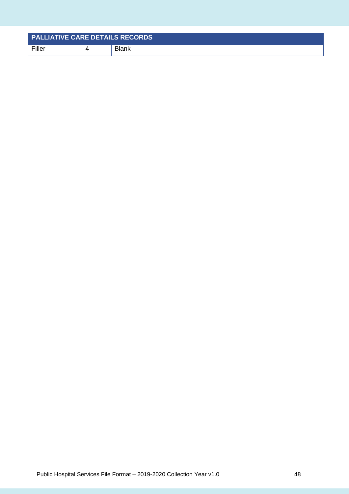| <b>PALLIATIVE CARE DETAILS RECORDS</b> |              |  |
|----------------------------------------|--------------|--|
| Filler                                 | <b>Blank</b> |  |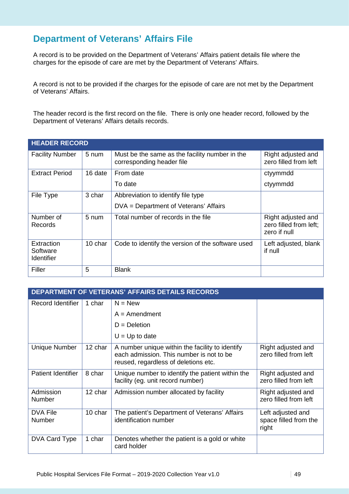### **Department of Veterans' Affairs File**

A record is to be provided on the Department of Veterans' Affairs patient details file where the charges for the episode of care are met by the Department of Veterans' Affairs.

A record is not to be provided if the charges for the episode of care are not met by the Department of Veterans' Affairs.

The header record is the first record on the file. There is only one header record, followed by the Department of Veterans' Affairs details records.

| <b>HEADER RECORD</b>                 |                 |                                                                             |                                                              |  |  |
|--------------------------------------|-----------------|-----------------------------------------------------------------------------|--------------------------------------------------------------|--|--|
| <b>Facility Number</b>               | $5 \text{ num}$ | Must be the same as the facility number in the<br>corresponding header file | Right adjusted and<br>zero filled from left                  |  |  |
| <b>Extract Period</b>                | 16 date         | From date                                                                   | ctyymmdd                                                     |  |  |
|                                      |                 | To date                                                                     | ctyymmdd                                                     |  |  |
| File Type                            | 3 char          | Abbreviation to identify file type                                          |                                                              |  |  |
|                                      |                 | DVA = Department of Veterans' Affairs                                       |                                                              |  |  |
| Number of<br>Records                 | 5 num           | Total number of records in the file                                         | Right adjusted and<br>zero filled from left;<br>zero if null |  |  |
| Extraction<br>Software<br>Identifier | 10 char         | Code to identify the version of the software used                           | Left adjusted, blank<br>if null                              |  |  |
| Filler                               | 5               | <b>Blank</b>                                                                |                                                              |  |  |

|                           | <b>DEPARTMENT OF VETERANS' AFFAIRS DETAILS RECORDS</b> |                                                                                                                                     |                                                     |  |  |
|---------------------------|--------------------------------------------------------|-------------------------------------------------------------------------------------------------------------------------------------|-----------------------------------------------------|--|--|
| Record Identifier         | 1 char                                                 | $N = New$                                                                                                                           |                                                     |  |  |
|                           |                                                        | $A =$ Amendment                                                                                                                     |                                                     |  |  |
|                           |                                                        | $D = Deletion$                                                                                                                      |                                                     |  |  |
|                           |                                                        | $U = Up$ to date                                                                                                                    |                                                     |  |  |
| <b>Unique Number</b>      | 12 char                                                | A number unique within the facility to identify<br>each admission. This number is not to be<br>reused, regardless of deletions etc. | Right adjusted and<br>zero filled from left         |  |  |
| <b>Patient Identifier</b> | 8 char                                                 | Unique number to identify the patient within the<br>facility (eg. unit record number)                                               | Right adjusted and<br>zero filled from left         |  |  |
| Admission<br>Number       | 12 char                                                | Admission number allocated by facility                                                                                              | Right adjusted and<br>zero filled from left         |  |  |
| <b>DVA File</b><br>Number | 10 char                                                | The patient's Department of Veterans' Affairs<br>identification number                                                              | Left adjusted and<br>space filled from the<br>right |  |  |
| DVA Card Type             | 1 char                                                 | Denotes whether the patient is a gold or white<br>card holder                                                                       |                                                     |  |  |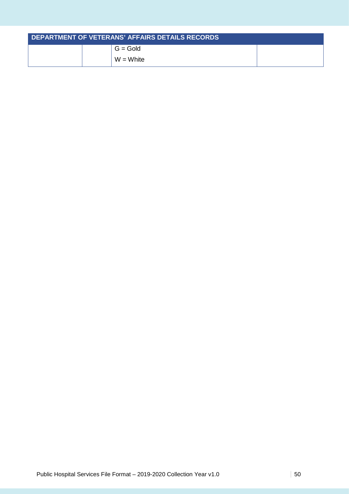| DEPARTMENT OF VETERANS' AFFAIRS DETAILS RECORDS |  |             |  |
|-------------------------------------------------|--|-------------|--|
|                                                 |  | $G = Gold$  |  |
|                                                 |  | $W = White$ |  |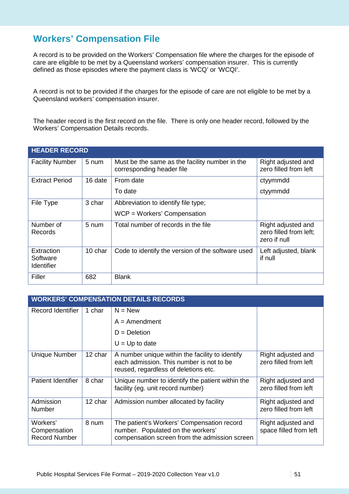### **Workers' Compensation File**

A record is to be provided on the Workers' Compensation file where the charges for the episode of care are eligible to be met by a Queensland workers' compensation insurer. This is currently defined as those episodes where the payment class is 'WCQ' or 'WCQI'.

A record is not to be provided if the charges for the episode of care are not eligible to be met by a Queensland workers' compensation insurer.

The header record is the first record on the file. There is only one header record, followed by the Workers' Compensation Details records.

| <b>HEADER RECORD</b>                 |                 |                                                                             |                                                              |  |  |
|--------------------------------------|-----------------|-----------------------------------------------------------------------------|--------------------------------------------------------------|--|--|
| <b>Facility Number</b>               | 5 num           | Must be the same as the facility number in the<br>corresponding header file | Right adjusted and<br>zero filled from left                  |  |  |
| <b>Extract Period</b>                | 16 date         | From date                                                                   | ctyymmdd                                                     |  |  |
|                                      |                 | To date                                                                     | ctyymmdd                                                     |  |  |
| File Type                            | 3 char          | Abbreviation to identify file type;<br>WCP = Workers' Compensation          |                                                              |  |  |
| Number of<br>Records                 | $5 \text{ num}$ | Total number of records in the file                                         | Right adjusted and<br>zero filled from left;<br>zero if null |  |  |
| Extraction<br>Software<br>Identifier | 10 char         | Code to identify the version of the software used                           | Left adjusted, blank<br>if null                              |  |  |
| Filler                               | 682             | <b>Blank</b>                                                                |                                                              |  |  |

| <b>WORKERS' COMPENSATION DETAILS RECORDS</b>     |         |                                                                                                                                     |                                              |  |
|--------------------------------------------------|---------|-------------------------------------------------------------------------------------------------------------------------------------|----------------------------------------------|--|
| Record Identifier                                | 1 char  | $N = New$                                                                                                                           |                                              |  |
|                                                  |         | $A =$ Amendment                                                                                                                     |                                              |  |
|                                                  |         | $D = Deletion$                                                                                                                      |                                              |  |
|                                                  |         | $U = Up$ to date                                                                                                                    |                                              |  |
| Unique Number                                    | 12 char | A number unique within the facility to identify<br>each admission. This number is not to be<br>reused, regardless of deletions etc. | Right adjusted and<br>zero filled from left  |  |
| <b>Patient Identifier</b>                        | 8 char  | Unique number to identify the patient within the<br>facility (eg. unit record number)                                               | Right adjusted and<br>zero filled from left  |  |
| Admission<br>Number                              | 12 char | Admission number allocated by facility                                                                                              | Right adjusted and<br>zero filled from left  |  |
| Workers'<br>Compensation<br><b>Record Number</b> | 8 num   | The patient's Workers' Compensation record<br>number. Populated on the workers'<br>compensation screen from the admission screen    | Right adjusted and<br>space filled from left |  |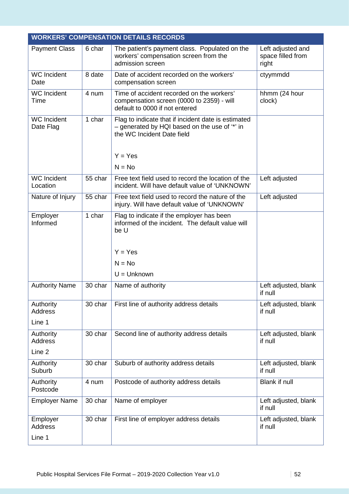|                                       |         | <b>WORKERS' COMPENSATION DETAILS RECORDS</b>                                                                                                    |                                                 |
|---------------------------------------|---------|-------------------------------------------------------------------------------------------------------------------------------------------------|-------------------------------------------------|
| <b>Payment Class</b>                  | 6 char  | The patient's payment class. Populated on the<br>workers' compensation screen from the<br>admission screen                                      | Left adjusted and<br>space filled from<br>right |
| <b>WC</b> Incident<br>Date            | 8 date  | Date of accident recorded on the workers'<br>compensation screen                                                                                | ctyymmdd                                        |
| <b>WC</b> Incident<br>Time            | 4 num   | Time of accident recorded on the workers'<br>compensation screen (0000 to 2359) - will<br>default to 0000 if not entered                        | hhmm (24 hour<br>clock)                         |
| <b>WC</b> Incident<br>Date Flag       | 1 char  | Flag to indicate that if incident date is estimated<br>- generated by HQI based on the use of "*' in<br>the WC Incident Date field<br>$Y = Yes$ |                                                 |
|                                       |         | $N = No$                                                                                                                                        |                                                 |
| <b>WC</b> Incident<br>Location        | 55 char | Free text field used to record the location of the<br>incident. Will have default value of 'UNKNOWN'                                            | Left adjusted                                   |
| Nature of Injury                      | 55 char | Free text field used to record the nature of the<br>injury. Will have default value of 'UNKNOWN'                                                | Left adjusted                                   |
| Employer<br>Informed                  | 1 char  | Flag to indicate if the employer has been<br>informed of the incident. The default value will<br>be U<br>$Y = Yes$<br>$N = No$                  |                                                 |
|                                       |         | $U =$ Unknown                                                                                                                                   |                                                 |
| <b>Authority Name</b>                 | 30 char | Name of authority                                                                                                                               | Left adjusted, blank<br>if null                 |
| Authority<br><b>Address</b><br>Line 1 | 30 char | First line of authority address details                                                                                                         | Left adjusted, blank<br>if null                 |
| Authority<br><b>Address</b><br>Line 2 | 30 char | Second line of authority address details                                                                                                        | Left adjusted, blank<br>if null                 |
|                                       |         |                                                                                                                                                 |                                                 |
| Authority<br>Suburb                   | 30 char | Suburb of authority address details                                                                                                             | Left adjusted, blank<br>if null                 |
| Authority<br>Postcode                 | 4 num   | Postcode of authority address details                                                                                                           | Blank if null                                   |
| <b>Employer Name</b>                  | 30 char | Name of employer                                                                                                                                | Left adjusted, blank<br>if null                 |
| Employer<br><b>Address</b>            | 30 char | First line of employer address details                                                                                                          | Left adjusted, blank<br>if null                 |
| Line 1                                |         |                                                                                                                                                 |                                                 |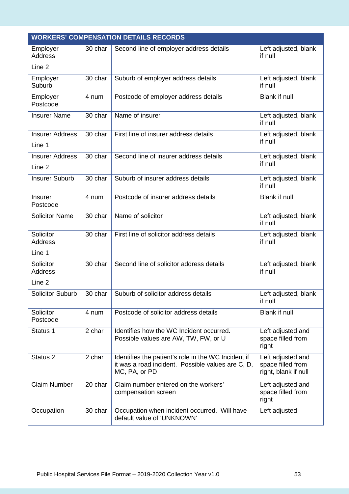|                                      |         | <b>WORKERS' COMPENSATION DETAILS RECORDS</b>                                                                              |                                                                |
|--------------------------------------|---------|---------------------------------------------------------------------------------------------------------------------------|----------------------------------------------------------------|
| Employer<br><b>Address</b><br>Line 2 | 30 char | Second line of employer address details                                                                                   | Left adjusted, blank<br>if null                                |
| Employer                             | 30 char | Suburb of employer address details                                                                                        | Left adjusted, blank                                           |
| Suburb                               |         |                                                                                                                           | if null                                                        |
| Employer<br>Postcode                 | 4 num   | Postcode of employer address details                                                                                      | Blank if null                                                  |
| <b>Insurer Name</b>                  | 30 char | Name of insurer                                                                                                           | Left adjusted, blank<br>if null                                |
| <b>Insurer Address</b>               | 30 char | First line of insurer address details                                                                                     | Left adjusted, blank                                           |
| Line 1                               |         |                                                                                                                           | if null                                                        |
| <b>Insurer Address</b>               | 30 char | Second line of insurer address details                                                                                    | Left adjusted, blank<br>if null                                |
| Line 2                               |         |                                                                                                                           |                                                                |
| <b>Insurer Suburb</b>                | 30 char | Suburb of insurer address details                                                                                         | Left adjusted, blank<br>if null                                |
| <b>Insurer</b><br>Postcode           | 4 num   | Postcode of insurer address details                                                                                       | Blank if null                                                  |
| <b>Solicitor Name</b>                | 30 char | Name of solicitor                                                                                                         | Left adjusted, blank<br>if null                                |
| Solicitor<br><b>Address</b>          | 30 char | First line of solicitor address details                                                                                   | Left adjusted, blank<br>if null                                |
| Line 1                               |         |                                                                                                                           |                                                                |
| Solicitor<br><b>Address</b>          | 30 char | Second line of solicitor address details                                                                                  | Left adjusted, blank<br>if null                                |
| Line 2                               |         |                                                                                                                           |                                                                |
| <b>Solicitor Suburb</b>              | 30 char | Suburb of solicitor address details                                                                                       | Left adiusted, blank<br>if null                                |
| Solicitor<br>Postcode                | 4 num   | Postcode of solicitor address details                                                                                     | <b>Blank if null</b>                                           |
| Status 1                             | 2 char  | Identifies how the WC Incident occurred.<br>Possible values are AW, TW, FW, or U                                          | Left adjusted and<br>space filled from<br>right                |
| Status <sub>2</sub>                  | 2 char  | Identifies the patient's role in the WC Incident if<br>it was a road incident. Possible values are C, D,<br>MC, PA, or PD | Left adjusted and<br>space filled from<br>right, blank if null |
| <b>Claim Number</b>                  | 20 char | Claim number entered on the workers'<br>compensation screen                                                               | Left adjusted and<br>space filled from<br>right                |
| Occupation                           | 30 char | Occupation when incident occurred. Will have<br>default value of 'UNKNOWN'                                                | Left adjusted                                                  |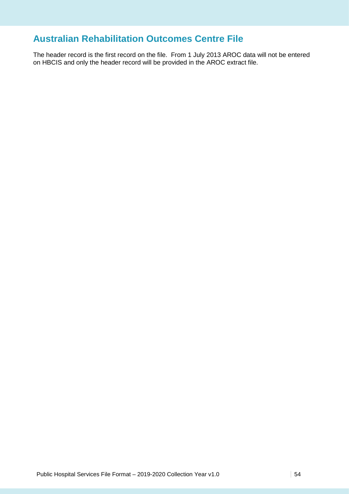### **Australian Rehabilitation Outcomes Centre File**

The header record is the first record on the file. From 1 July 2013 AROC data will not be entered on HBCIS and only the header record will be provided in the AROC extract file.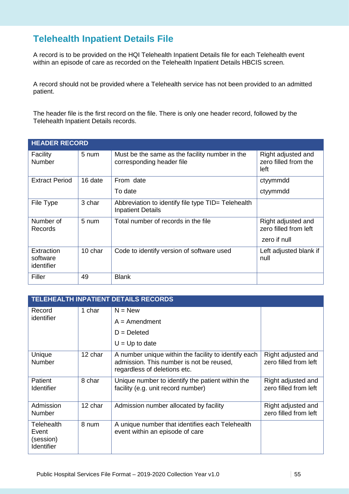### **Telehealth Inpatient Details File**

A record is to be provided on the HQI Telehealth Inpatient Details file for each Telehealth event within an episode of care as recorded on the Telehealth Inpatient Details HBCIS screen.

A record should not be provided where a Telehealth service has not been provided to an admitted patient.

The header file is the first record on the file. There is only one header record, followed by the Telehealth Inpatient Details records.

| <b>HEADER RECORD</b>                 |         |                                                                                |                                                             |  |  |
|--------------------------------------|---------|--------------------------------------------------------------------------------|-------------------------------------------------------------|--|--|
| Facility<br>Number                   | 5 num   | Must be the same as the facility number in the<br>corresponding header file    | Right adjusted and<br>zero filled from the<br>left          |  |  |
| <b>Extract Period</b>                | 16 date | From date                                                                      | ctyymmdd                                                    |  |  |
|                                      |         | To date                                                                        | ctyymmdd                                                    |  |  |
| File Type                            | 3 char  | Abbreviation to identify file type TID= Telehealth<br><b>Inpatient Details</b> |                                                             |  |  |
| Number of<br>Records                 | 5 num   | Total number of records in the file                                            | Right adjusted and<br>zero filled from left<br>zero if null |  |  |
|                                      |         |                                                                                |                                                             |  |  |
| Extraction<br>software<br>identifier | 10 char | Code to identify version of software used                                      | Left adjusted blank if<br>null                              |  |  |
| Filler                               | 49      | <b>Blank</b>                                                                   |                                                             |  |  |

|                                                | <b>TELEHEALTH INPATIENT DETAILS RECORDS</b> |                                                                                                                                  |                                             |  |  |
|------------------------------------------------|---------------------------------------------|----------------------------------------------------------------------------------------------------------------------------------|---------------------------------------------|--|--|
| Record                                         | 1 char                                      | $N = New$                                                                                                                        |                                             |  |  |
| identifier                                     |                                             | $A =$ Amendment                                                                                                                  |                                             |  |  |
|                                                |                                             | $D = Deleted$                                                                                                                    |                                             |  |  |
|                                                |                                             | $U = Up$ to date                                                                                                                 |                                             |  |  |
| Unique<br><b>Number</b>                        | 12 char                                     | A number unique within the facility to identify each<br>admission. This number is not be reused,<br>regardless of deletions etc. | Right adjusted and<br>zero filled from left |  |  |
| Patient<br>Identifier                          | 8 char                                      | Unique number to identify the patient within the<br>facility (e.g. unit record number)                                           | Right adjusted and<br>zero filled from left |  |  |
| Admission<br><b>Number</b>                     | 12 char                                     | Admission number allocated by facility                                                                                           | Right adjusted and<br>zero filled from left |  |  |
| Telehealth<br>Event<br>(session)<br>Identifier | 8 num                                       | A unique number that identifies each Telehealth<br>event within an episode of care                                               |                                             |  |  |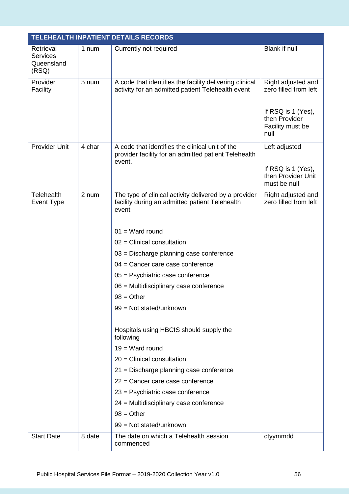|                                                     |        | TELEHEALTH INPATIENT DETAILS RECORDS                                                                              |                                                                 |
|-----------------------------------------------------|--------|-------------------------------------------------------------------------------------------------------------------|-----------------------------------------------------------------|
| Retrieval<br><b>Services</b><br>Queensland<br>(RSQ) | 1 num  | Currently not required                                                                                            | Blank if null                                                   |
| Provider<br>Facility                                | 5 num  | A code that identifies the facility delivering clinical<br>activity for an admitted patient Telehealth event      | Right adjusted and<br>zero filled from left                     |
|                                                     |        |                                                                                                                   | If RSQ is 1 (Yes),<br>then Provider<br>Facility must be<br>null |
| <b>Provider Unit</b>                                | 4 char | A code that identifies the clinical unit of the<br>provider facility for an admitted patient Telehealth<br>event. | Left adjusted                                                   |
|                                                     |        |                                                                                                                   | If RSQ is 1 (Yes),<br>then Provider Unit<br>must be null        |
| Telehealth<br>Event Type                            | 2 num  | The type of clinical activity delivered by a provider<br>facility during an admitted patient Telehealth<br>event  | Right adjusted and<br>zero filled from left                     |
|                                                     |        | $01 = Ward$ round                                                                                                 |                                                                 |
|                                                     |        | $02$ = Clinical consultation                                                                                      |                                                                 |
|                                                     |        | 03 = Discharge planning case conference                                                                           |                                                                 |
|                                                     |        | $04$ = Cancer care case conference                                                                                |                                                                 |
|                                                     |        | 05 = Psychiatric case conference                                                                                  |                                                                 |
|                                                     |        | 06 = Multidisciplinary case conference                                                                            |                                                                 |
|                                                     |        | $98 = Other$                                                                                                      |                                                                 |
|                                                     |        | 99 = Not stated/unknown                                                                                           |                                                                 |
|                                                     |        | Hospitals using HBCIS should supply the<br>following                                                              |                                                                 |
|                                                     |        | $19 = Ward$ round                                                                                                 |                                                                 |
|                                                     |        | $20$ = Clinical consultation                                                                                      |                                                                 |
|                                                     |        | 21 = Discharge planning case conference                                                                           |                                                                 |
|                                                     |        | $22$ = Cancer care case conference                                                                                |                                                                 |
|                                                     |        | 23 = Psychiatric case conference                                                                                  |                                                                 |
|                                                     |        | 24 = Multidisciplinary case conference                                                                            |                                                                 |
|                                                     |        | $98 = Other$                                                                                                      |                                                                 |
|                                                     |        | 99 = Not stated/unknown                                                                                           |                                                                 |
| <b>Start Date</b>                                   | 8 date | The date on which a Telehealth session<br>commenced                                                               | ctyymmdd                                                        |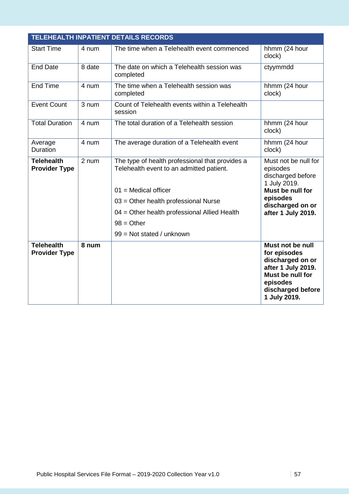| <b>TELEHEALTH INPATIENT DETAILS RECORDS</b> |        |                                                                                             |                                                                                                                                                 |
|---------------------------------------------|--------|---------------------------------------------------------------------------------------------|-------------------------------------------------------------------------------------------------------------------------------------------------|
| <b>Start Time</b>                           | 4 num  | The time when a Telehealth event commenced                                                  | hhmm (24 hour<br>clock)                                                                                                                         |
| <b>End Date</b>                             | 8 date | The date on which a Telehealth session was<br>completed                                     | ctyymmdd                                                                                                                                        |
| <b>End Time</b>                             | 4 num  | The time when a Telehealth session was<br>completed                                         | hhmm (24 hour<br>clock)                                                                                                                         |
| <b>Event Count</b>                          | 3 num  | Count of Telehealth events within a Telehealth<br>session                                   |                                                                                                                                                 |
| <b>Total Duration</b>                       | 4 num  | The total duration of a Telehealth session                                                  | hhmm (24 hour<br>clock)                                                                                                                         |
| Average<br>Duration                         | 4 num  | The average duration of a Telehealth event                                                  | hhmm (24 hour<br>clock)                                                                                                                         |
| <b>Telehealth</b><br><b>Provider Type</b>   | 2 num  | The type of health professional that provides a<br>Telehealth event to an admitted patient. | Must not be null for<br>episodes<br>discharged before<br>1 July 2019.                                                                           |
|                                             |        | $01$ = Medical officer                                                                      | Must be null for                                                                                                                                |
|                                             |        | 03 = Other health professional Nurse                                                        | episodes<br>discharged on or                                                                                                                    |
|                                             |        | 04 = Other health professional Allied Health                                                | after 1 July 2019.                                                                                                                              |
|                                             |        | $98 = Other$                                                                                |                                                                                                                                                 |
|                                             |        | 99 = Not stated / unknown                                                                   |                                                                                                                                                 |
| <b>Telehealth</b><br><b>Provider Type</b>   | 8 num  |                                                                                             | Must not be null<br>for episodes<br>discharged on or<br>after 1 July 2019.<br>Must be null for<br>episodes<br>discharged before<br>1 July 2019. |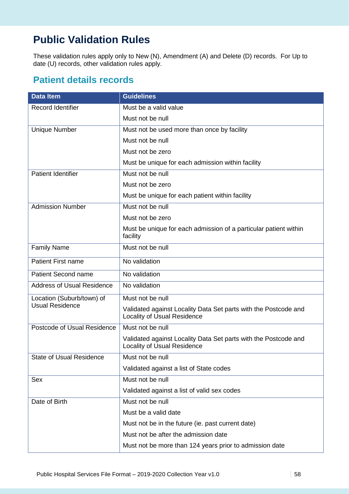# **Public Validation Rules**

These validation rules apply only to New (N), Amendment (A) and Delete (D) records. For Up to date (U) records, other validation rules apply.

#### **Patient details records**

| <b>Data Item</b>                  | <b>Guidelines</b>                                                                                     |
|-----------------------------------|-------------------------------------------------------------------------------------------------------|
| <b>Record Identifier</b>          | Must be a valid value                                                                                 |
|                                   | Must not be null                                                                                      |
| <b>Unique Number</b>              | Must not be used more than once by facility                                                           |
|                                   | Must not be null                                                                                      |
|                                   | Must not be zero                                                                                      |
|                                   | Must be unique for each admission within facility                                                     |
| <b>Patient Identifier</b>         | Must not be null                                                                                      |
|                                   | Must not be zero                                                                                      |
|                                   | Must be unique for each patient within facility                                                       |
| <b>Admission Number</b>           | Must not be null                                                                                      |
|                                   | Must not be zero                                                                                      |
|                                   | Must be unique for each admission of a particular patient within<br>facility                          |
| <b>Family Name</b>                | Must not be null                                                                                      |
| <b>Patient First name</b>         | No validation                                                                                         |
| <b>Patient Second name</b>        | No validation                                                                                         |
| <b>Address of Usual Residence</b> | No validation                                                                                         |
| Location (Suburb/town) of         | Must not be null                                                                                      |
| <b>Usual Residence</b>            | Validated against Locality Data Set parts with the Postcode and<br><b>Locality of Usual Residence</b> |
| Postcode of Usual Residence       | Must not be null                                                                                      |
|                                   | Validated against Locality Data Set parts with the Postcode and<br><b>Locality of Usual Residence</b> |
| <b>State of Usual Residence</b>   | Must not be null                                                                                      |
|                                   | Validated against a list of State codes                                                               |
| Sex                               | Must not be null                                                                                      |
|                                   | Validated against a list of valid sex codes                                                           |
| Date of Birth                     | Must not be null                                                                                      |
|                                   | Must be a valid date                                                                                  |
|                                   | Must not be in the future (ie. past current date)                                                     |
|                                   | Must not be after the admission date                                                                  |
|                                   | Must not be more than 124 years prior to admission date                                               |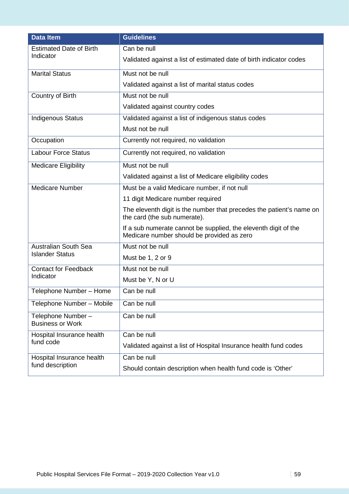| <b>Data Item</b>                             | <b>Guidelines</b>                                                                                             |
|----------------------------------------------|---------------------------------------------------------------------------------------------------------------|
| <b>Estimated Date of Birth</b><br>Indicator  | Can be null                                                                                                   |
|                                              | Validated against a list of estimated date of birth indicator codes                                           |
| <b>Marital Status</b>                        | Must not be null                                                                                              |
|                                              | Validated against a list of marital status codes                                                              |
| Country of Birth                             | Must not be null                                                                                              |
|                                              | Validated against country codes                                                                               |
| <b>Indigenous Status</b>                     | Validated against a list of indigenous status codes                                                           |
|                                              | Must not be null                                                                                              |
| Occupation                                   | Currently not required, no validation                                                                         |
| <b>Labour Force Status</b>                   | Currently not required, no validation                                                                         |
| <b>Medicare Eligibility</b>                  | Must not be null                                                                                              |
|                                              | Validated against a list of Medicare eligibility codes                                                        |
| <b>Medicare Number</b>                       | Must be a valid Medicare number, if not null                                                                  |
|                                              | 11 digit Medicare number required                                                                             |
|                                              | The eleventh digit is the number that precedes the patient's name on<br>the card (the sub numerate).          |
|                                              | If a sub numerate cannot be supplied, the eleventh digit of the<br>Medicare number should be provided as zero |
| <b>Australian South Sea</b>                  | Must not be null                                                                                              |
| <b>Islander Status</b>                       | Must be 1, 2 or 9                                                                                             |
| <b>Contact for Feedback</b>                  | Must not be null                                                                                              |
| Indicator                                    | Must be Y, N or U                                                                                             |
| Telephone Number - Home                      | Can be null                                                                                                   |
| Telephone Number - Mobile                    | Can be null                                                                                                   |
| Telephone Number-<br><b>Business or Work</b> | Can be null                                                                                                   |
| Hospital Insurance health                    | Can be null                                                                                                   |
| fund code                                    | Validated against a list of Hospital Insurance health fund codes                                              |
| Hospital Insurance health                    | Can be null                                                                                                   |
| fund description                             | Should contain description when health fund code is 'Other'                                                   |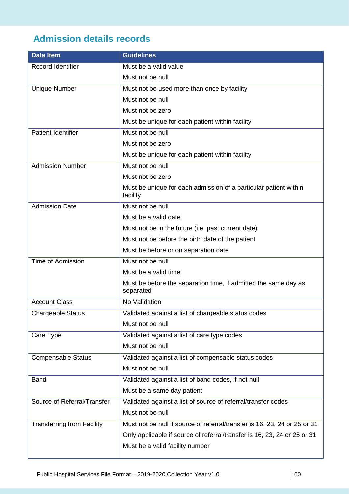## **Admission details records**

| <b>Data Item</b>                  | <b>Guidelines</b>                                                            |
|-----------------------------------|------------------------------------------------------------------------------|
| <b>Record Identifier</b>          | Must be a valid value                                                        |
|                                   | Must not be null                                                             |
| <b>Unique Number</b>              | Must not be used more than once by facility                                  |
|                                   | Must not be null                                                             |
|                                   | Must not be zero                                                             |
|                                   | Must be unique for each patient within facility                              |
| <b>Patient Identifier</b>         | Must not be null                                                             |
|                                   | Must not be zero                                                             |
|                                   | Must be unique for each patient within facility                              |
| <b>Admission Number</b>           | Must not be null                                                             |
|                                   | Must not be zero                                                             |
|                                   | Must be unique for each admission of a particular patient within<br>facility |
| <b>Admission Date</b>             | Must not be null                                                             |
|                                   | Must be a valid date                                                         |
|                                   | Must not be in the future (i.e. past current date)                           |
|                                   | Must not be before the birth date of the patient                             |
|                                   | Must be before or on separation date                                         |
| <b>Time of Admission</b>          | Must not be null                                                             |
|                                   | Must be a valid time                                                         |
|                                   | Must be before the separation time, if admitted the same day as<br>separated |
| <b>Account Class</b>              | No Validation                                                                |
| <b>Chargeable Status</b>          | Validated against a list of chargeable status codes                          |
|                                   | Must not be null                                                             |
| Care Type                         | Validated against a list of care type codes                                  |
|                                   | Must not be null                                                             |
| <b>Compensable Status</b>         | Validated against a list of compensable status codes                         |
|                                   | Must not be null                                                             |
| <b>Band</b>                       | Validated against a list of band codes, if not null                          |
|                                   | Must be a same day patient                                                   |
| Source of Referral/Transfer       | Validated against a list of source of referral/transfer codes                |
|                                   | Must not be null                                                             |
| <b>Transferring from Facility</b> | Must not be null if source of referral/transfer is 16, 23, 24 or 25 or 31    |
|                                   | Only applicable if source of referral/transfer is 16, 23, 24 or 25 or 31     |
|                                   | Must be a valid facility number                                              |
|                                   |                                                                              |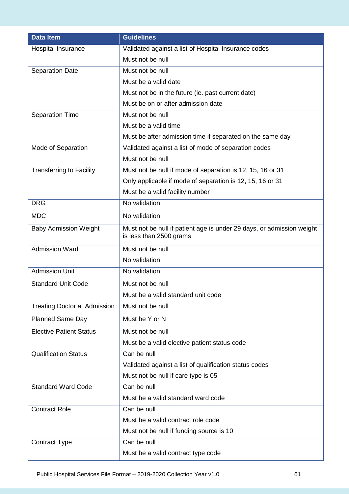| <b>Data Item</b>                    | <b>Guidelines</b>                                                                                |
|-------------------------------------|--------------------------------------------------------------------------------------------------|
| Hospital Insurance                  | Validated against a list of Hospital Insurance codes                                             |
|                                     | Must not be null                                                                                 |
| <b>Separation Date</b>              | Must not be null                                                                                 |
|                                     | Must be a valid date                                                                             |
|                                     | Must not be in the future (ie. past current date)                                                |
|                                     | Must be on or after admission date                                                               |
| <b>Separation Time</b>              | Must not be null                                                                                 |
|                                     | Must be a valid time                                                                             |
|                                     | Must be after admission time if separated on the same day                                        |
| Mode of Separation                  | Validated against a list of mode of separation codes                                             |
|                                     | Must not be null                                                                                 |
| <b>Transferring to Facility</b>     | Must not be null if mode of separation is 12, 15, 16 or 31                                       |
|                                     | Only applicable if mode of separation is 12, 15, 16 or 31                                        |
|                                     | Must be a valid facility number                                                                  |
| <b>DRG</b>                          | No validation                                                                                    |
| <b>MDC</b>                          | No validation                                                                                    |
| <b>Baby Admission Weight</b>        | Must not be null if patient age is under 29 days, or admission weight<br>is less than 2500 grams |
| <b>Admission Ward</b>               | Must not be null                                                                                 |
|                                     | No validation                                                                                    |
| <b>Admission Unit</b>               | No validation                                                                                    |
| <b>Standard Unit Code</b>           | Must not be null                                                                                 |
|                                     | Must be a valid standard unit code                                                               |
| <b>Treating Doctor at Admission</b> | Must not be null                                                                                 |
| Planned Same Day                    | Must be Y or N                                                                                   |
| <b>Elective Patient Status</b>      | Must not be null                                                                                 |
|                                     | Must be a valid elective patient status code                                                     |
| <b>Qualification Status</b>         | Can be null                                                                                      |
|                                     | Validated against a list of qualification status codes                                           |
|                                     | Must not be null if care type is 05                                                              |
| <b>Standard Ward Code</b>           | Can be null                                                                                      |
|                                     | Must be a valid standard ward code                                                               |
| <b>Contract Role</b>                | Can be null                                                                                      |
|                                     | Must be a valid contract role code                                                               |
|                                     | Must not be null if funding source is 10                                                         |
| <b>Contract Type</b>                | Can be null                                                                                      |
|                                     | Must be a valid contract type code                                                               |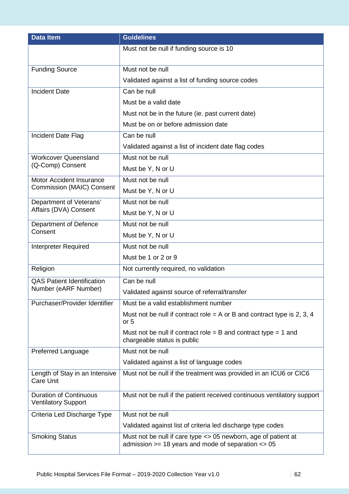| <b>Data Item</b>                                            | <b>Guidelines</b>                                                                                                            |
|-------------------------------------------------------------|------------------------------------------------------------------------------------------------------------------------------|
|                                                             | Must not be null if funding source is 10                                                                                     |
|                                                             |                                                                                                                              |
| <b>Funding Source</b>                                       | Must not be null                                                                                                             |
|                                                             | Validated against a list of funding source codes                                                                             |
| <b>Incident Date</b>                                        | Can be null                                                                                                                  |
|                                                             | Must be a valid date                                                                                                         |
|                                                             | Must not be in the future (ie. past current date)                                                                            |
|                                                             | Must be on or before admission date                                                                                          |
| Incident Date Flag                                          | Can be null                                                                                                                  |
|                                                             | Validated against a list of incident date flag codes                                                                         |
| <b>Workcover Queensland</b>                                 | Must not be null                                                                                                             |
| (Q-Comp) Consent                                            | Must be Y, N or U                                                                                                            |
| <b>Motor Accident Insurance</b>                             | Must not be null                                                                                                             |
| <b>Commission (MAIC) Consent</b>                            | Must be Y, N or U                                                                                                            |
| Department of Veterans'                                     | Must not be null                                                                                                             |
| Affairs (DVA) Consent                                       | Must be Y, N or U                                                                                                            |
| Department of Defence                                       | Must not be null                                                                                                             |
| Consent                                                     | Must be Y, N or U                                                                                                            |
| <b>Interpreter Required</b>                                 | Must not be null                                                                                                             |
|                                                             | Must be 1 or 2 or 9                                                                                                          |
| Religion                                                    | Not currently required, no validation                                                                                        |
| <b>QAS Patient Identification</b>                           | Can be null                                                                                                                  |
| Number (eARF Number)                                        | Validated against source of referral/transfer                                                                                |
| Purchaser/Provider Identifier                               | Must be a valid establishment number                                                                                         |
|                                                             | Must not be null if contract role = A or B and contract type is 2, 3, 4<br>or $5$                                            |
|                                                             | Must not be null if contract role = B and contract type = 1 and<br>chargeable status is public                               |
| Preferred Language                                          | Must not be null                                                                                                             |
|                                                             | Validated against a list of language codes                                                                                   |
| Length of Stay in an Intensive<br><b>Care Unit</b>          | Must not be null if the treatment was provided in an ICU6 or CIC6                                                            |
| <b>Duration of Continuous</b><br><b>Ventilatory Support</b> | Must not be null if the patient received continuous ventilatory support                                                      |
| Criteria Led Discharge Type                                 | Must not be null                                                                                                             |
|                                                             | Validated against list of criteria led discharge type codes                                                                  |
| <b>Smoking Status</b>                                       | Must not be null if care type <> 05 newborn, age of patient at<br>admission $>= 18$ years and mode of separation $\leq 0.05$ |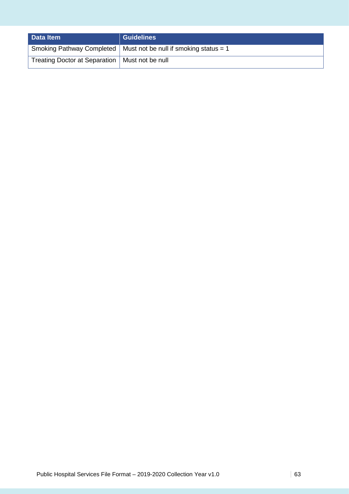| Data Item                                        | <b>Guidelines</b>                                                  |
|--------------------------------------------------|--------------------------------------------------------------------|
|                                                  | Smoking Pathway Completed   Must not be null if smoking status = 1 |
| Treating Doctor at Separation   Must not be null |                                                                    |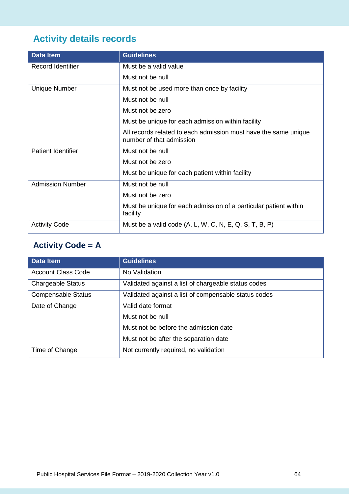# **Activity details records**

| <b>Data Item</b>          | <b>Guidelines</b>                                                                           |
|---------------------------|---------------------------------------------------------------------------------------------|
| Record Identifier         | Must be a valid value                                                                       |
|                           | Must not be null                                                                            |
| <b>Unique Number</b>      | Must not be used more than once by facility                                                 |
|                           | Must not be null                                                                            |
|                           | Must not be zero                                                                            |
|                           | Must be unique for each admission within facility                                           |
|                           | All records related to each admission must have the same unique<br>number of that admission |
| <b>Patient Identifier</b> | Must not be null                                                                            |
|                           | Must not be zero                                                                            |
|                           | Must be unique for each patient within facility                                             |
| <b>Admission Number</b>   | Must not be null                                                                            |
|                           | Must not be zero                                                                            |
|                           | Must be unique for each admission of a particular patient within<br>facility                |
| <b>Activity Code</b>      | Must be a valid code (A, L, W, C, N, E, Q, S, T, B, P)                                      |

### **Activity Code = A**

| <b>Data Item</b>          | <b>Guidelines</b>                                    |
|---------------------------|------------------------------------------------------|
| <b>Account Class Code</b> | No Validation                                        |
| <b>Chargeable Status</b>  | Validated against a list of chargeable status codes  |
| <b>Compensable Status</b> | Validated against a list of compensable status codes |
| Date of Change            | Valid date format                                    |
|                           | Must not be null                                     |
|                           | Must not be before the admission date                |
|                           | Must not be after the separation date                |
| Time of Change            | Not currently required, no validation                |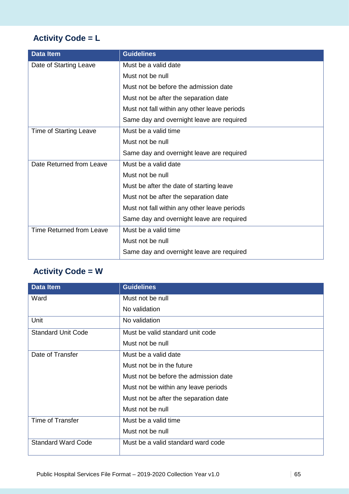### **Activity Code = L**

| <b>Data Item</b>              | <b>Guidelines</b>                            |
|-------------------------------|----------------------------------------------|
| Date of Starting Leave        | Must be a valid date                         |
|                               | Must not be null                             |
|                               | Must not be before the admission date        |
|                               | Must not be after the separation date        |
|                               | Must not fall within any other leave periods |
|                               | Same day and overnight leave are required    |
| <b>Time of Starting Leave</b> | Must be a valid time                         |
|                               | Must not be null                             |
|                               | Same day and overnight leave are required    |
| Date Returned from Leave      | Must be a valid date                         |
|                               | Must not be null                             |
|                               | Must be after the date of starting leave     |
|                               | Must not be after the separation date        |
|                               | Must not fall within any other leave periods |
|                               | Same day and overnight leave are required    |
| Time Returned from Leave      | Must be a valid time                         |
|                               | Must not be null                             |
|                               | Same day and overnight leave are required    |

### **Activity Code = W**

| <b>Data Item</b>          | <b>Guidelines</b>                     |
|---------------------------|---------------------------------------|
| Ward                      | Must not be null                      |
|                           | No validation                         |
| Unit                      | No validation                         |
| <b>Standard Unit Code</b> | Must be valid standard unit code      |
|                           | Must not be null                      |
| Date of Transfer          | Must be a valid date                  |
|                           | Must not be in the future             |
|                           | Must not be before the admission date |
|                           | Must not be within any leave periods  |
|                           | Must not be after the separation date |
|                           | Must not be null                      |
| Time of Transfer          | Must be a valid time                  |
|                           | Must not be null                      |
| <b>Standard Ward Code</b> | Must be a valid standard ward code    |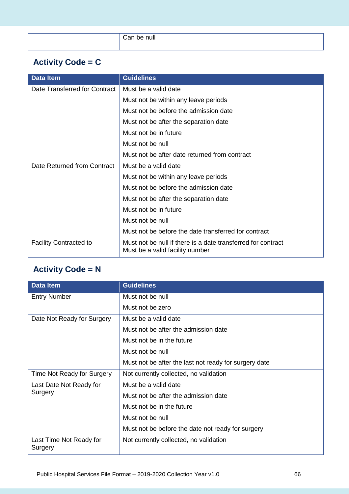| . .<br>Can be null |
|--------------------|
|                    |
|                    |

### **Activity Code = C**

| <b>Data Item</b>              | <b>Guidelines</b>                                                                               |
|-------------------------------|-------------------------------------------------------------------------------------------------|
| Date Transferred for Contract | Must be a valid date                                                                            |
|                               | Must not be within any leave periods                                                            |
|                               | Must not be before the admission date                                                           |
|                               | Must not be after the separation date                                                           |
|                               | Must not be in future                                                                           |
|                               | Must not be null                                                                                |
|                               | Must not be after date returned from contract                                                   |
| Date Returned from Contract   | Must be a valid date                                                                            |
|                               | Must not be within any leave periods                                                            |
|                               | Must not be before the admission date                                                           |
|                               | Must not be after the separation date                                                           |
|                               | Must not be in future                                                                           |
|                               | Must not be null                                                                                |
|                               | Must not be before the date transferred for contract                                            |
| <b>Facility Contracted to</b> | Must not be null if there is a date transferred for contract<br>Must be a valid facility number |

### **Activity Code = N**

| <b>Data Item</b>                   | <b>Guidelines</b>                                     |
|------------------------------------|-------------------------------------------------------|
| <b>Entry Number</b>                | Must not be null                                      |
|                                    | Must not be zero                                      |
| Date Not Ready for Surgery         | Must be a valid date                                  |
|                                    | Must not be after the admission date                  |
|                                    | Must not be in the future                             |
|                                    | Must not be null                                      |
|                                    | Must not be after the last not ready for surgery date |
| Time Not Ready for Surgery         | Not currently collected, no validation                |
| Last Date Not Ready for<br>Surgery | Must be a valid date                                  |
|                                    | Must not be after the admission date                  |
|                                    | Must not be in the future                             |
|                                    | Must not be null                                      |
|                                    | Must not be before the date not ready for surgery     |
| Last Time Not Ready for<br>Surgery | Not currently collected, no validation                |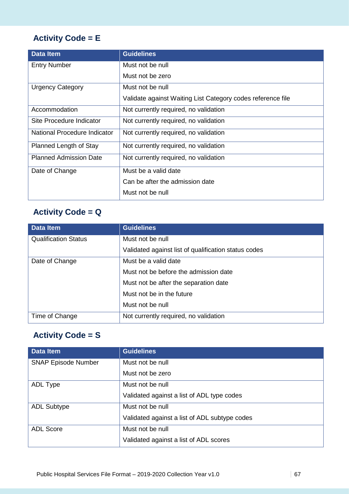### **Activity Code = E**

| <b>Data Item</b>              | <b>Guidelines</b>                                           |
|-------------------------------|-------------------------------------------------------------|
| <b>Entry Number</b>           | Must not be null                                            |
|                               | Must not be zero                                            |
| <b>Urgency Category</b>       | Must not be null                                            |
|                               | Validate against Waiting List Category codes reference file |
| Accommodation                 | Not currently required, no validation                       |
| Site Procedure Indicator      | Not currently required, no validation                       |
| National Procedure Indicator  | Not currently required, no validation                       |
| Planned Length of Stay        | Not currently required, no validation                       |
| <b>Planned Admission Date</b> | Not currently required, no validation                       |
| Date of Change                | Must be a valid date                                        |
|                               | Can be after the admission date                             |
|                               | Must not be null                                            |

### **Activity Code = Q**

| <b>Data Item</b>            | <b>Guidelines</b>                                    |
|-----------------------------|------------------------------------------------------|
| <b>Qualification Status</b> | Must not be null                                     |
|                             | Validated against list of qualification status codes |
| Date of Change              | Must be a valid date                                 |
|                             | Must not be before the admission date                |
|                             | Must not be after the separation date                |
|                             | Must not be in the future                            |
|                             | Must not be null                                     |
| Time of Change              | Not currently required, no validation                |

### **Activity Code = S**

| Data Item                  | <b>Guidelines</b>                             |
|----------------------------|-----------------------------------------------|
| <b>SNAP Episode Number</b> | Must not be null                              |
|                            | Must not be zero                              |
| ADL Type                   | Must not be null                              |
|                            | Validated against a list of ADL type codes    |
| <b>ADL Subtype</b>         | Must not be null                              |
|                            | Validated against a list of ADL subtype codes |
| <b>ADL Score</b>           | Must not be null                              |
|                            | Validated against a list of ADL scores        |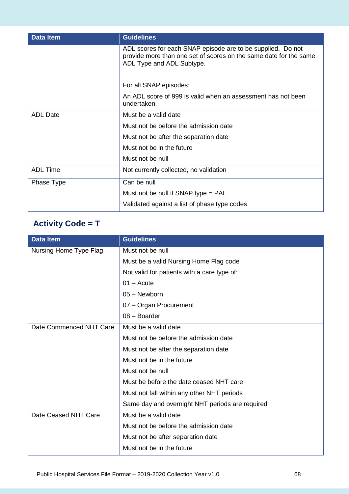| <b>Data Item</b> | <b>Guidelines</b>                                                                                                                                             |
|------------------|---------------------------------------------------------------------------------------------------------------------------------------------------------------|
|                  | ADL scores for each SNAP episode are to be supplied. Do not<br>provide more than one set of scores on the same date for the same<br>ADL Type and ADL Subtype. |
|                  | For all SNAP episodes:                                                                                                                                        |
|                  | An ADL score of 999 is valid when an assessment has not been<br>undertaken.                                                                                   |
| <b>ADL Date</b>  | Must be a valid date                                                                                                                                          |
|                  | Must not be before the admission date                                                                                                                         |
|                  | Must not be after the separation date                                                                                                                         |
|                  | Must not be in the future                                                                                                                                     |
|                  | Must not be null                                                                                                                                              |
| <b>ADL Time</b>  | Not currently collected, no validation                                                                                                                        |
| Phase Type       | Can be null                                                                                                                                                   |
|                  | Must not be null if SNAP type $=$ PAL                                                                                                                         |
|                  | Validated against a list of phase type codes                                                                                                                  |

# **Activity Code = T**

| <b>Data Item</b>        | <b>Guidelines</b>                               |
|-------------------------|-------------------------------------------------|
| Nursing Home Type Flag  | Must not be null                                |
|                         | Must be a valid Nursing Home Flag code          |
|                         | Not valid for patients with a care type of:     |
|                         | $01 - Acute$                                    |
|                         | 05 - Newborn                                    |
|                         | 07 - Organ Procurement                          |
|                         | $08 - Boarder$                                  |
| Date Commenced NHT Care | Must be a valid date                            |
|                         | Must not be before the admission date           |
|                         | Must not be after the separation date           |
|                         | Must not be in the future                       |
|                         | Must not be null                                |
|                         | Must be before the date ceased NHT care         |
|                         | Must not fall within any other NHT periods      |
|                         | Same day and overnight NHT periods are required |
| Date Ceased NHT Care    | Must be a valid date                            |
|                         | Must not be before the admission date           |
|                         | Must not be after separation date               |
|                         | Must not be in the future                       |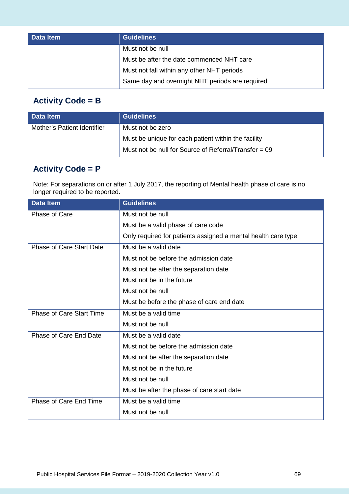| <b>Data Item</b> | Guidelines                                      |
|------------------|-------------------------------------------------|
|                  | Must not be null                                |
|                  | Must be after the date commenced NHT care       |
|                  | Must not fall within any other NHT periods      |
|                  | Same day and overnight NHT periods are required |

#### **Activity Code = B**

| Data Item                   | <b>Guidelines</b>                                       |
|-----------------------------|---------------------------------------------------------|
| Mother's Patient Identifier | Must not be zero                                        |
|                             | Must be unique for each patient within the facility     |
|                             | Must not be null for Source of Referral/Transfer $= 09$ |

#### **Activity Code = P**

Note: For separations on or after 1 July 2017, the reporting of Mental health phase of care is no longer required to be reported.

| <b>Data Item</b>                | <b>Guidelines</b>                                             |
|---------------------------------|---------------------------------------------------------------|
| Phase of Care                   | Must not be null                                              |
|                                 | Must be a valid phase of care code                            |
|                                 | Only required for patients assigned a mental health care type |
| <b>Phase of Care Start Date</b> | Must be a valid date                                          |
|                                 | Must not be before the admission date                         |
|                                 | Must not be after the separation date                         |
|                                 | Must not be in the future                                     |
|                                 | Must not be null                                              |
|                                 | Must be before the phase of care end date                     |
| <b>Phase of Care Start Time</b> | Must be a valid time                                          |
|                                 | Must not be null                                              |
| Phase of Care End Date          | Must be a valid date                                          |
|                                 | Must not be before the admission date                         |
|                                 | Must not be after the separation date                         |
|                                 | Must not be in the future                                     |
|                                 | Must not be null                                              |
|                                 | Must be after the phase of care start date                    |
| Phase of Care End Time          | Must be a valid time                                          |
|                                 | Must not be null                                              |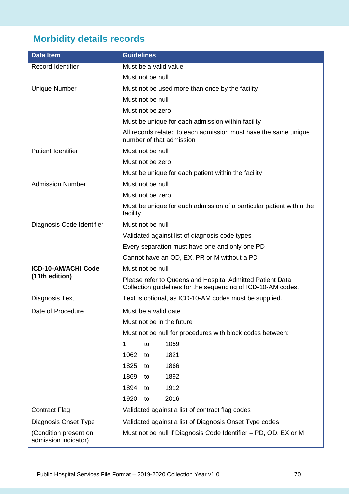# **Morbidity details records**

| <b>Data Item</b>                              | <b>Guidelines</b>                                                                                                         |
|-----------------------------------------------|---------------------------------------------------------------------------------------------------------------------------|
| <b>Record Identifier</b>                      | Must be a valid value                                                                                                     |
|                                               | Must not be null                                                                                                          |
| <b>Unique Number</b>                          | Must not be used more than once by the facility                                                                           |
|                                               | Must not be null                                                                                                          |
|                                               | Must not be zero                                                                                                          |
|                                               | Must be unique for each admission within facility                                                                         |
|                                               | All records related to each admission must have the same unique<br>number of that admission                               |
| <b>Patient Identifier</b>                     | Must not be null                                                                                                          |
|                                               | Must not be zero                                                                                                          |
|                                               | Must be unique for each patient within the facility                                                                       |
| <b>Admission Number</b>                       | Must not be null                                                                                                          |
|                                               | Must not be zero                                                                                                          |
|                                               | Must be unique for each admission of a particular patient within the<br>facility                                          |
| Diagnosis Code Identifier                     | Must not be null                                                                                                          |
|                                               | Validated against list of diagnosis code types                                                                            |
|                                               | Every separation must have one and only one PD                                                                            |
|                                               | Cannot have an OD, EX, PR or M without a PD                                                                               |
| ICD-10-AM/ACHI Code                           | Must not be null                                                                                                          |
| (11th edition)                                | Please refer to Queensland Hospital Admitted Patient Data<br>Collection guidelines for the sequencing of ICD-10-AM codes. |
| <b>Diagnosis Text</b>                         | Text is optional, as ICD-10-AM codes must be supplied.                                                                    |
| Date of Procedure                             | Must be a valid date                                                                                                      |
|                                               | Must not be in the future                                                                                                 |
|                                               | Must not be null for procedures with block codes between:                                                                 |
|                                               | 1<br>1059<br>to                                                                                                           |
|                                               | 1821<br>1062<br>to                                                                                                        |
|                                               | 1825<br>1866<br>to                                                                                                        |
|                                               | 1869<br>1892<br>to                                                                                                        |
|                                               | 1894<br>1912<br>to                                                                                                        |
|                                               | 2016<br>1920<br>to                                                                                                        |
| <b>Contract Flag</b>                          | Validated against a list of contract flag codes                                                                           |
| Diagnosis Onset Type                          | Validated against a list of Diagnosis Onset Type codes                                                                    |
| (Condition present on<br>admission indicator) | Must not be null if Diagnosis Code Identifier = $PD$ , $OD$ , $EX$ or M                                                   |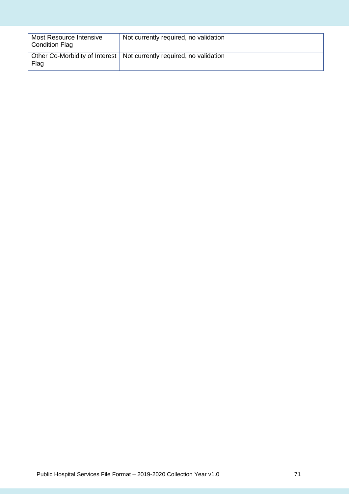| Most Resource Intensive<br><b>Condition Flag</b> | Not currently required, no validation                                  |
|--------------------------------------------------|------------------------------------------------------------------------|
| Flag                                             | Other Co-Morbidity of Interest   Not currently required, no validation |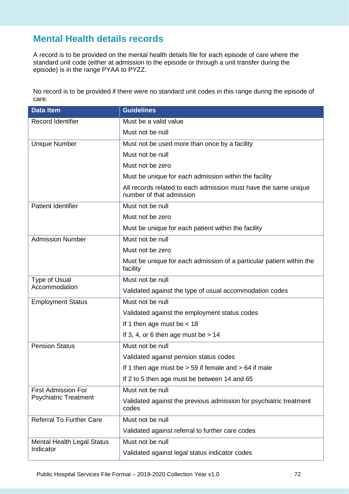### **Mental Health details records**

A record is to be provided on the mental health details file for each episode of care where the standard unit code (either at admission to the episode or through a unit transfer during the episode) is in the range PYAA to PYZZ.

No record is to be provided if there were no standard unit codes in this range during the episode of care.

| <b>Data Item</b>                                           | <b>Guidelines</b>                                                                           |
|------------------------------------------------------------|---------------------------------------------------------------------------------------------|
| <b>Record Identifier</b>                                   | Must be a valid value                                                                       |
|                                                            | Must not be null                                                                            |
| <b>Unique Number</b>                                       | Must not be used more than once by a facility                                               |
|                                                            | Must not be null                                                                            |
|                                                            | Must not be zero                                                                            |
|                                                            | Must be unique for each admission within the facility                                       |
|                                                            | All records related to each admission must have the same unique<br>number of that admission |
| <b>Patient Identifier</b>                                  | Must not be null                                                                            |
|                                                            | Must not be zero                                                                            |
|                                                            | Must be unique for each patient within the facility                                         |
| <b>Admission Number</b>                                    | Must not be null                                                                            |
|                                                            | Must not be zero                                                                            |
|                                                            | Must be unique for each admission of a particular patient within the<br>facility            |
| <b>Type of Usual</b><br>Accommodation                      | Must not be null                                                                            |
|                                                            | Validated against the type of usual accommodation codes                                     |
| <b>Employment Status</b>                                   | Must not be null                                                                            |
|                                                            | Validated against the employment status codes                                               |
|                                                            | If 1 then age must be $<$ 18                                                                |
|                                                            | If 3, 4, or 6 then age must be $> 14$                                                       |
| <b>Pension Status</b>                                      | Must not be null                                                                            |
|                                                            | Validated against pension status codes                                                      |
|                                                            | If 1 then age must be $> 59$ if female and $> 64$ if male                                   |
|                                                            | If 2 to 5 then age must be between 14 and 65                                                |
| <b>First Admission For</b><br><b>Psychiatric Treatment</b> | Must not be null                                                                            |
|                                                            | Validated against the previous admission for psychiatric treatment<br>codes                 |
| <b>Referral To Further Care</b>                            | Must not be null                                                                            |
|                                                            | Validated against referral to further care codes                                            |
| <b>Mental Health Legal Status</b><br>Indicator             | Must not be null                                                                            |
|                                                            | Validated against legal status indicator codes                                              |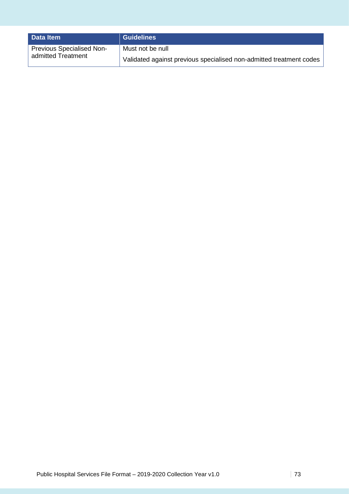| Data Item                        | <b>Guidelines</b>                                                   |
|----------------------------------|---------------------------------------------------------------------|
| <b>Previous Specialised Non-</b> | Must not be null                                                    |
| admitted Treatment               | Validated against previous specialised non-admitted treatment codes |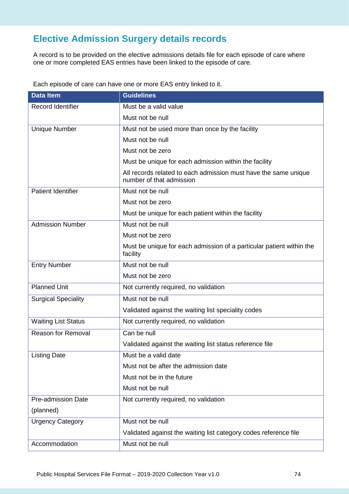# **Elective Admission Surgery details records**

A record is to be provided on the elective admissions details file for each episode of care where one or more completed EAS entries have been linked to the episode of care.

Each episode of care can have one or more EAS entry linked to it.

| <b>Data Item</b>           | <b>Guidelines</b>                                                                           |
|----------------------------|---------------------------------------------------------------------------------------------|
| <b>Record Identifier</b>   | Must be a valid value                                                                       |
|                            | Must not be null                                                                            |
| <b>Unique Number</b>       | Must not be used more than once by the facility                                             |
|                            | Must not be null                                                                            |
|                            | Must not be zero                                                                            |
|                            | Must be unique for each admission within the facility                                       |
|                            | All records related to each admission must have the same unique<br>number of that admission |
| <b>Patient Identifier</b>  | Must not be null                                                                            |
|                            | Must not be zero                                                                            |
|                            | Must be unique for each patient within the facility                                         |
| <b>Admission Number</b>    | Must not be null                                                                            |
|                            | Must not be zero                                                                            |
|                            | Must be unique for each admission of a particular patient within the<br>facility            |
| <b>Entry Number</b>        | Must not be null                                                                            |
|                            | Must not be zero                                                                            |
| <b>Planned Unit</b>        | Not currently required, no validation                                                       |
| <b>Surgical Speciality</b> | Must not be null                                                                            |
|                            | Validated against the waiting list speciality codes                                         |
| <b>Waiting List Status</b> | Not currently required, no validation                                                       |
| <b>Reason for Removal</b>  | Can be null                                                                                 |
|                            | Validated against the waiting list status reference file                                    |
| <b>Listing Date</b>        | Must be a valid date                                                                        |
|                            | Must not be after the admission date                                                        |
|                            | Must not be in the future                                                                   |
|                            | Must not be null                                                                            |
| <b>Pre-admission Date</b>  | Not currently required, no validation                                                       |
| (planned)                  |                                                                                             |
| <b>Urgency Category</b>    | Must not be null                                                                            |
|                            | Validated against the waiting list category codes reference file                            |
| Accommodation              | Must not be null                                                                            |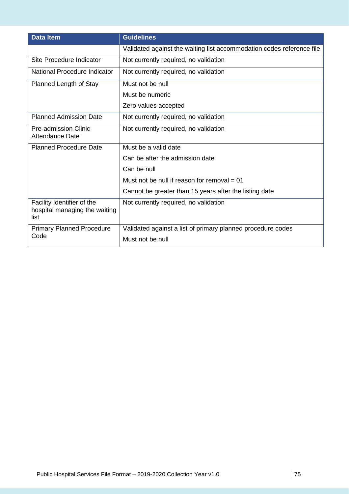| <b>Data Item</b>                                                    | <b>Guidelines</b>                                                     |
|---------------------------------------------------------------------|-----------------------------------------------------------------------|
|                                                                     | Validated against the waiting list accommodation codes reference file |
| Site Procedure Indicator                                            | Not currently required, no validation                                 |
| National Procedure Indicator                                        | Not currently required, no validation                                 |
| Planned Length of Stay                                              | Must not be null                                                      |
|                                                                     | Must be numeric                                                       |
|                                                                     | Zero values accepted                                                  |
| <b>Planned Admission Date</b>                                       | Not currently required, no validation                                 |
| <b>Pre-admission Clinic</b><br><b>Attendance Date</b>               | Not currently required, no validation                                 |
| <b>Planned Procedure Date</b>                                       | Must be a valid date                                                  |
|                                                                     | Can be after the admission date                                       |
|                                                                     | Can be null                                                           |
|                                                                     | Must not be null if reason for removal $= 01$                         |
|                                                                     | Cannot be greater than 15 years after the listing date                |
| Facility Identifier of the<br>hospital managing the waiting<br>list | Not currently required, no validation                                 |
| <b>Primary Planned Procedure</b><br>Code                            | Validated against a list of primary planned procedure codes           |
|                                                                     | Must not be null                                                      |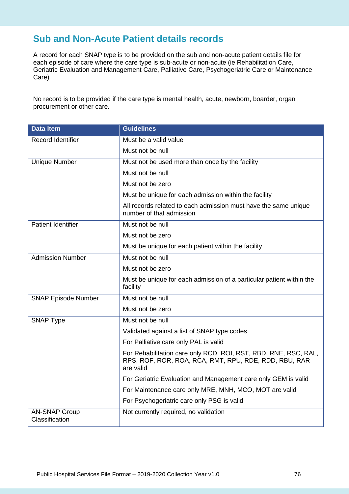## **Sub and Non-Acute Patient details records**

A record for each SNAP type is to be provided on the sub and non-acute patient details file for each episode of care where the care type is sub-acute or non-acute (ie Rehabilitation Care, Geriatric Evaluation and Management Care, Palliative Care, Psychogeriatric Care or Maintenance Care)

No record is to be provided if the care type is mental health, acute, newborn, boarder, organ procurement or other care.

| <b>Data Item</b>                       | <b>Guidelines</b>                                                                                                                     |
|----------------------------------------|---------------------------------------------------------------------------------------------------------------------------------------|
| <b>Record Identifier</b>               | Must be a valid value                                                                                                                 |
|                                        | Must not be null                                                                                                                      |
| <b>Unique Number</b>                   | Must not be used more than once by the facility                                                                                       |
|                                        | Must not be null                                                                                                                      |
|                                        | Must not be zero                                                                                                                      |
|                                        | Must be unique for each admission within the facility                                                                                 |
|                                        | All records related to each admission must have the same unique<br>number of that admission                                           |
| <b>Patient Identifier</b>              | Must not be null                                                                                                                      |
|                                        | Must not be zero                                                                                                                      |
|                                        | Must be unique for each patient within the facility                                                                                   |
| <b>Admission Number</b>                | Must not be null                                                                                                                      |
|                                        | Must not be zero                                                                                                                      |
|                                        | Must be unique for each admission of a particular patient within the<br>facility                                                      |
| <b>SNAP Episode Number</b>             | Must not be null                                                                                                                      |
|                                        | Must not be zero                                                                                                                      |
| <b>SNAP Type</b>                       | Must not be null                                                                                                                      |
|                                        | Validated against a list of SNAP type codes                                                                                           |
|                                        | For Palliative care only PAL is valid                                                                                                 |
|                                        | For Rehabilitation care only RCD, ROI, RST, RBD, RNE, RSC, RAL,<br>RPS, ROF, ROR, ROA, RCA, RMT, RPU, RDE, RDD, RBU, RAR<br>are valid |
|                                        | For Geriatric Evaluation and Management care only GEM is valid                                                                        |
|                                        | For Maintenance care only MRE, MNH, MCO, MOT are valid                                                                                |
|                                        | For Psychogeriatric care only PSG is valid                                                                                            |
| <b>AN-SNAP Group</b><br>Classification | Not currently required, no validation                                                                                                 |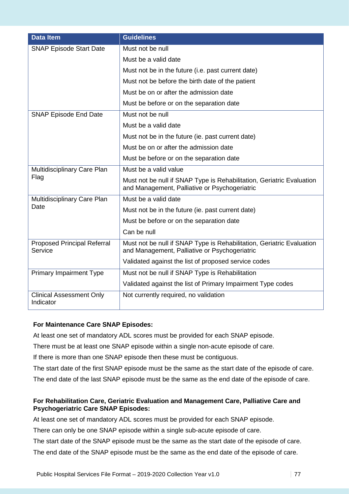| <b>Data Item</b>                              | <b>Guidelines</b>                                                                                                      |
|-----------------------------------------------|------------------------------------------------------------------------------------------------------------------------|
| <b>SNAP Episode Start Date</b>                | Must not be null                                                                                                       |
|                                               | Must be a valid date                                                                                                   |
|                                               | Must not be in the future (i.e. past current date)                                                                     |
|                                               | Must not be before the birth date of the patient                                                                       |
|                                               | Must be on or after the admission date                                                                                 |
|                                               | Must be before or on the separation date                                                                               |
| <b>SNAP Episode End Date</b>                  | Must not be null                                                                                                       |
|                                               | Must be a valid date                                                                                                   |
|                                               | Must not be in the future (ie. past current date)                                                                      |
|                                               | Must be on or after the admission date                                                                                 |
|                                               | Must be before or on the separation date                                                                               |
| Multidisciplinary Care Plan                   | Must be a valid value                                                                                                  |
| Flag                                          | Must not be null if SNAP Type is Rehabilitation, Geriatric Evaluation<br>and Management, Palliative or Psychogeriatric |
| Multidisciplinary Care Plan                   | Must be a valid date                                                                                                   |
| Date                                          | Must not be in the future (ie. past current date)                                                                      |
|                                               | Must be before or on the separation date                                                                               |
|                                               | Can be null                                                                                                            |
| <b>Proposed Principal Referral</b><br>Service | Must not be null if SNAP Type is Rehabilitation, Geriatric Evaluation<br>and Management, Palliative or Psychogeriatric |
|                                               | Validated against the list of proposed service codes                                                                   |
| <b>Primary Impairment Type</b>                | Must not be null if SNAP Type is Rehabilitation                                                                        |
|                                               | Validated against the list of Primary Impairment Type codes                                                            |
| <b>Clinical Assessment Only</b><br>Indicator  | Not currently required, no validation                                                                                  |

### **For Maintenance Care SNAP Episodes:**

At least one set of mandatory ADL scores must be provided for each SNAP episode.

There must be at least one SNAP episode within a single non-acute episode of care.

If there is more than one SNAP episode then these must be contiguous.

The start date of the first SNAP episode must be the same as the start date of the episode of care.

The end date of the last SNAP episode must be the same as the end date of the episode of care.

### **For Rehabilitation Care, Geriatric Evaluation and Management Care, Palliative Care and Psychogeriatric Care SNAP Episodes:**

At least one set of mandatory ADL scores must be provided for each SNAP episode.

There can only be one SNAP episode within a single sub-acute episode of care.

The start date of the SNAP episode must be the same as the start date of the episode of care.

The end date of the SNAP episode must be the same as the end date of the episode of care.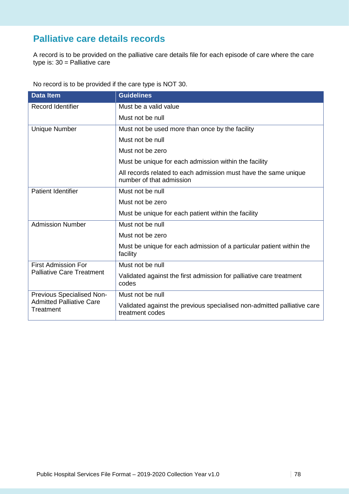# **Palliative care details records**

A record is to be provided on the palliative care details file for each episode of care where the care type is: 30 = Palliative care

No record is to be provided if the care type is NOT 30.

| <b>Data Item</b>                                                          | <b>Guidelines</b>                                                                           |
|---------------------------------------------------------------------------|---------------------------------------------------------------------------------------------|
| <b>Record Identifier</b>                                                  | Must be a valid value                                                                       |
|                                                                           | Must not be null                                                                            |
| <b>Unique Number</b>                                                      | Must not be used more than once by the facility                                             |
|                                                                           | Must not be null                                                                            |
|                                                                           | Must not be zero                                                                            |
|                                                                           | Must be unique for each admission within the facility                                       |
|                                                                           | All records related to each admission must have the same unique<br>number of that admission |
| <b>Patient Identifier</b>                                                 | Must not be null                                                                            |
|                                                                           | Must not be zero                                                                            |
|                                                                           | Must be unique for each patient within the facility                                         |
| <b>Admission Number</b>                                                   | Must not be null                                                                            |
|                                                                           | Must not be zero                                                                            |
|                                                                           | Must be unique for each admission of a particular patient within the<br>facility            |
| <b>First Admission For</b><br><b>Palliative Care Treatment</b>            | Must not be null                                                                            |
|                                                                           | Validated against the first admission for palliative care treatment<br>codes                |
| Previous Specialised Non-<br><b>Admitted Palliative Care</b><br>Treatment | Must not be null                                                                            |
|                                                                           | Validated against the previous specialised non-admitted palliative care<br>treatment codes  |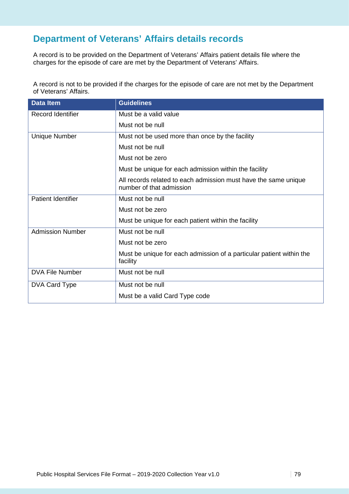# **Department of Veterans' Affairs details records**

A record is to be provided on the Department of Veterans' Affairs patient details file where the charges for the episode of care are met by the Department of Veterans' Affairs.

A record is not to be provided if the charges for the episode of care are not met by the Department of Veterans' Affairs.

| <b>Data Item</b>          | <b>Guidelines</b>                                                                           |
|---------------------------|---------------------------------------------------------------------------------------------|
| Record Identifier         | Must be a valid value                                                                       |
|                           | Must not be null                                                                            |
| <b>Unique Number</b>      | Must not be used more than once by the facility                                             |
|                           | Must not be null                                                                            |
|                           | Must not be zero                                                                            |
|                           | Must be unique for each admission within the facility                                       |
|                           | All records related to each admission must have the same unique<br>number of that admission |
| <b>Patient Identifier</b> | Must not be null                                                                            |
|                           | Must not be zero                                                                            |
|                           | Must be unique for each patient within the facility                                         |
| <b>Admission Number</b>   | Must not be null                                                                            |
|                           | Must not be zero                                                                            |
|                           | Must be unique for each admission of a particular patient within the<br>facility            |
| <b>DVA File Number</b>    | Must not be null                                                                            |
| DVA Card Type             | Must not be null                                                                            |
|                           | Must be a valid Card Type code                                                              |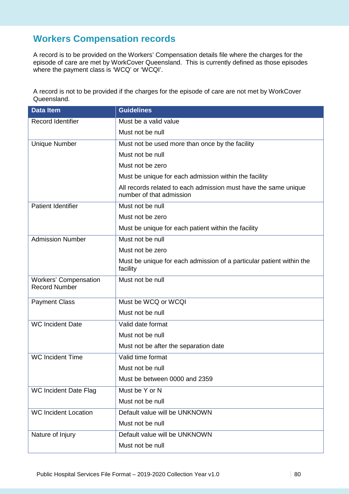# **Workers Compensation records**

A record is to be provided on the Workers' Compensation details file where the charges for the episode of care are met by WorkCover Queensland. This is currently defined as those episodes where the payment class is 'WCQ' or 'WCQI'.

A record is not to be provided if the charges for the episode of care are not met by WorkCover Queensland.

| <b>Data Item</b>                                     | <b>Guidelines</b>                                                                           |
|------------------------------------------------------|---------------------------------------------------------------------------------------------|
| <b>Record Identifier</b>                             | Must be a valid value                                                                       |
|                                                      | Must not be null                                                                            |
| <b>Unique Number</b>                                 | Must not be used more than once by the facility                                             |
|                                                      | Must not be null                                                                            |
|                                                      | Must not be zero                                                                            |
|                                                      | Must be unique for each admission within the facility                                       |
|                                                      | All records related to each admission must have the same unique<br>number of that admission |
| <b>Patient Identifier</b>                            | Must not be null                                                                            |
|                                                      | Must not be zero                                                                            |
|                                                      | Must be unique for each patient within the facility                                         |
| <b>Admission Number</b>                              | Must not be null                                                                            |
|                                                      | Must not be zero                                                                            |
|                                                      | Must be unique for each admission of a particular patient within the<br>facility            |
| <b>Workers' Compensation</b><br><b>Record Number</b> | Must not be null                                                                            |
| <b>Payment Class</b>                                 | Must be WCQ or WCQI                                                                         |
|                                                      | Must not be null                                                                            |
| <b>WC Incident Date</b>                              | Valid date format                                                                           |
|                                                      | Must not be null                                                                            |
|                                                      | Must not be after the separation date                                                       |
| <b>WC Incident Time</b>                              | Valid time format                                                                           |
|                                                      | Must not be null                                                                            |
|                                                      | Must be between 0000 and 2359                                                               |
| <b>WC Incident Date Flag</b>                         | Must be Y or N                                                                              |
|                                                      | Must not be null                                                                            |
| <b>WC Incident Location</b>                          | Default value will be UNKNOWN                                                               |
|                                                      | Must not be null                                                                            |
| Nature of Injury                                     | Default value will be UNKNOWN                                                               |
|                                                      | Must not be null                                                                            |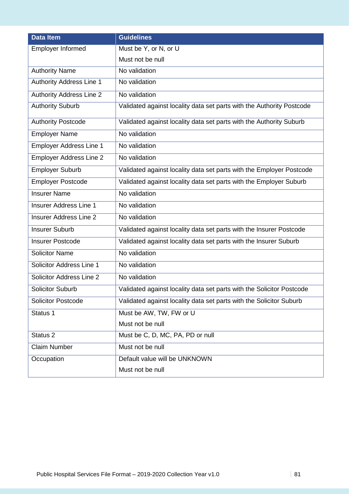| <b>Data Item</b>                | <b>Guidelines</b>                                                     |
|---------------------------------|-----------------------------------------------------------------------|
| <b>Employer Informed</b>        | Must be Y, or N, or U                                                 |
|                                 | Must not be null                                                      |
| <b>Authority Name</b>           | No validation                                                         |
| <b>Authority Address Line 1</b> | No validation                                                         |
| <b>Authority Address Line 2</b> | No validation                                                         |
| <b>Authority Suburb</b>         | Validated against locality data set parts with the Authority Postcode |
| <b>Authority Postcode</b>       | Validated against locality data set parts with the Authority Suburb   |
| <b>Employer Name</b>            | No validation                                                         |
| Employer Address Line 1         | No validation                                                         |
| <b>Employer Address Line 2</b>  | No validation                                                         |
| <b>Employer Suburb</b>          | Validated against locality data set parts with the Employer Postcode  |
| <b>Employer Postcode</b>        | Validated against locality data set parts with the Employer Suburb    |
| <b>Insurer Name</b>             | No validation                                                         |
| <b>Insurer Address Line 1</b>   | No validation                                                         |
| <b>Insurer Address Line 2</b>   | No validation                                                         |
| <b>Insurer Suburb</b>           | Validated against locality data set parts with the Insurer Postcode   |
| <b>Insurer Postcode</b>         | Validated against locality data set parts with the Insurer Suburb     |
| <b>Solicitor Name</b>           | No validation                                                         |
| Solicitor Address Line 1        | No validation                                                         |
| Solicitor Address Line 2        | No validation                                                         |
| <b>Solicitor Suburb</b>         | Validated against locality data set parts with the Solicitor Postcode |
| <b>Solicitor Postcode</b>       | Validated against locality data set parts with the Solicitor Suburb   |
| Status 1                        | Must be AW, TW, FW or U                                               |
|                                 | Must not be null                                                      |
| Status <sub>2</sub>             | Must be C, D, MC, PA, PD or null                                      |
| <b>Claim Number</b>             | Must not be null                                                      |
| Occupation                      | Default value will be UNKNOWN                                         |
|                                 | Must not be null                                                      |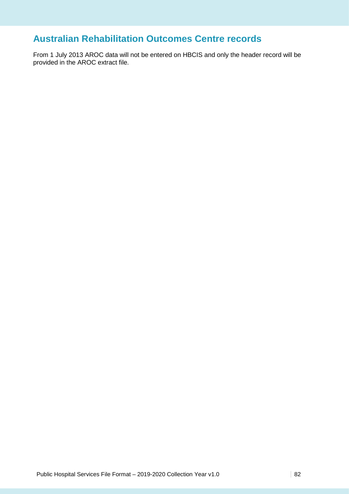# **Australian Rehabilitation Outcomes Centre records**

From 1 July 2013 AROC data will not be entered on HBCIS and only the header record will be provided in the AROC extract file.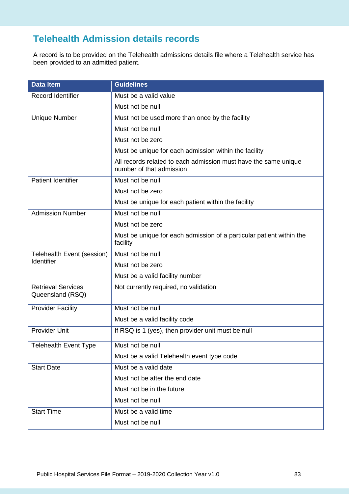# **Telehealth Admission details records**

A record is to be provided on the Telehealth admissions details file where a Telehealth service has been provided to an admitted patient.

| <b>Data Item</b>                              | <b>Guidelines</b>                                                                           |
|-----------------------------------------------|---------------------------------------------------------------------------------------------|
| <b>Record Identifier</b>                      | Must be a valid value                                                                       |
|                                               | Must not be null                                                                            |
| <b>Unique Number</b>                          | Must not be used more than once by the facility                                             |
|                                               | Must not be null                                                                            |
|                                               | Must not be zero                                                                            |
|                                               | Must be unique for each admission within the facility                                       |
|                                               | All records related to each admission must have the same unique<br>number of that admission |
| <b>Patient Identifier</b>                     | Must not be null                                                                            |
|                                               | Must not be zero                                                                            |
|                                               | Must be unique for each patient within the facility                                         |
| <b>Admission Number</b>                       | Must not be null                                                                            |
|                                               | Must not be zero                                                                            |
|                                               | Must be unique for each admission of a particular patient within the<br>facility            |
| Telehealth Event (session)                    | Must not be null                                                                            |
| Identifier                                    | Must not be zero                                                                            |
|                                               | Must be a valid facility number                                                             |
| <b>Retrieval Services</b><br>Queensland (RSQ) | Not currently required, no validation                                                       |
| <b>Provider Facility</b>                      | Must not be null                                                                            |
|                                               | Must be a valid facility code                                                               |
| <b>Provider Unit</b>                          | If RSQ is 1 (yes), then provider unit must be null                                          |
| <b>Telehealth Event Type</b>                  | Must not be null                                                                            |
|                                               | Must be a valid Telehealth event type code                                                  |
| <b>Start Date</b>                             | Must be a valid date                                                                        |
|                                               | Must not be after the end date                                                              |
|                                               | Must not be in the future                                                                   |
|                                               | Must not be null                                                                            |
| <b>Start Time</b>                             | Must be a valid time                                                                        |
|                                               | Must not be null                                                                            |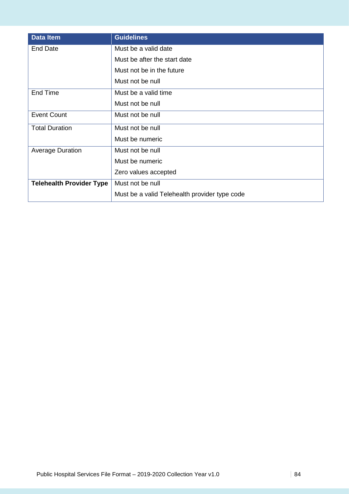| <b>Data Item</b>                | <b>Guidelines</b>                             |
|---------------------------------|-----------------------------------------------|
| <b>End Date</b>                 | Must be a valid date                          |
|                                 | Must be after the start date                  |
|                                 | Must not be in the future                     |
|                                 | Must not be null                              |
| End Time                        | Must be a valid time                          |
|                                 | Must not be null                              |
| <b>Event Count</b>              | Must not be null                              |
| <b>Total Duration</b>           | Must not be null                              |
|                                 | Must be numeric                               |
| <b>Average Duration</b>         | Must not be null                              |
|                                 | Must be numeric                               |
|                                 | Zero values accepted                          |
| <b>Telehealth Provider Type</b> | Must not be null                              |
|                                 | Must be a valid Telehealth provider type code |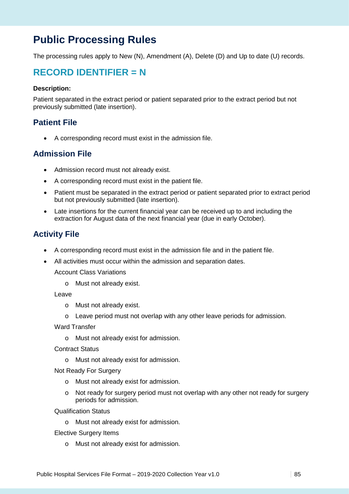# **Public Processing Rules**

The processing rules apply to New (N), Amendment (A), Delete (D) and Up to date (U) records.

## **RECORD IDENTIFIER = N**

#### **Description:**

Patient separated in the extract period or patient separated prior to the extract period but not previously submitted (late insertion).

### **Patient File**

• A corresponding record must exist in the admission file.

### **Admission File**

- Admission record must not already exist.
- A corresponding record must exist in the patient file.
- Patient must be separated in the extract period or patient separated prior to extract period but not previously submitted (late insertion).
- Late insertions for the current financial year can be received up to and including the extraction for August data of the next financial year (due in early October).

## **Activity File**

- A corresponding record must exist in the admission file and in the patient file.
- All activities must occur within the admission and separation dates.

Account Class Variations

o Must not already exist.

#### Leave

- o Must not already exist.
- o Leave period must not overlap with any other leave periods for admission.

Ward Transfer

- o Must not already exist for admission.
- Contract Status
	- o Must not already exist for admission.

Not Ready For Surgery

- o Must not already exist for admission.
- o Not ready for surgery period must not overlap with any other not ready for surgery periods for admission.

Qualification Status

o Must not already exist for admission.

Elective Surgery Items

o Must not already exist for admission.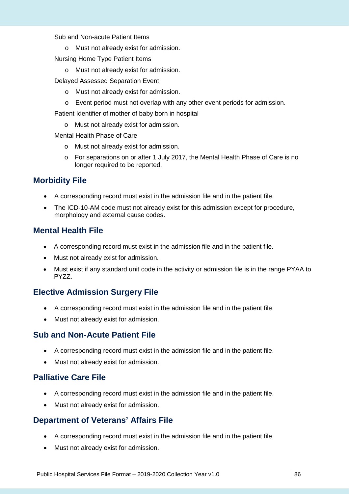#### Sub and Non-acute Patient Items

- o Must not already exist for admission.
- Nursing Home Type Patient Items
	- o Must not already exist for admission.
- Delayed Assessed Separation Event
	- o Must not already exist for admission.
	- o Event period must not overlap with any other event periods for admission.

Patient Identifier of mother of baby born in hospital

o Must not already exist for admission.

Mental Health Phase of Care

- o Must not already exist for admission.
- o For separations on or after 1 July 2017, the Mental Health Phase of Care is no longer required to be reported.

## **Morbidity File**

- A corresponding record must exist in the admission file and in the patient file.
- The ICD-10-AM code must not already exist for this admission except for procedure, morphology and external cause codes.

## **Mental Health File**

- A corresponding record must exist in the admission file and in the patient file.
- Must not already exist for admission.
- Must exist if any standard unit code in the activity or admission file is in the range PYAA to PYZZ.

## **Elective Admission Surgery File**

- A corresponding record must exist in the admission file and in the patient file.
- Must not already exist for admission.

## **Sub and Non-Acute Patient File**

- A corresponding record must exist in the admission file and in the patient file.
- Must not already exist for admission.

## **Palliative Care File**

- A corresponding record must exist in the admission file and in the patient file.
- Must not already exist for admission.

## **Department of Veterans' Affairs File**

- A corresponding record must exist in the admission file and in the patient file.
- Must not already exist for admission.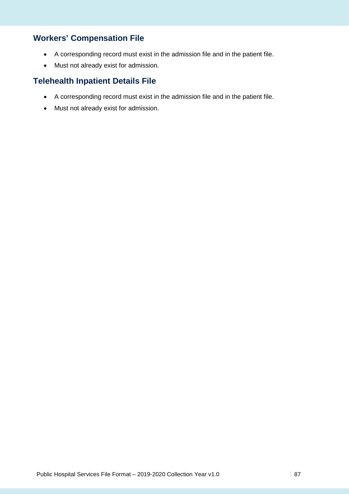## **Workers' Compensation File**

- A corresponding record must exist in the admission file and in the patient file.
- Must not already exist for admission.

## **Telehealth Inpatient Details File**

- A corresponding record must exist in the admission file and in the patient file.
- Must not already exist for admission.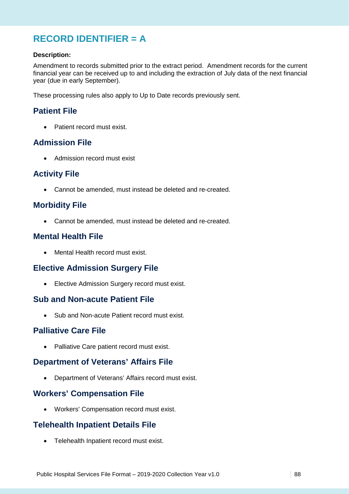# **RECORD IDENTIFIER = A**

### **Description:**

Amendment to records submitted prior to the extract period. Amendment records for the current financial year can be received up to and including the extraction of July data of the next financial year (due in early September).

These processing rules also apply to Up to Date records previously sent.

## **Patient File**

• Patient record must exist.

## **Admission File**

• Admission record must exist

## **Activity File**

• Cannot be amended, must instead be deleted and re-created.

## **Morbidity File**

• Cannot be amended, must instead be deleted and re-created.

## **Mental Health File**

• Mental Health record must exist.

## **Elective Admission Surgery File**

• Elective Admission Surgery record must exist.

### **Sub and Non-acute Patient File**

• Sub and Non-acute Patient record must exist.

### **Palliative Care File**

• Palliative Care patient record must exist.

### **Department of Veterans' Affairs File**

• Department of Veterans' Affairs record must exist.

## **Workers' Compensation File**

• Workers' Compensation record must exist.

## **Telehealth Inpatient Details File**

• Telehealth Inpatient record must exist.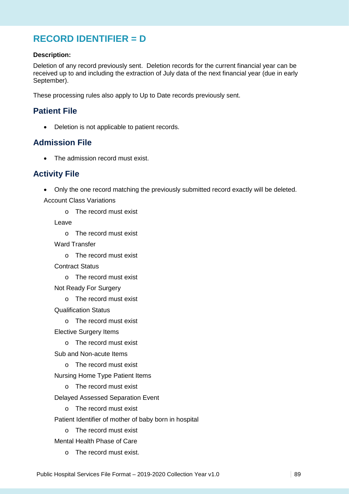# **RECORD IDENTIFIER = D**

#### **Description:**

Deletion of any record previously sent. Deletion records for the current financial year can be received up to and including the extraction of July data of the next financial year (due in early September).

These processing rules also apply to Up to Date records previously sent.

## **Patient File**

• Deletion is not applicable to patient records.

## **Admission File**

• The admission record must exist.

## **Activity File**

• Only the one record matching the previously submitted record exactly will be deleted.

Account Class Variations

o The record must exist

Leave

- o The record must exist
- Ward Transfer
	- o The record must exist
- Contract Status
	- o The record must exist
- Not Ready For Surgery
	- o The record must exist

Qualification Status

o The record must exist

Elective Surgery Items

- o The record must exist
- Sub and Non-acute Items
	- o The record must exist
- Nursing Home Type Patient Items
	- o The record must exist
- Delayed Assessed Separation Event
	- o The record must exist
- Patient Identifier of mother of baby born in hospital
	- o The record must exist
- Mental Health Phase of Care
	- o The record must exist.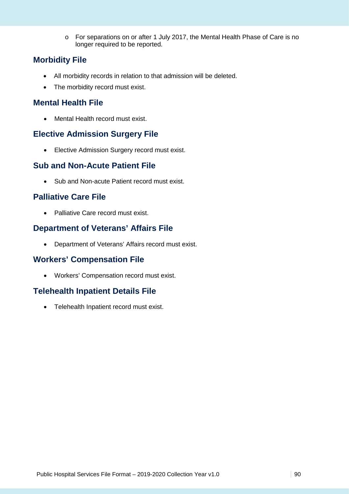o For separations on or after 1 July 2017, the Mental Health Phase of Care is no longer required to be reported.

## **Morbidity File**

- All morbidity records in relation to that admission will be deleted.
- The morbidity record must exist.

## **Mental Health File**

• Mental Health record must exist.

## **Elective Admission Surgery File**

• Elective Admission Surgery record must exist.

## **Sub and Non-Acute Patient File**

• Sub and Non-acute Patient record must exist.

## **Palliative Care File**

• Palliative Care record must exist.

## **Department of Veterans' Affairs File**

• Department of Veterans' Affairs record must exist.

## **Workers' Compensation File**

• Workers' Compensation record must exist.

## **Telehealth Inpatient Details File**

• Telehealth Inpatient record must exist.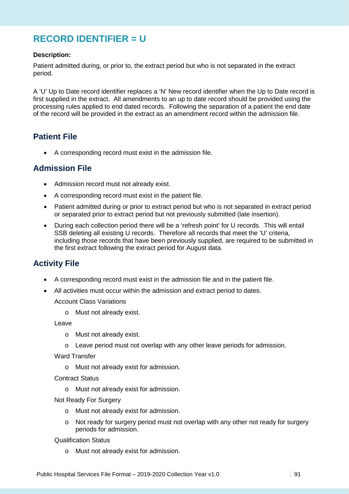# **RECORD IDENTIFIER = U**

### **Description:**

Patient admitted during, or prior to, the extract period but who is not separated in the extract period.

A 'U' Up to Date record identifier replaces a 'N' New record identifier when the Up to Date record is first supplied in the extract. All amendments to an up to date record should be provided using the processing rules applied to end dated records. Following the separation of a patient the end date of the record will be provided in the extract as an amendment record within the admission file.

## **Patient File**

• A corresponding record must exist in the admission file.

## **Admission File**

- Admission record must not already exist.
- A corresponding record must exist in the patient file.
- Patient admitted during or prior to extract period but who is not separated in extract period or separated prior to extract period but not previously submitted (late insertion).
- During each collection period there will be a 'refresh point' for U records. This will entail SSB deleting all existing U records. Therefore all records that meet the 'U' criteria, including those records that have been previously supplied, are required to be submitted in the first extract following the extract period for August data.

## **Activity File**

- A corresponding record must exist in the admission file and in the patient file.
- All activities must occur within the admission and extract period to dates.

Account Class Variations

o Must not already exist.

Leave

- o Must not already exist.
- $\circ$  Leave period must not overlap with any other leave periods for admission.

Ward Transfer

o Must not already exist for admission.

Contract Status

o Must not already exist for admission.

Not Ready For Surgery

- o Must not already exist for admission.
- o Not ready for surgery period must not overlap with any other not ready for surgery periods for admission.

Qualification Status

o Must not already exist for admission.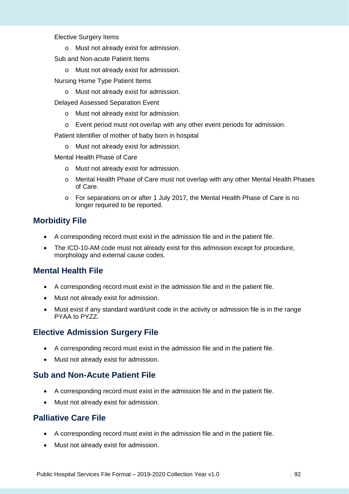#### Elective Surgery Items

- o Must not already exist for admission.
- Sub and Non-acute Patient Items
	- o Must not already exist for admission.
- Nursing Home Type Patient Items
	- o Must not already exist for admission.
- Delayed Assessed Separation Event
	- o Must not already exist for admission.
	- o Event period must not overlap with any other event periods for admission.

Patient Identifier of mother of baby born in hospital

- o Must not already exist for admission.
- Mental Health Phase of Care
	- o Must not already exist for admission.
	- o Mental Health Phase of Care must not overlap with any other Mental Health Phases of Care.
	- o For separations on or after 1 July 2017, the Mental Health Phase of Care is no longer required to be reported.

## **Morbidity File**

- A corresponding record must exist in the admission file and in the patient file.
- The ICD-10-AM code must not already exist for this admission except for procedure, morphology and external cause codes.

## **Mental Health File**

- A corresponding record must exist in the admission file and in the patient file.
- Must not already exist for admission.
- Must exist if any standard ward/unit code in the activity or admission file is in the range PYAA to PYZZ.

## **Elective Admission Surgery File**

- A corresponding record must exist in the admission file and in the patient file.
- Must not already exist for admission.

## **Sub and Non-Acute Patient File**

- A corresponding record must exist in the admission file and in the patient file.
- Must not already exist for admission.

## **Palliative Care File**

- A corresponding record must exist in the admission file and in the patient file.
- Must not already exist for admission.